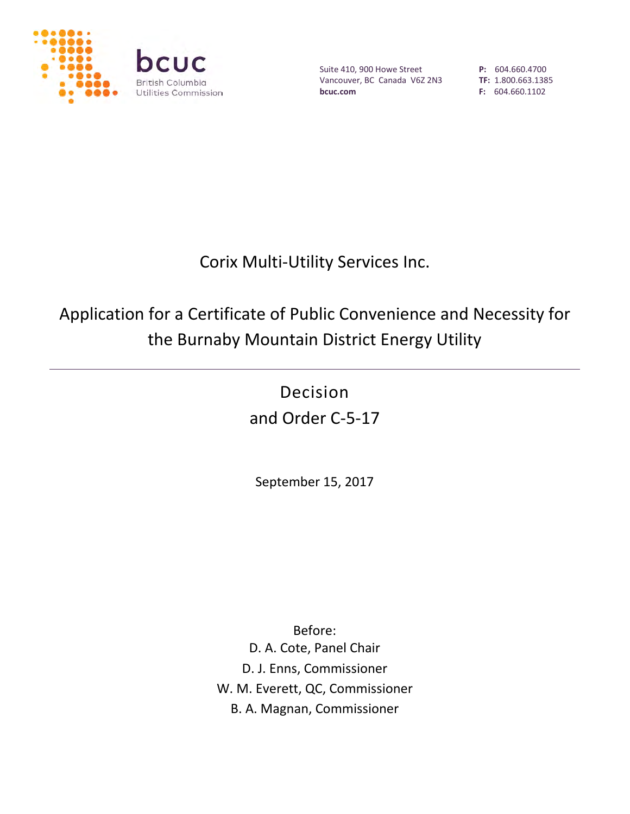

Suite 410, 900 Howe Street Vancouver, BC Canada V6Z 2N3 **bcuc.com**

**P:** 604.660.4700 **TF:** 1.800.663.1385 **F:** 604.660.1102

# Corix Multi-Utility Services Inc.

# Application for a Certificate of Public Convenience and Necessity for the Burnaby Mountain District Energy Utility

Decision and Order C-5-17

September 15, 2017

Before: D. A. Cote, Panel Chair D. J. Enns, Commissioner W. M. Everett, QC, Commissioner B. A. Magnan, Commissioner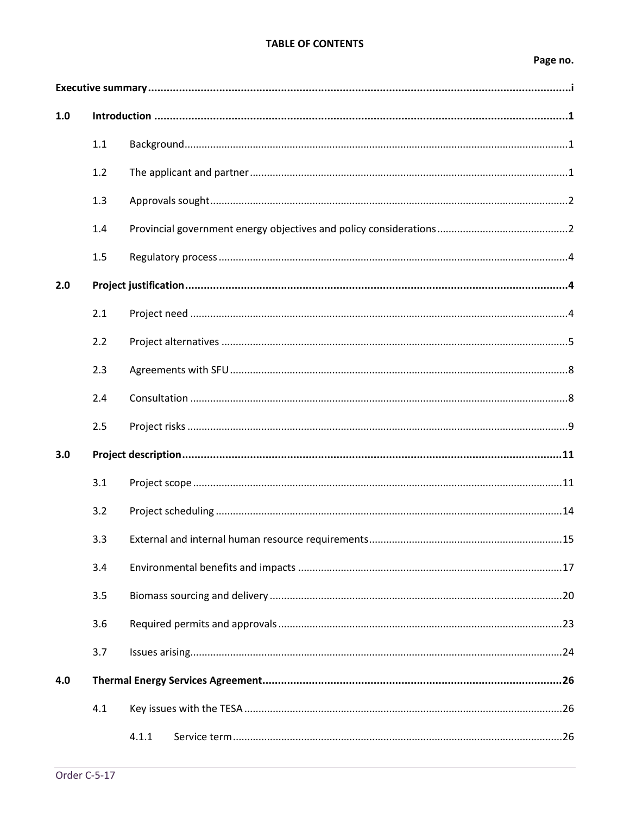#### **TABLE OF CONTENTS**

# Page no.

| 1.0 |     |       |
|-----|-----|-------|
|     | 1.1 |       |
|     | 1.2 |       |
|     | 1.3 |       |
|     | 1.4 |       |
|     | 1.5 |       |
| 2.0 |     |       |
|     | 2.1 |       |
|     | 2.2 |       |
|     | 2.3 |       |
|     | 2.4 |       |
|     | 2.5 |       |
| 3.0 |     |       |
|     | 3.1 |       |
|     | 3.2 |       |
|     | 3.3 |       |
|     | 3.4 |       |
|     | 3.5 |       |
|     | 3.6 |       |
|     | 3.7 |       |
| 4.0 |     |       |
|     | 4.1 |       |
|     |     | 4.1.1 |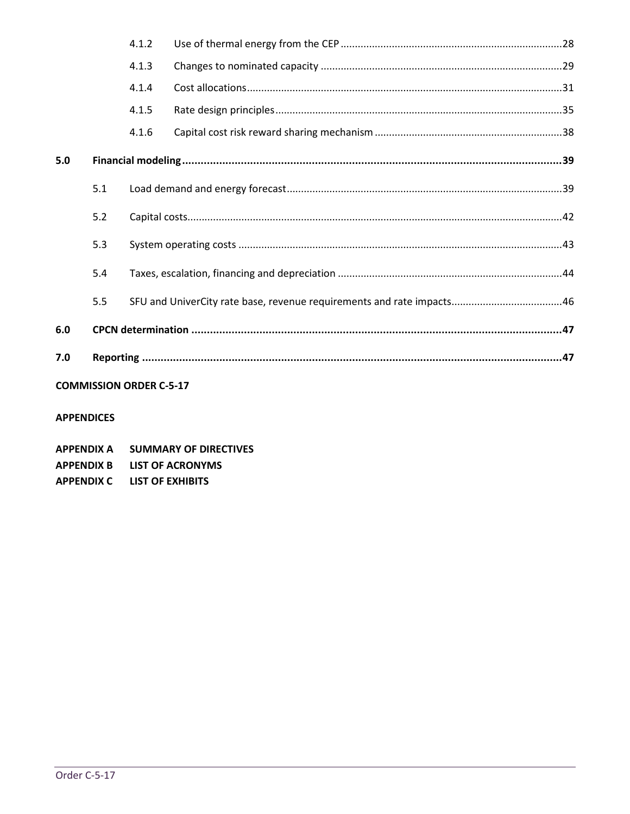|     |                                | 4.1.2 |  |  |  |  |
|-----|--------------------------------|-------|--|--|--|--|
|     |                                | 4.1.3 |  |  |  |  |
|     |                                | 4.1.4 |  |  |  |  |
|     |                                | 4.1.5 |  |  |  |  |
|     |                                | 4.1.6 |  |  |  |  |
| 5.0 |                                |       |  |  |  |  |
|     | 5.1                            |       |  |  |  |  |
|     | 5.2                            |       |  |  |  |  |
|     | 5.3                            |       |  |  |  |  |
|     | 5.4                            |       |  |  |  |  |
|     | 5.5                            |       |  |  |  |  |
| 6.0 |                                |       |  |  |  |  |
| 7.0 |                                |       |  |  |  |  |
|     | <b>COMMISSION ORDER C-5-17</b> |       |  |  |  |  |

#### **APPENDICES**

| <b>APPENDIX A</b> | <b>SUMMARY OF DIRECTIVES</b> |
|-------------------|------------------------------|
| <b>APPENDIX B</b> | LIST OF ACRONYMS             |
| <b>APPENDIX C</b> | LIST OF EXHIBITS             |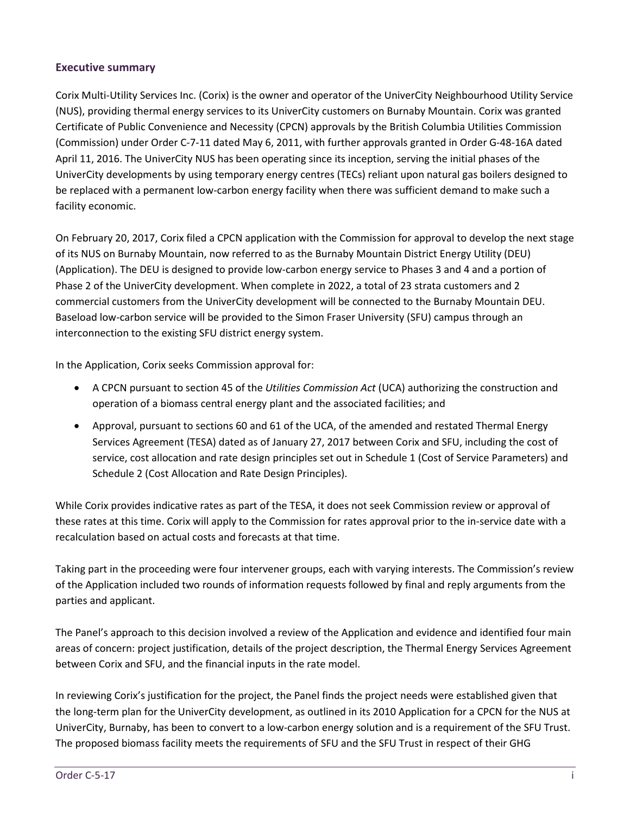#### <span id="page-3-0"></span>**Executive summary**

Corix Multi-Utility Services Inc. (Corix) is the owner and operator of the UniverCity Neighbourhood Utility Service (NUS), providing thermal energy services to its UniverCity customers on Burnaby Mountain. Corix was granted Certificate of Public Convenience and Necessity (CPCN) approvals by the British Columbia Utilities Commission (Commission) under Order C-7-11 dated May 6, 2011, with further approvals granted in Order G-48-16A dated April 11, 2016. The UniverCity NUS has been operating since its inception, serving the initial phases of the UniverCity developments by using temporary energy centres (TECs) reliant upon natural gas boilers designed to be replaced with a permanent low-carbon energy facility when there was sufficient demand to make such a facility economic.

On February 20, 2017, Corix filed a CPCN application with the Commission for approval to develop the next stage of its NUS on Burnaby Mountain, now referred to as the Burnaby Mountain District Energy Utility (DEU) (Application). The DEU is designed to provide low-carbon energy service to Phases 3 and 4 and a portion of Phase 2 of the UniverCity development. When complete in 2022, a total of 23 strata customers and 2 commercial customers from the UniverCity development will be connected to the Burnaby Mountain DEU. Baseload low-carbon service will be provided to the Simon Fraser University (SFU) campus through an interconnection to the existing SFU district energy system.

In the Application, Corix seeks Commission approval for:

- A CPCN pursuant to section 45 of the *Utilities Commission Act* (UCA) authorizing the construction and operation of a biomass central energy plant and the associated facilities; and
- Approval, pursuant to sections 60 and 61 of the UCA, of the amended and restated Thermal Energy Services Agreement (TESA) dated as of January 27, 2017 between Corix and SFU, including the cost of service, cost allocation and rate design principles set out in Schedule 1 (Cost of Service Parameters) and Schedule 2 (Cost Allocation and Rate Design Principles).

While Corix provides indicative rates as part of the TESA, it does not seek Commission review or approval of these rates at this time. Corix will apply to the Commission for rates approval prior to the in-service date with a recalculation based on actual costs and forecasts at that time.

Taking part in the proceeding were four intervener groups, each with varying interests. The Commission's review of the Application included two rounds of information requests followed by final and reply arguments from the parties and applicant.

The Panel's approach to this decision involved a review of the Application and evidence and identified four main areas of concern: project justification, details of the project description, the Thermal Energy Services Agreement between Corix and SFU, and the financial inputs in the rate model.

In reviewing Corix's justification for the project, the Panel finds the project needs were established given that the long-term plan for the UniverCity development, as outlined in its 2010 Application for a CPCN for the NUS at UniverCity, Burnaby, has been to convert to a low-carbon energy solution and is a requirement of the SFU Trust. The proposed biomass facility meets the requirements of SFU and the SFU Trust in respect of their GHG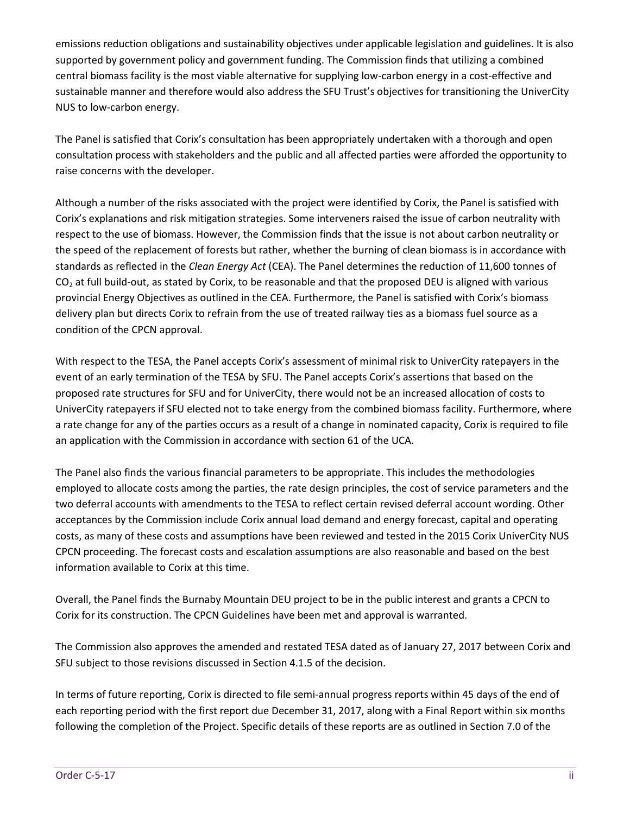emissions reduction obligations and sustainability objectives under applicable legislation and guidelines. It is also supported by government policy and government funding. The Commission finds that utilizing a combined central biomass facility is the most viable alternative for supplying low-carbon energy in a cost-effective and sustainable manner and therefore would also address the SFU Trust's objectives for transitioning the UniverCity NUS to low-carbon energy.

The Panel is satisfied that Corix's consultation has been appropriately undertaken with a thorough and open consultation process with stakeholders and the public and all affected parties were afforded the opportunity to raise concerns with the developer.

Although a number of the risks associated with the project were identified by Corix, the Panel is satisfied with Corix's explanations and risk mitigation strategies. Some interveners raised the issue of carbon neutrality with respect to the use of biomass. However, the Commission finds that the issue is not about carbon neutrality or the speed of the replacement of forests but rather, whether the burning of clean biomass is in accordance with standards as reflected in the *Clean Energy Act* (CEA). The Panel determines the reduction of 11,600 tonnes of  $CO<sub>2</sub>$  at full build-out, as stated by Corix, to be reasonable and that the proposed DEU is aligned with various provincial Energy Objectives as outlined in the CEA. Furthermore, the Panel is satisfied with Corix's biomass delivery plan but directs Corix to refrain from the use of treated railway ties as a biomass fuel source as a condition of the CPCN approval.

With respect to the TESA, the Panel accepts Corix's assessment of minimal risk to UniverCity ratepayers in the event of an early termination of the TESA by SFU. The Panel accepts Corix's assertions that based on the proposed rate structures for SFU and for UniverCity, there would not be an increased allocation of costs to UniverCity ratepayers if SFU elected not to take energy from the combined biomass facility. Furthermore, where a rate change for any of the parties occurs as a result of a change in nominated capacity, Corix is required to file an application with the Commission in accordance with section 61 of the UCA.

The Panel also finds the various financial parameters to be appropriate. This includes the methodologies employed to allocate costs among the parties, the rate design principles, the cost of service parameters and the two deferral accounts with amendments to the TESA to reflect certain revised deferral account wording. Other acceptances by the Commission include Corix annual load demand and energy forecast, capital and operating costs, as many of these costs and assumptions have been reviewed and tested in the 2015 Corix UniverCity NUS CPCN proceeding. The forecast costs and escalation assumptions are also reasonable and based on the best information available to Corix at this time.

Overall, the Panel finds the Burnaby Mountain DEU project to be in the public interest and grants a CPCN to Corix for its construction. The CPCN Guidelines have been met and approval is warranted.

The Commission also approves the amended and restated TESA dated as of January 27, 2017 between Corix and SFU subject to those revisions discussed in Section 4.1.5 of the decision.

In terms of future reporting, Corix is directed to file semi-annual progress reports within 45 days of the end of each reporting period with the first report due December 31, 2017, along with a Final Report within six months following the completion of the Project. Specific details of these reports are as outlined in Section 7.0 of the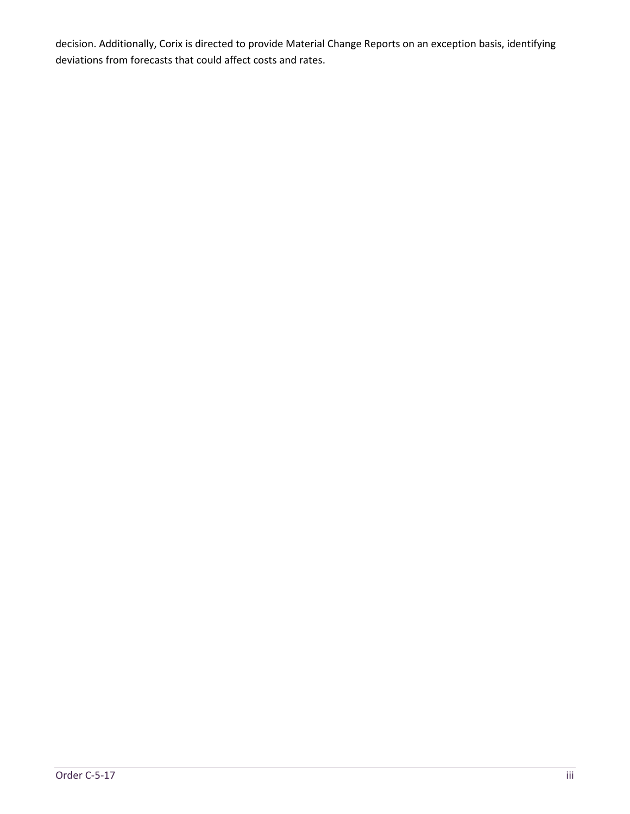decision. Additionally, Corix is directed to provide Material Change Reports on an exception basis, identifying deviations from forecasts that could affect costs and rates.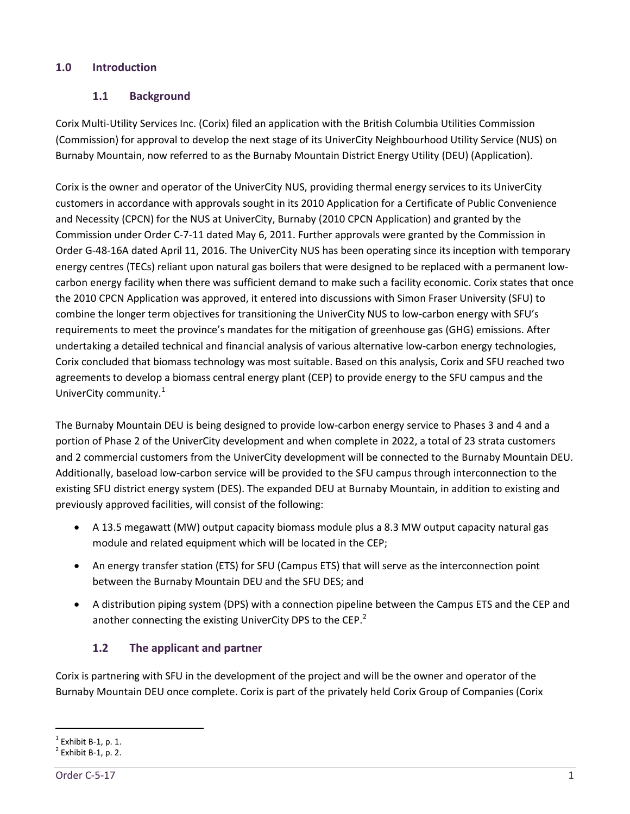## <span id="page-6-1"></span><span id="page-6-0"></span>**1.0 Introduction**

# **1.1 Background**

Corix Multi-Utility Services Inc. (Corix) filed an application with the British Columbia Utilities Commission (Commission) for approval to develop the next stage of its UniverCity Neighbourhood Utility Service (NUS) on Burnaby Mountain, now referred to as the Burnaby Mountain District Energy Utility (DEU) (Application).

Corix is the owner and operator of the UniverCity NUS, providing thermal energy services to its UniverCity customers in accordance with approvals sought in its 2010 Application for a Certificate of Public Convenience and Necessity (CPCN) for the NUS at UniverCity, Burnaby (2010 CPCN Application) and granted by the Commission under Order C-7-11 dated May 6, 2011. Further approvals were granted by the Commission in Order G-48-16A dated April 11, 2016. The UniverCity NUS has been operating since its inception with temporary energy centres (TECs) reliant upon natural gas boilers that were designed to be replaced with a permanent lowcarbon energy facility when there was sufficient demand to make such a facility economic. Corix states that once the 2010 CPCN Application was approved, it entered into discussions with Simon Fraser University (SFU) to combine the longer term objectives for transitioning the UniverCity NUS to low-carbon energy with SFU's requirements to meet the province's mandates for the mitigation of greenhouse gas (GHG) emissions. After undertaking a detailed technical and financial analysis of various alternative low-carbon energy technologies, Corix concluded that biomass technology was most suitable. Based on this analysis, Corix and SFU reached two agreements to develop a biomass central energy plant (CEP) to provide energy to the SFU campus and the UniverCity community.<sup>[1](#page-6-3)</sup>

The Burnaby Mountain DEU is being designed to provide low-carbon energy service to Phases 3 and 4 and a portion of Phase 2 of the UniverCity development and when complete in 2022, a total of 23 strata customers and 2 commercial customers from the UniverCity development will be connected to the Burnaby Mountain DEU. Additionally, baseload low-carbon service will be provided to the SFU campus through interconnection to the existing SFU district energy system (DES). The expanded DEU at Burnaby Mountain, in addition to existing and previously approved facilities, will consist of the following:

- A 13.5 megawatt (MW) output capacity biomass module plus a 8.3 MW output capacity natural gas module and related equipment which will be located in the CEP;
- An energy transfer station (ETS) for SFU (Campus ETS) that will serve as the interconnection point between the Burnaby Mountain DEU and the SFU DES; and
- <span id="page-6-2"></span>• A distribution piping system (DPS) with a connection pipeline between the Campus ETS and the CEP and another connecting the existing UniverCity DPS to the CEP. $<sup>2</sup>$  $<sup>2</sup>$  $<sup>2</sup>$ </sup>

# **1.2 The applicant and partner**

Corix is partnering with SFU in the development of the project and will be the owner and operator of the Burnaby Mountain DEU once complete. Corix is part of the privately held Corix Group of Companies (Corix

<span id="page-6-3"></span> $\frac{1}{2}$  Exhibit B-1, p. 1.<br><sup>2</sup> Exhibit B-1, p. 2.

<span id="page-6-4"></span>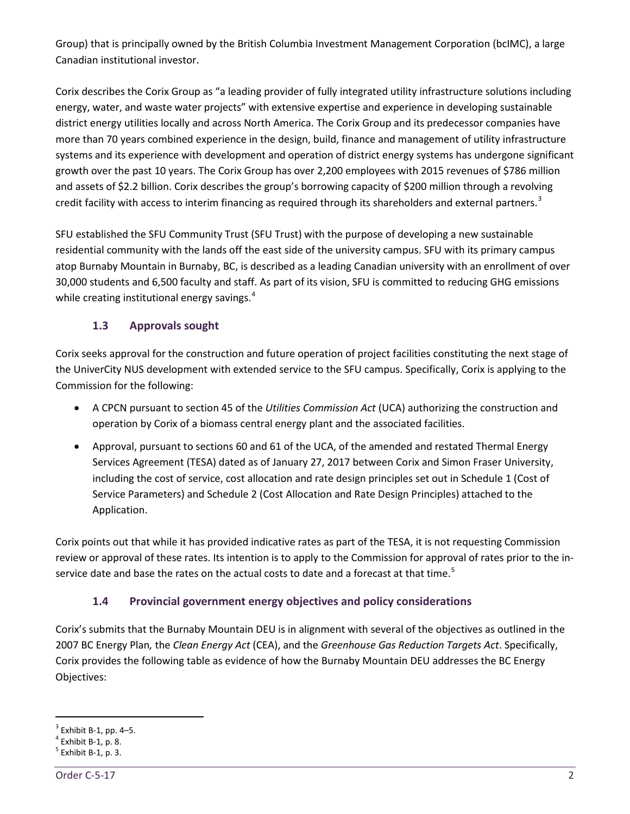Group) that is principally owned by the British Columbia Investment Management Corporation (bcIMC), a large Canadian institutional investor.

Corix describes the Corix Group as "a leading provider of fully integrated utility infrastructure solutions including energy, water, and waste water projects" with extensive expertise and experience in developing sustainable district energy utilities locally and across North America. The Corix Group and its predecessor companies have more than 70 years combined experience in the design, build, finance and management of utility infrastructure systems and its experience with development and operation of district energy systems has undergone significant growth over the past 10 years. The Corix Group has over 2,200 employees with 2015 revenues of \$786 million and assets of \$2.2 billion. Corix describes the group's borrowing capacity of \$200 million through a revolving credit facility with access to interim financing as required through its shareholders and external partners.<sup>[3](#page-7-2)</sup>

SFU established the SFU Community Trust (SFU Trust) with the purpose of developing a new sustainable residential community with the lands off the east side of the university campus. SFU with its primary campus atop Burnaby Mountain in Burnaby, BC, is described as a leading Canadian university with an enrollment of over 30,000 students and 6,500 faculty and staff. As part of its vision, SFU is committed to reducing GHG emissions while creating institutional energy savings.<sup>[4](#page-7-3)</sup>

# **1.3 Approvals sought**

<span id="page-7-0"></span>Corix seeks approval for the construction and future operation of project facilities constituting the next stage of the UniverCity NUS development with extended service to the SFU campus. Specifically, Corix is applying to the Commission for the following:

- A CPCN pursuant to section 45 of the *Utilities Commission Act* (UCA) authorizing the construction and operation by Corix of a biomass central energy plant and the associated facilities.
- Approval, pursuant to sections 60 and 61 of the UCA, of the amended and restated Thermal Energy Services Agreement (TESA) dated as of January 27, 2017 between Corix and Simon Fraser University, including the cost of service, cost allocation and rate design principles set out in Schedule 1 (Cost of Service Parameters) and Schedule 2 (Cost Allocation and Rate Design Principles) attached to the Application.

Corix points out that while it has provided indicative rates as part of the TESA, it is not requesting Commission review or approval of these rates. Its intention is to apply to the Commission for approval of rates prior to the in-service date and base the rates on the actual costs to date and a forecast at that time.<sup>[5](#page-7-4)</sup>

# **1.4 Provincial government energy objectives and policy considerations**

<span id="page-7-1"></span>Corix's submits that the Burnaby Mountain DEU is in alignment with several of the objectives as outlined in the 2007 BC Energy Plan*,* the *Clean Energy Act* (CEA), and the *Greenhouse Gas Reduction Targets Act*. Specifically, Corix provides the following table as evidence of how the Burnaby Mountain DEU addresses the BC Energy Objectives:

<span id="page-7-2"></span><sup>&</sup>lt;sup>3</sup> Exhibit B-1, pp. 4–5.<br>
<sup>4</sup> Exhibit B-1, p. 8.<br>
<sup>5</sup> Exhibit B-1, p. 3.

<span id="page-7-3"></span>

<span id="page-7-4"></span>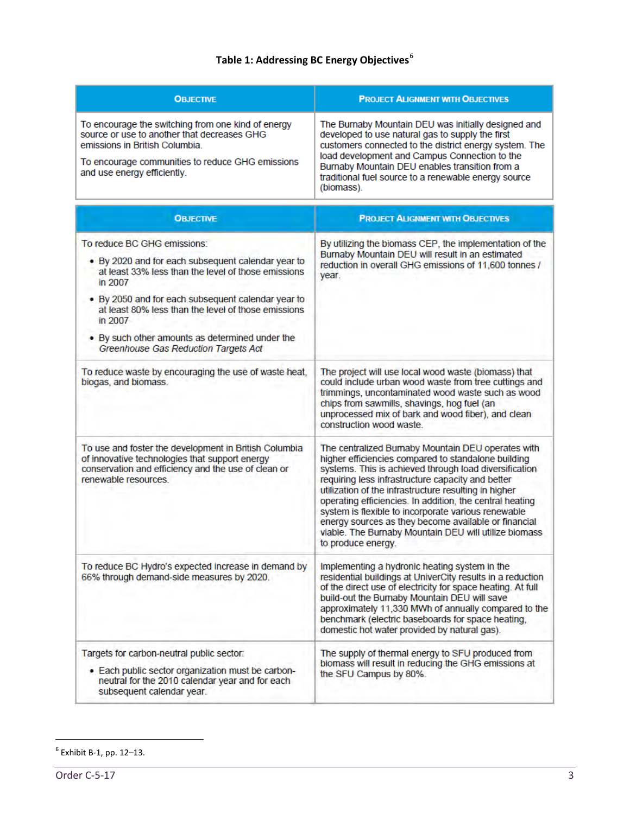# **Table 1: Addressing BC Energy Objectives**[6](#page-8-0)

| <b>OBJECTIVE</b>                                                                                                                                                                                                       | <b>PROJECT ALIGNMENT WITH OBJECTIVES</b>                                                                                                                                                                                                                                                                                                   |
|------------------------------------------------------------------------------------------------------------------------------------------------------------------------------------------------------------------------|--------------------------------------------------------------------------------------------------------------------------------------------------------------------------------------------------------------------------------------------------------------------------------------------------------------------------------------------|
| To encourage the switching from one kind of energy<br>source or use to another that decreases GHG<br>emissions in British Columbia.<br>To encourage communities to reduce GHG emissions<br>and use energy efficiently. | The Burnaby Mountain DEU was initially designed and<br>developed to use natural gas to supply the first<br>customers connected to the district energy system. The<br>load development and Campus Connection to the<br>Burnaby Mountain DEU enables transition from a<br>traditional fuel source to a renewable energy source<br>(biomass). |

| <b>OBJECTIVE</b>                                                                                                                                                                                                                                                                                                                                                        | <b>PROJECT ALIGNMENT WITH OBJECTIVES</b>                                                                                                                                                                                                                                                                                                                                                                                                                                                                                                    |
|-------------------------------------------------------------------------------------------------------------------------------------------------------------------------------------------------------------------------------------------------------------------------------------------------------------------------------------------------------------------------|---------------------------------------------------------------------------------------------------------------------------------------------------------------------------------------------------------------------------------------------------------------------------------------------------------------------------------------------------------------------------------------------------------------------------------------------------------------------------------------------------------------------------------------------|
| To reduce BC GHG emissions:<br>. By 2020 and for each subsequent calendar year to<br>at least 33% less than the level of those emissions<br>in 2007<br>. By 2050 and for each subsequent calendar year to<br>at least 80% less than the level of those emissions.<br>in 2007<br>• By such other amounts as determined under the<br>Greenhouse Gas Reduction Targets Act | By utilizing the biomass CEP, the implementation of the<br>Burnaby Mountain DEU will result in an estimated<br>reduction in overall GHG emissions of 11,600 tonnes /<br>year.                                                                                                                                                                                                                                                                                                                                                               |
| To reduce waste by encouraging the use of waste heat,<br>biogas, and biomass.                                                                                                                                                                                                                                                                                           | The project will use local wood waste (biomass) that<br>could include urban wood waste from tree cuttings and<br>trimmings, uncontaminated wood waste such as wood<br>chips from sawmills, shavings, hog fuel (an<br>unprocessed mix of bark and wood fiber), and clean<br>construction wood waste.                                                                                                                                                                                                                                         |
| To use and foster the development in British Columbia<br>of innovative technologies that support energy<br>conservation and efficiency and the use of clean or<br>renewable resources.                                                                                                                                                                                  | The centralized Burnaby Mountain DEU operates with<br>higher efficiencies compared to standalone building<br>systems. This is achieved through load diversification<br>requiring less infrastructure capacity and better<br>utilization of the infrastructure resulting in higher<br>operating efficiencies. In addition, the central heating<br>system is flexible to incorporate various renewable<br>energy sources as they become available or financial<br>viable. The Burnaby Mountain DEU will utilize biomass<br>to produce energy. |
| To reduce BC Hydro's expected increase in demand by<br>66% through demand-side measures by 2020.                                                                                                                                                                                                                                                                        | Implementing a hydronic heating system in the<br>residential buildings at UniverCity results in a reduction<br>of the direct use of electricity for space heating. At full<br>build-out the Burnaby Mountain DEU will save<br>approximately 11,330 MWh of annually compared to the<br>benchmark (electric baseboards for space heating,<br>domestic hot water provided by natural gas).                                                                                                                                                     |
| Targets for carbon-neutral public sector:<br>· Each public sector organization must be carbon-<br>neutral for the 2010 calendar year and for each<br>subsequent calendar year.                                                                                                                                                                                          | The supply of thermal energy to SFU produced from<br>biomass will result in reducing the GHG emissions at<br>the SFU Campus by 80%.                                                                                                                                                                                                                                                                                                                                                                                                         |

<span id="page-8-0"></span> $<sup>6</sup>$  Exhibit B-1, pp. 12-13.</sup>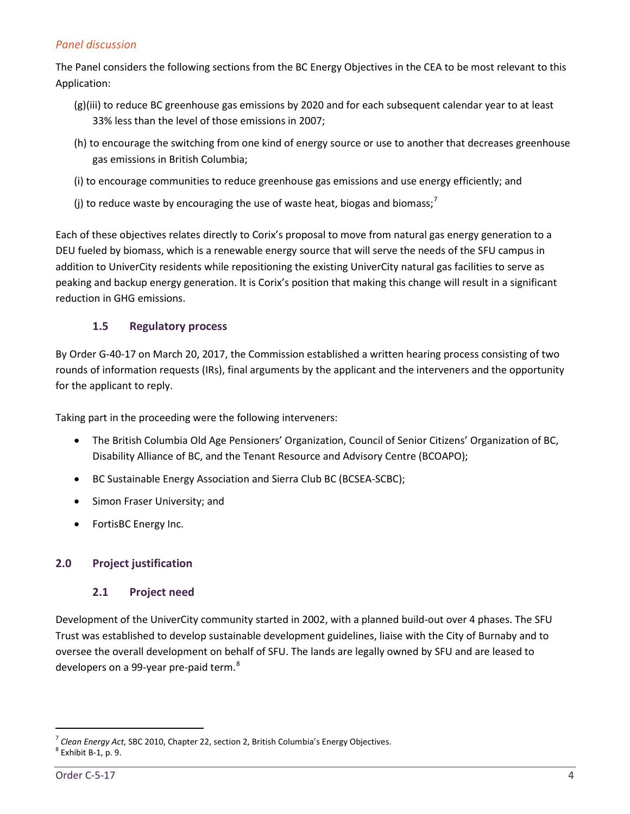# *Panel discussion*

The Panel considers the following sections from the BC Energy Objectives in the CEA to be most relevant to this Application:

- (g)(iii) to reduce BC greenhouse gas emissions by 2020 and for each subsequent calendar year to at least 33% less than the level of those emissions in 2007;
- (h) to encourage the switching from one kind of energy source or use to another that decreases greenhouse gas emissions in British Columbia;
- (i) to encourage communities to reduce greenhouse gas emissions and use energy efficiently; and
- (j) to reduce waste by encouraging the use of waste heat, biogas and biomass;<sup>[7](#page-9-3)</sup>

Each of these objectives relates directly to Corix's proposal to move from natural gas energy generation to a DEU fueled by biomass, which is a renewable energy source that will serve the needs of the SFU campus in addition to UniverCity residents while repositioning the existing UniverCity natural gas facilities to serve as peaking and backup energy generation. It is Corix's position that making this change will result in a significant reduction in GHG emissions.

# **1.5 Regulatory process**

<span id="page-9-0"></span>By Order G-40-17 on March 20, 2017, the Commission established a written hearing process consisting of two rounds of information requests (IRs), final arguments by the applicant and the interveners and the opportunity for the applicant to reply.

Taking part in the proceeding were the following interveners:

- The British Columbia Old Age Pensioners' Organization, Council of Senior Citizens' Organization of BC, Disability Alliance of BC, and the Tenant Resource and Advisory Centre (BCOAPO);
- BC Sustainable Energy Association and Sierra Club BC (BCSEA-SCBC);
- Simon Fraser University; and
- FortisBC Energy Inc.

# <span id="page-9-2"></span><span id="page-9-1"></span>**2.0 Project justification**

#### **2.1 Project need**

Development of the UniverCity community started in 2002, with a planned build-out over 4 phases. The SFU Trust was established to develop sustainable development guidelines, liaise with the City of Burnaby and to oversee the overall development on behalf of SFU. The lands are legally owned by SFU and are leased to developers on a 99-year pre-paid term.<sup>[8](#page-9-4)</sup>

<span id="page-9-3"></span><sup>&</sup>lt;sup>7</sup> Clean Energy Act, SBC 2010, Chapter 22, section 2, British Columbia's Energy Objectives.<br><sup>8</sup> Exhibit B-1, p. 9.

<span id="page-9-4"></span>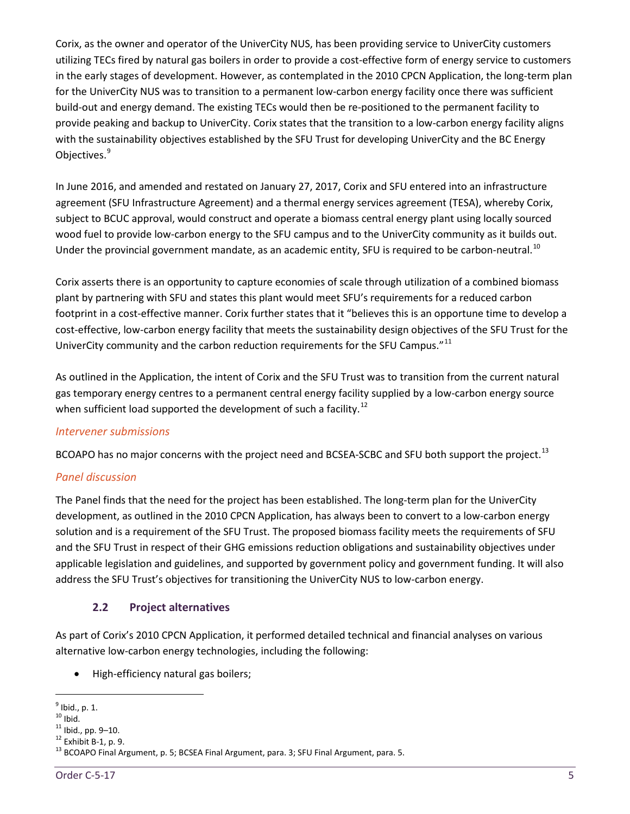Corix, as the owner and operator of the UniverCity NUS, has been providing service to UniverCity customers utilizing TECs fired by natural gas boilers in order to provide a cost-effective form of energy service to customers in the early stages of development. However, as contemplated in the 2010 CPCN Application, the long-term plan for the UniverCity NUS was to transition to a permanent low-carbon energy facility once there was sufficient build-out and energy demand. The existing TECs would then be re-positioned to the permanent facility to provide peaking and backup to UniverCity. Corix states that the transition to a low-carbon energy facility aligns with the sustainability objectives established by the SFU Trust for developing UniverCity and the BC Energy Objectives.<sup>[9](#page-10-1)</sup>

In June 2016, and amended and restated on January 27, 2017, Corix and SFU entered into an infrastructure agreement (SFU Infrastructure Agreement) and a thermal energy services agreement (TESA), whereby Corix, subject to BCUC approval, would construct and operate a biomass central energy plant using locally sourced wood fuel to provide low-carbon energy to the SFU campus and to the UniverCity community as it builds out. Under the provincial government mandate, as an academic entity, SFU is required to be carbon-neutral.<sup>[10](#page-10-2)</sup>

Corix asserts there is an opportunity to capture economies of scale through utilization of a combined biomass plant by partnering with SFU and states this plant would meet SFU's requirements for a reduced carbon footprint in a cost-effective manner. Corix further states that it "believes this is an opportune time to develop a cost-effective, low-carbon energy facility that meets the sustainability design objectives of the SFU Trust for the UniverCity community and the carbon reduction requirements for the SFU Campus."<sup>[11](#page-10-3)</sup>

As outlined in the Application, the intent of Corix and the SFU Trust was to transition from the current natural gas temporary energy centres to a permanent central energy facility supplied by a low-carbon energy source when sufficient load supported the development of such a facility.<sup>[12](#page-10-4)</sup>

#### *Intervener submissions*

BCOAPO has no major concerns with the project need and BCSEA-SCBC and SFU both support the project.<sup>[13](#page-10-5)</sup>

#### *Panel discussion*

The Panel finds that the need for the project has been established. The long-term plan for the UniverCity development, as outlined in the 2010 CPCN Application, has always been to convert to a low-carbon energy solution and is a requirement of the SFU Trust. The proposed biomass facility meets the requirements of SFU and the SFU Trust in respect of their GHG emissions reduction obligations and sustainability objectives under applicable legislation and guidelines, and supported by government policy and government funding. It will also address the SFU Trust's objectives for transitioning the UniverCity NUS to low-carbon energy.

#### **2.2 Project alternatives**

<span id="page-10-0"></span>As part of Corix's 2010 CPCN Application, it performed detailed technical and financial analyses on various alternative low-carbon energy technologies, including the following:

• High-efficiency natural gas boilers;

<span id="page-10-1"></span> $\frac{9}{10}$  Ibid., p. 1.<br> $\frac{10}{10}$  Ibid.

<span id="page-10-2"></span>

<span id="page-10-5"></span><span id="page-10-4"></span>

<span id="page-10-3"></span><sup>&</sup>lt;sup>11</sup> Ibid., pp. 9–10.<br><sup>12</sup> Exhibit B-1, p. 9.<br><sup>13</sup> BCOAPO Final Argument, p. 5; BCSEA Final Argument, para. 3; SFU Final Argument, para. 5.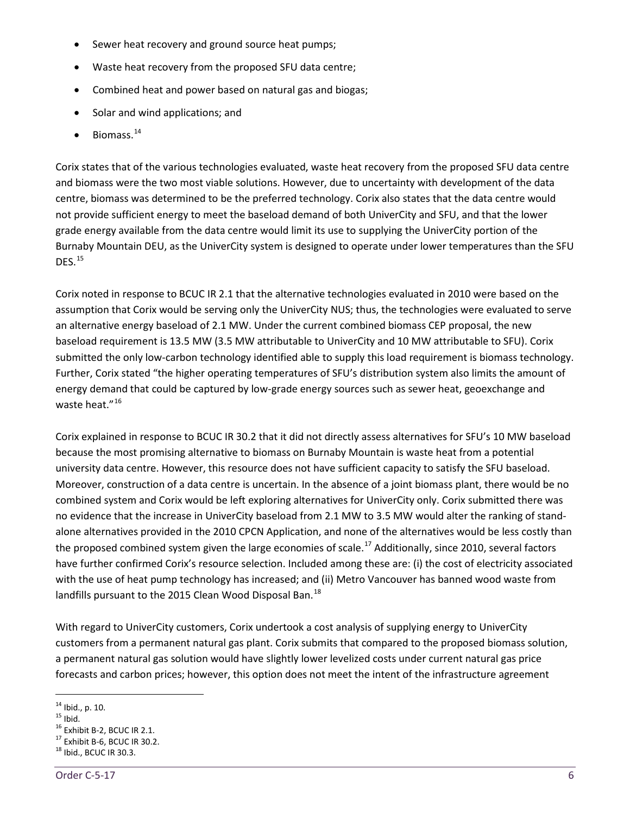- Sewer heat recovery and ground source heat pumps;
- Waste heat recovery from the proposed SFU data centre;
- Combined heat and power based on natural gas and biogas;
- Solar and wind applications; and
- Biomass.<sup>[14](#page-11-0)</sup>

Corix states that of the various technologies evaluated, waste heat recovery from the proposed SFU data centre and biomass were the two most viable solutions. However, due to uncertainty with development of the data centre, biomass was determined to be the preferred technology. Corix also states that the data centre would not provide sufficient energy to meet the baseload demand of both UniverCity and SFU, and that the lower grade energy available from the data centre would limit its use to supplying the UniverCity portion of the Burnaby Mountain DEU, as the UniverCity system is designed to operate under lower temperatures than the SFU DFS. $^{15}$  $^{15}$  $^{15}$ 

Corix noted in response to BCUC IR 2.1 that the alternative technologies evaluated in 2010 were based on the assumption that Corix would be serving only the UniverCity NUS; thus, the technologies were evaluated to serve an alternative energy baseload of 2.1 MW. Under the current combined biomass CEP proposal, the new baseload requirement is 13.5 MW (3.5 MW attributable to UniverCity and 10 MW attributable to SFU). Corix submitted the only low-carbon technology identified able to supply this load requirement is biomass technology. Further, Corix stated "the higher operating temperatures of SFU's distribution system also limits the amount of energy demand that could be captured by low-grade energy sources such as sewer heat, geoexchange and waste heat."<sup>[16](#page-11-2)</sup>

Corix explained in response to BCUC IR 30.2 that it did not directly assess alternatives for SFU's 10 MW baseload because the most promising alternative to biomass on Burnaby Mountain is waste heat from a potential university data centre. However, this resource does not have sufficient capacity to satisfy the SFU baseload. Moreover, construction of a data centre is uncertain. In the absence of a joint biomass plant, there would be no combined system and Corix would be left exploring alternatives for UniverCity only. Corix submitted there was no evidence that the increase in UniverCity baseload from 2.1 MW to 3.5 MW would alter the ranking of standalone alternatives provided in the 2010 CPCN Application, and none of the alternatives would be less costly than the proposed combined system given the large economies of scale.<sup>[17](#page-11-3)</sup> Additionally, since 2010, several factors have further confirmed Corix's resource selection. Included among these are: (i) the cost of electricity associated with the use of heat pump technology has increased; and (ii) Metro Vancouver has banned wood waste from landfills pursuant to the 2015 Clean Wood Disposal Ban.<sup>[18](#page-11-4)</sup>

With regard to UniverCity customers, Corix undertook a cost analysis of supplying energy to UniverCity customers from a permanent natural gas plant. Corix submits that compared to the proposed biomass solution, a permanent natural gas solution would have slightly lower levelized costs under current natural gas price forecasts and carbon prices; however, this option does not meet the intent of the infrastructure agreement

<span id="page-11-2"></span><span id="page-11-1"></span>

<span id="page-11-0"></span><sup>&</sup>lt;sup>14</sup> Ibid., p. 10.<br><sup>15</sup> Ibid.<br><sup>16</sup> Exhibit B-2, BCUC IR 2.1.<br><sup>17</sup> Exhibit B-6, BCUC IR 30.2.<br><sup>18</sup> Ibid., BCUC IR 30.3.

<span id="page-11-4"></span><span id="page-11-3"></span>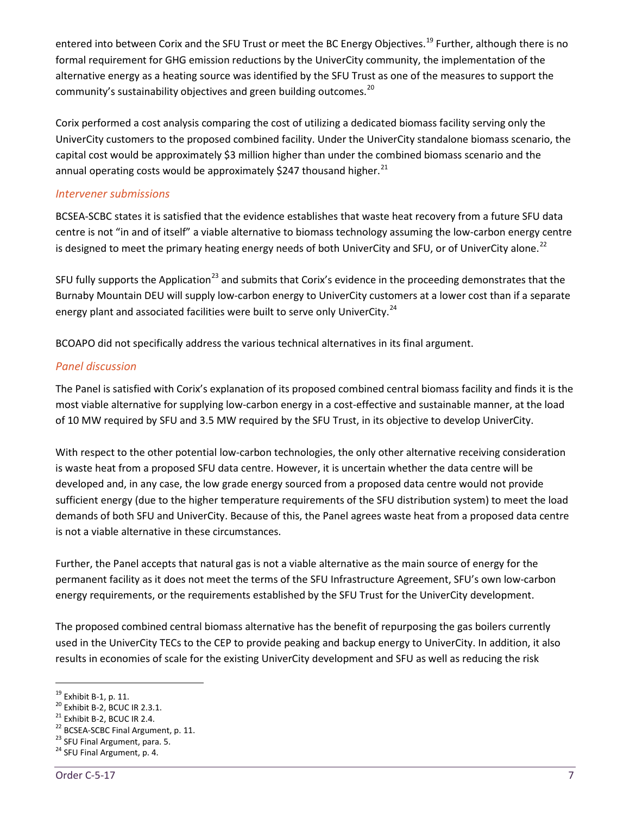entered into between Corix and the SFU Trust or meet the BC Energy Objectives.<sup>[19](#page-12-0)</sup> Further, although there is no formal requirement for GHG emission reductions by the UniverCity community, the implementation of the alternative energy as a heating source was identified by the SFU Trust as one of the measures to support the community's sustainability objectives and green building outcomes.<sup>[20](#page-12-1)</sup>

Corix performed a cost analysis comparing the cost of utilizing a dedicated biomass facility serving only the UniverCity customers to the proposed combined facility. Under the UniverCity standalone biomass scenario, the capital cost would be approximately \$3 million higher than under the combined biomass scenario and the annual operating costs would be approximately \$247 thousand higher. $^{21}$  $^{21}$  $^{21}$ 

#### *Intervener submissions*

BCSEA-SCBC states it is satisfied that the evidence establishes that waste heat recovery from a future SFU data centre is not "in and of itself" a viable alternative to biomass technology assuming the low-carbon energy centre is designed to meet the primary heating energy needs of both UniverCity and SFU, or of UniverCity alone.<sup>[22](#page-12-3)</sup>

SFU fully supports the Application<sup>[23](#page-12-4)</sup> and submits that Corix's evidence in the proceeding demonstrates that the Burnaby Mountain DEU will supply low-carbon energy to UniverCity customers at a lower cost than if a separate energy plant and associated facilities were built to serve only UniverCity.<sup>[24](#page-12-5)</sup>

BCOAPO did not specifically address the various technical alternatives in its final argument.

#### *Panel discussion*

The Panel is satisfied with Corix's explanation of its proposed combined central biomass facility and finds it is the most viable alternative for supplying low-carbon energy in a cost-effective and sustainable manner, at the load of 10 MW required by SFU and 3.5 MW required by the SFU Trust, in its objective to develop UniverCity.

With respect to the other potential low-carbon technologies, the only other alternative receiving consideration is waste heat from a proposed SFU data centre. However, it is uncertain whether the data centre will be developed and, in any case, the low grade energy sourced from a proposed data centre would not provide sufficient energy (due to the higher temperature requirements of the SFU distribution system) to meet the load demands of both SFU and UniverCity. Because of this, the Panel agrees waste heat from a proposed data centre is not a viable alternative in these circumstances.

Further, the Panel accepts that natural gas is not a viable alternative as the main source of energy for the permanent facility as it does not meet the terms of the SFU Infrastructure Agreement, SFU's own low-carbon energy requirements, or the requirements established by the SFU Trust for the UniverCity development.

The proposed combined central biomass alternative has the benefit of repurposing the gas boilers currently used in the UniverCity TECs to the CEP to provide peaking and backup energy to UniverCity. In addition, it also results in economies of scale for the existing UniverCity development and SFU as well as reducing the risk

<span id="page-12-3"></span><span id="page-12-2"></span>

<span id="page-12-1"></span><span id="page-12-0"></span><sup>&</sup>lt;sup>19</sup> Exhibit B-1, p. 11.<br>
<sup>20</sup> Exhibit B-2, BCUC IR 2.3.1.<br>
<sup>21</sup> Exhibit B-2, BCUC IR 2.4.<br>
<sup>22</sup> BCSEA-SCBC Final Argument, p. 11.<br>
<sup>23</sup> SFU Final Argument, para. 5.<br>
<sup>24</sup> SFU Final Argument, p. 4.

<span id="page-12-4"></span>

<span id="page-12-5"></span>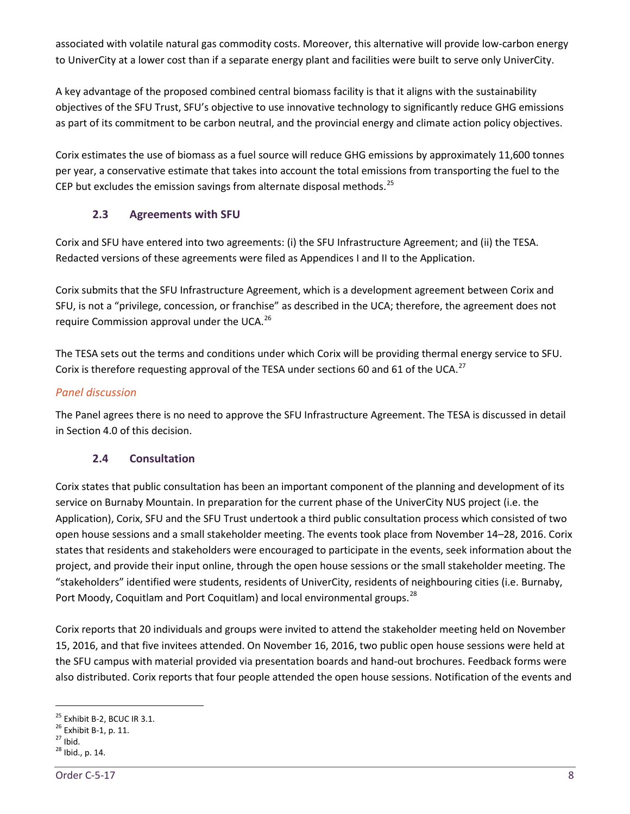associated with volatile natural gas commodity costs. Moreover, this alternative will provide low-carbon energy to UniverCity at a lower cost than if a separate energy plant and facilities were built to serve only UniverCity.

A key advantage of the proposed combined central biomass facility is that it aligns with the sustainability objectives of the SFU Trust, SFU's objective to use innovative technology to significantly reduce GHG emissions as part of its commitment to be carbon neutral, and the provincial energy and climate action policy objectives.

Corix estimates the use of biomass as a fuel source will reduce GHG emissions by approximately 11,600 tonnes per year, a conservative estimate that takes into account the total emissions from transporting the fuel to the CEP but excludes the emission savings from alternate disposal methods.<sup>[25](#page-13-2)</sup>

# <span id="page-13-0"></span>**2.3 Agreements with SFU**

Corix and SFU have entered into two agreements: (i) the SFU Infrastructure Agreement; and (ii) the TESA. Redacted versions of these agreements were filed as Appendices I and II to the Application.

Corix submits that the SFU Infrastructure Agreement, which is a development agreement between Corix and SFU, is not a "privilege, concession, or franchise" as described in the UCA; therefore, the agreement does not require Commission approval under the UCA.<sup>[26](#page-13-3)</sup>

The TESA sets out the terms and conditions under which Corix will be providing thermal energy service to SFU. Corix is therefore requesting approval of the TESA under sections 60 and 61 of the UCA.<sup>[27](#page-13-4)</sup>

# *Panel discussion*

<span id="page-13-1"></span>The Panel agrees there is no need to approve the SFU Infrastructure Agreement. The TESA is discussed in detail in Section 4.0 of this decision.

# **2.4 Consultation**

Corix states that public consultation has been an important component of the planning and development of its service on Burnaby Mountain. In preparation for the current phase of the UniverCity NUS project (i.e. the Application), Corix, SFU and the SFU Trust undertook a third public consultation process which consisted of two open house sessions and a small stakeholder meeting. The events took place from November 14–28, 2016. Corix states that residents and stakeholders were encouraged to participate in the events, seek information about the project, and provide their input online, through the open house sessions or the small stakeholder meeting. The "stakeholders" identified were students, residents of UniverCity, residents of neighbouring cities (i.e. Burnaby, Port Moody, Coquitlam and Port Coquitlam) and local environmental groups.<sup>[28](#page-13-5)</sup>

Corix reports that 20 individuals and groups were invited to attend the stakeholder meeting held on November 15, 2016, and that five invitees attended. On November 16, 2016, two public open house sessions were held at the SFU campus with material provided via presentation boards and hand-out brochures. Feedback forms were also distributed. Corix reports that four people attended the open house sessions. Notification of the events and

<span id="page-13-3"></span><span id="page-13-2"></span><sup>&</sup>lt;sup>25</sup> Exhibit B-2, BCUC IR 3.1.<br><sup>26</sup> Exhibit B-1, p. 11.<br><sup>27</sup> Ibid.<br><sup>28</sup> Ibid., p. 14.

<span id="page-13-4"></span>

<span id="page-13-5"></span>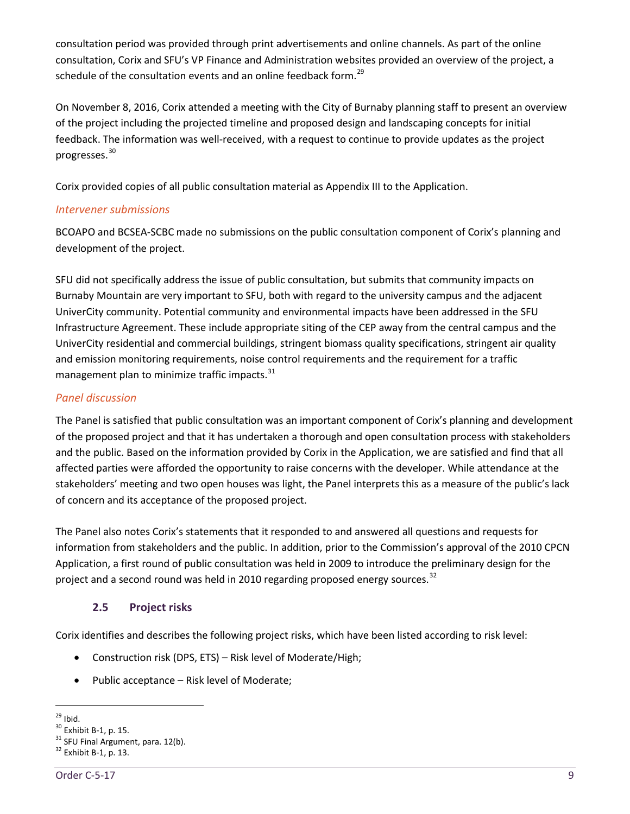consultation period was provided through print advertisements and online channels. As part of the online consultation, Corix and SFU's VP Finance and Administration websites provided an overview of the project, a schedule of the consultation events and an online feedback form.<sup>[29](#page-14-1)</sup>

On November 8, 2016, Corix attended a meeting with the City of Burnaby planning staff to present an overview of the project including the projected timeline and proposed design and landscaping concepts for initial feedback. The information was well-received, with a request to continue to provide updates as the project progresses.[30](#page-14-2)

Corix provided copies of all public consultation material as Appendix III to the Application.

## *Intervener submissions*

BCOAPO and BCSEA-SCBC made no submissions on the public consultation component of Corix's planning and development of the project.

SFU did not specifically address the issue of public consultation, but submits that community impacts on Burnaby Mountain are very important to SFU, both with regard to the university campus and the adjacent UniverCity community. Potential community and environmental impacts have been addressed in the SFU Infrastructure Agreement. These include appropriate siting of the CEP away from the central campus and the UniverCity residential and commercial buildings, stringent biomass quality specifications, stringent air quality and emission monitoring requirements, noise control requirements and the requirement for a traffic management plan to minimize traffic impacts. $31$ 

# *Panel discussion*

The Panel is satisfied that public consultation was an important component of Corix's planning and development of the proposed project and that it has undertaken a thorough and open consultation process with stakeholders and the public. Based on the information provided by Corix in the Application, we are satisfied and find that all affected parties were afforded the opportunity to raise concerns with the developer. While attendance at the stakeholders' meeting and two open houses was light, the Panel interprets this as a measure of the public's lack of concern and its acceptance of the proposed project.

The Panel also notes Corix's statements that it responded to and answered all questions and requests for information from stakeholders and the public. In addition, prior to the Commission's approval of the 2010 CPCN Application, a first round of public consultation was held in 2009 to introduce the preliminary design for the project and a second round was held in 2010 regarding proposed energy sources.<sup>[32](#page-14-4)</sup>

# **2.5 Project risks**

<span id="page-14-0"></span>Corix identifies and describes the following project risks, which have been listed according to risk level:

- Construction risk (DPS, ETS) Risk level of Moderate/High;
- Public acceptance Risk level of Moderate;

<span id="page-14-2"></span><span id="page-14-1"></span><sup>&</sup>lt;sup>29</sup> Ibid.<br><sup>30</sup> Exhibit B-1, p. 15.<br><sup>31</sup> SFU Final Argument, para. 12(b).<br><sup>32</sup> Exhibit B-1, p. 13.

<span id="page-14-4"></span><span id="page-14-3"></span>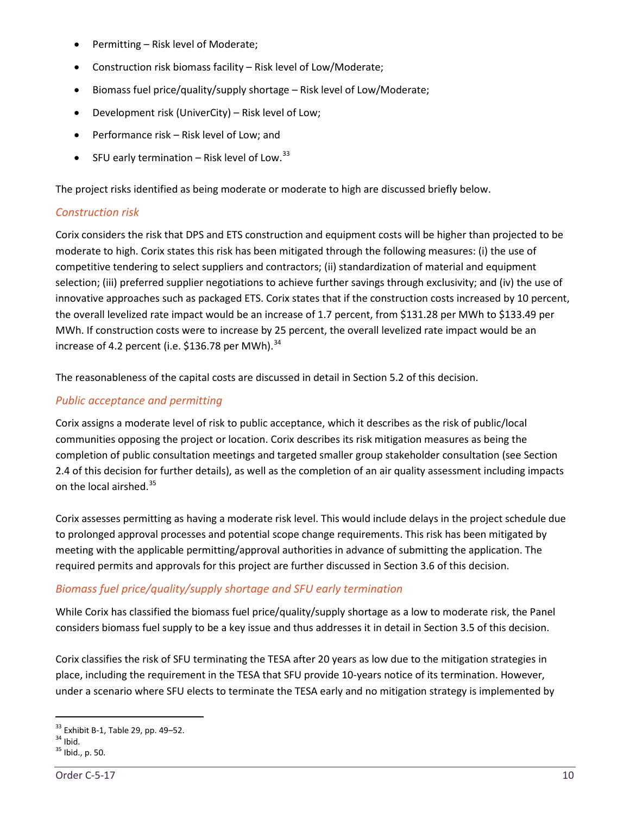- Permitting Risk level of Moderate;
- Construction risk biomass facility Risk level of Low/Moderate;
- Biomass fuel price/quality/supply shortage Risk level of Low/Moderate;
- Development risk (UniverCity) Risk level of Low;
- Performance risk Risk level of Low; and
- SFU early termination Risk level of Low. $33$

The project risks identified as being moderate or moderate to high are discussed briefly below.

# *Construction risk*

Corix considers the risk that DPS and ETS construction and equipment costs will be higher than projected to be moderate to high. Corix states this risk has been mitigated through the following measures: (i) the use of competitive tendering to select suppliers and contractors; (ii) standardization of material and equipment selection; (iii) preferred supplier negotiations to achieve further savings through exclusivity; and (iv) the use of innovative approaches such as packaged ETS. Corix states that if the construction costs increased by 10 percent, the overall levelized rate impact would be an increase of 1.7 percent, from \$131.28 per MWh to \$133.49 per MWh. If construction costs were to increase by 25 percent, the overall levelized rate impact would be an increase of 4.2 percent (i.e. \$136.78 per MWh). $^{34}$  $^{34}$  $^{34}$ 

The reasonableness of the capital costs are discussed in detail in Section 5.2 of this decision.

# *Public acceptance and permitting*

Corix assigns a moderate level of risk to public acceptance, which it describes as the risk of public/local communities opposing the project or location. Corix describes its risk mitigation measures as being the completion of public consultation meetings and targeted smaller group stakeholder consultation (see Section 2.4 of this decision for further details), as well as the completion of an air quality assessment including impacts on the local airshed.[35](#page-15-2)

Corix assesses permitting as having a moderate risk level. This would include delays in the project schedule due to prolonged approval processes and potential scope change requirements. This risk has been mitigated by meeting with the applicable permitting/approval authorities in advance of submitting the application. The required permits and approvals for this project are further discussed in Section 3.6 of this decision.

# *Biomass fuel price/quality/supply shortage and SFU early termination*

While Corix has classified the biomass fuel price/quality/supply shortage as a low to moderate risk, the Panel considers biomass fuel supply to be a key issue and thus addresses it in detail in Section 3.5 of this decision.

Corix classifies the risk of SFU terminating the TESA after 20 years as low due to the mitigation strategies in place, including the requirement in the TESA that SFU provide 10-years notice of its termination. However, under a scenario where SFU elects to terminate the TESA early and no mitigation strategy is implemented by

<span id="page-15-0"></span> $33 \text{ Ex}$ hibit B-1, Table 29, pp. 49–52.<br> $34 \text{ Ibid.}$ <br> $35 \text{ Ibid.}$ , p. 50.

<span id="page-15-1"></span>

<span id="page-15-2"></span>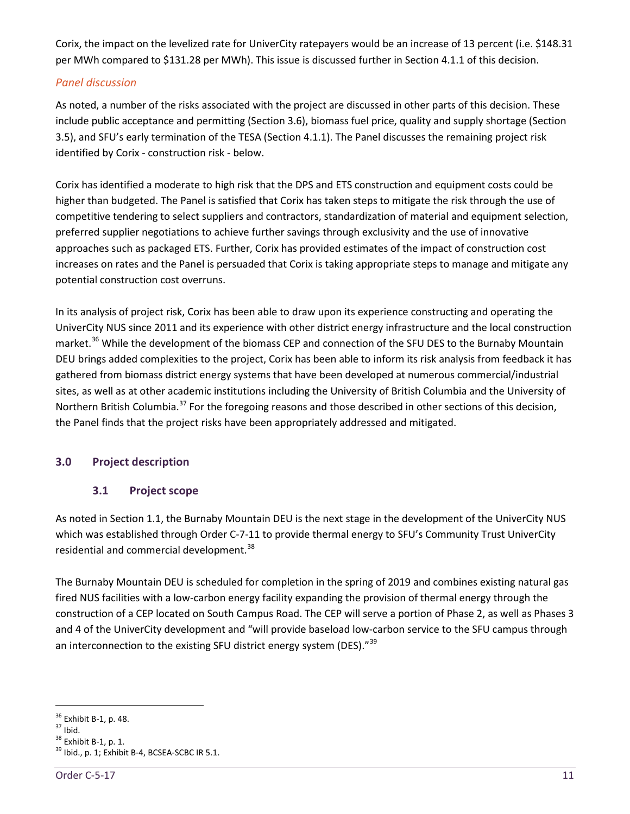Corix, the impact on the levelized rate for UniverCity ratepayers would be an increase of 13 percent (i.e. \$148.31 per MWh compared to \$131.28 per MWh). This issue is discussed further in Section 4.1.1 of this decision.

# *Panel discussion*

As noted, a number of the risks associated with the project are discussed in other parts of this decision. These include public acceptance and permitting (Section 3.6), biomass fuel price, quality and supply shortage (Section 3.5), and SFU's early termination of the TESA (Section 4.1.1). The Panel discusses the remaining project risk identified by Corix - construction risk - below.

Corix has identified a moderate to high risk that the DPS and ETS construction and equipment costs could be higher than budgeted. The Panel is satisfied that Corix has taken steps to mitigate the risk through the use of competitive tendering to select suppliers and contractors, standardization of material and equipment selection, preferred supplier negotiations to achieve further savings through exclusivity and the use of innovative approaches such as packaged ETS. Further, Corix has provided estimates of the impact of construction cost increases on rates and the Panel is persuaded that Corix is taking appropriate steps to manage and mitigate any potential construction cost overruns.

In its analysis of project risk, Corix has been able to draw upon its experience constructing and operating the UniverCity NUS since 2011 and its experience with other district energy infrastructure and the local construction market.<sup>[36](#page-16-2)</sup> While the development of the biomass CEP and connection of the SFU DES to the Burnaby Mountain DEU brings added complexities to the project, Corix has been able to inform its risk analysis from feedback it has gathered from biomass district energy systems that have been developed at numerous commercial/industrial sites, as well as at other academic institutions including the University of British Columbia and the University of Northern British Columbia.<sup>[37](#page-16-3)</sup> For the foregoing reasons and those described in other sections of this decision, the Panel finds that the project risks have been appropriately addressed and mitigated.

# <span id="page-16-1"></span><span id="page-16-0"></span>**3.0 Project description**

#### **3.1 Project scope**

As noted in Section 1.1, the Burnaby Mountain DEU is the next stage in the development of the UniverCity NUS which was established through Order C-7-11 to provide thermal energy to SFU's Community Trust UniverCity residential and commercial development.<sup>[38](#page-16-4)</sup>

The Burnaby Mountain DEU is scheduled for completion in the spring of 2019 and combines existing natural gas fired NUS facilities with a low-carbon energy facility expanding the provision of thermal energy through the construction of a CEP located on South Campus Road. The CEP will serve a portion of Phase 2, as well as Phases 3 and 4 of the UniverCity development and "will provide baseload low-carbon service to the SFU campus through an interconnection to the existing SFU district energy system (DES)."<sup>[39](#page-16-5)</sup>

<span id="page-16-4"></span><span id="page-16-3"></span>

<span id="page-16-5"></span>

<span id="page-16-2"></span><sup>&</sup>lt;sup>36</sup> Exhibit B-1, p. 48.<br><sup>37</sup> Ibid.<br><sup>38</sup> Exhibit B-1, p. 1.<br><sup>39</sup> Ibid., p. 1; Exhibit B-4, BCSEA-SCBC IR 5.1.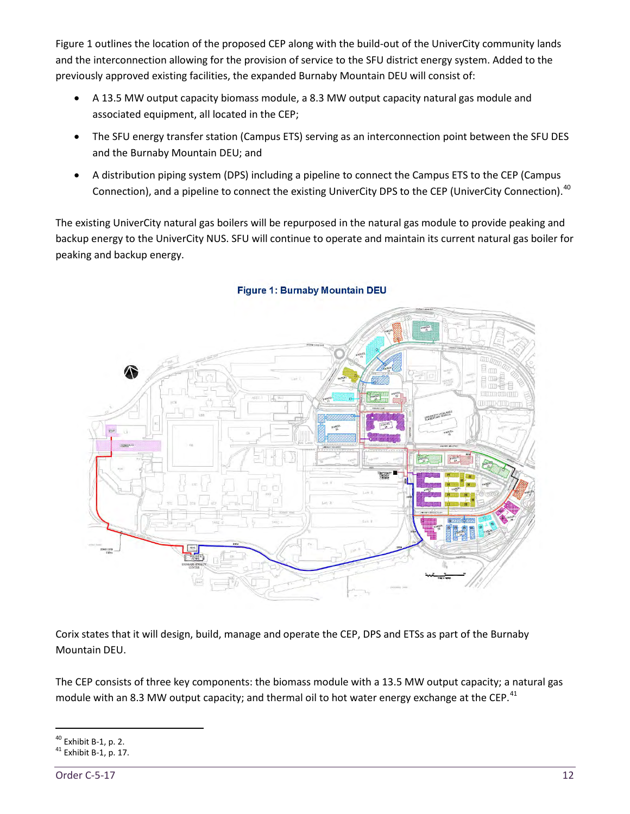Figure 1 outlines the location of the proposed CEP along with the build-out of the UniverCity community lands and the interconnection allowing for the provision of service to the SFU district energy system. Added to the previously approved existing facilities, the expanded Burnaby Mountain DEU will consist of:

- A 13.5 MW output capacity biomass module, a 8.3 MW output capacity natural gas module and associated equipment, all located in the CEP;
- The SFU energy transfer station (Campus ETS) serving as an interconnection point between the SFU DES and the Burnaby Mountain DEU; and
- A distribution piping system (DPS) including a pipeline to connect the Campus ETS to the CEP (Campus Connection), and a pipeline to connect the existing UniverCity DPS to the CEP (UniverCity Connection).<sup>[40](#page-17-0)</sup>

The existing UniverCity natural gas boilers will be repurposed in the natural gas module to provide peaking and backup energy to the UniverCity NUS. SFU will continue to operate and maintain its current natural gas boiler for peaking and backup energy.



#### **Figure 1: Burnaby Mountain DEU**

Corix states that it will design, build, manage and operate the CEP, DPS and ETSs as part of the Burnaby Mountain DEU.

The CEP consists of three key components: the biomass module with a 13.5 MW output capacity; a natural gas module with an 8.3 MW output capacity; and thermal oil to hot water energy exchange at the CEP.<sup>[41](#page-17-1)</sup>

<span id="page-17-0"></span> $^{40}$  Exhibit B-1, p. 2.<br> $^{41}$  Exhibit B-1, p. 17.

<span id="page-17-1"></span>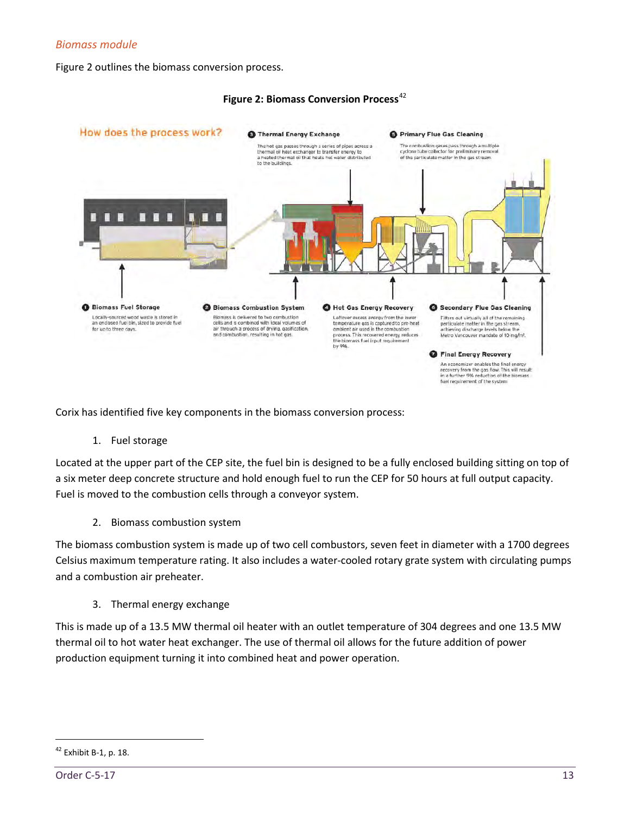# *Biomass module*

Figure 2 outlines the biomass conversion process.



#### **Figure 2: Biomass Conversion Process**<sup>[42](#page-18-0)</sup>

Corix has identified five key components in the biomass conversion process:

1. Fuel storage

Located at the upper part of the CEP site, the fuel bin is designed to be a fully enclosed building sitting on top of a six meter deep concrete structure and hold enough fuel to run the CEP for 50 hours at full output capacity. Fuel is moved to the combustion cells through a conveyor system.

2. Biomass combustion system

The biomass combustion system is made up of two cell combustors, seven feet in diameter with a 1700 degrees Celsius maximum temperature rating. It also includes a water-cooled rotary grate system with circulating pumps and a combustion air preheater.

3. Thermal energy exchange

This is made up of a 13.5 MW thermal oil heater with an outlet temperature of 304 degrees and one 13.5 MW thermal oil to hot water heat exchanger. The use of thermal oil allows for the future addition of power production equipment turning it into combined heat and power operation.

<span id="page-18-0"></span><sup>42</sup> Exhibit B-1, p. 18.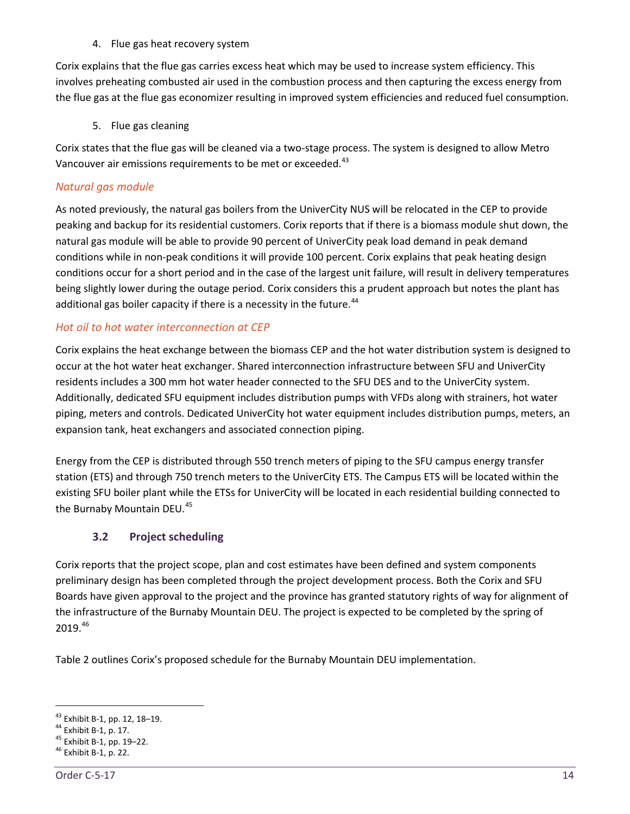#### 4. Flue gas heat recovery system

Corix explains that the flue gas carries excess heat which may be used to increase system efficiency. This involves preheating combusted air used in the combustion process and then capturing the excess energy from the flue gas at the flue gas economizer resulting in improved system efficiencies and reduced fuel consumption.

5. Flue gas cleaning

Corix states that the flue gas will be cleaned via a two-stage process. The system is designed to allow Metro Vancouver air emissions requirements to be met or exceeded.<sup>[43](#page-19-1)</sup>

# *Natural gas module*

As noted previously, the natural gas boilers from the UniverCity NUS will be relocated in the CEP to provide peaking and backup for its residential customers. Corix reports that if there is a biomass module shut down, the natural gas module will be able to provide 90 percent of UniverCity peak load demand in peak demand conditions while in non-peak conditions it will provide 100 percent. Corix explains that peak heating design conditions occur for a short period and in the case of the largest unit failure, will result in delivery temperatures being slightly lower during the outage period. Corix considers this a prudent approach but notes the plant has additional gas boiler capacity if there is a necessity in the future.<sup>[44](#page-19-2)</sup>

# *Hot oil to hot water interconnection at CEP*

Corix explains the heat exchange between the biomass CEP and the hot water distribution system is designed to occur at the hot water heat exchanger. Shared interconnection infrastructure between SFU and UniverCity residents includes a 300 mm hot water header connected to the SFU DES and to the UniverCity system. Additionally, dedicated SFU equipment includes distribution pumps with VFDs along with strainers, hot water piping, meters and controls. Dedicated UniverCity hot water equipment includes distribution pumps, meters, an expansion tank, heat exchangers and associated connection piping.

Energy from the CEP is distributed through 550 trench meters of piping to the SFU campus energy transfer station (ETS) and through 750 trench meters to the UniverCity ETS. The Campus ETS will be located within the existing SFU boiler plant while the ETSs for UniverCity will be located in each residential building connected to the Burnaby Mountain DEU.<sup>[45](#page-19-3)</sup>

# <span id="page-19-0"></span>**3.2 Project scheduling**

Corix reports that the project scope, plan and cost estimates have been defined and system components preliminary design has been completed through the project development process. Both the Corix and SFU Boards have given approval to the project and the province has granted statutory rights of way for alignment of the infrastructure of the Burnaby Mountain DEU. The project is expected to be completed by the spring of 2019.[46](#page-19-4)

Table 2 outlines Corix's proposed schedule for the Burnaby Mountain DEU implementation.

<span id="page-19-2"></span><span id="page-19-1"></span><sup>&</sup>lt;sup>43</sup> Exhibit B-1, pp. 12, 18–19.<br><sup>44</sup> Exhibit B-1, p. 17.<br><sup>45</sup> Exhibit B-1, pp. 19–22.<br><sup>46</sup> Exhibit B-1, p. 22.

<span id="page-19-4"></span><span id="page-19-3"></span>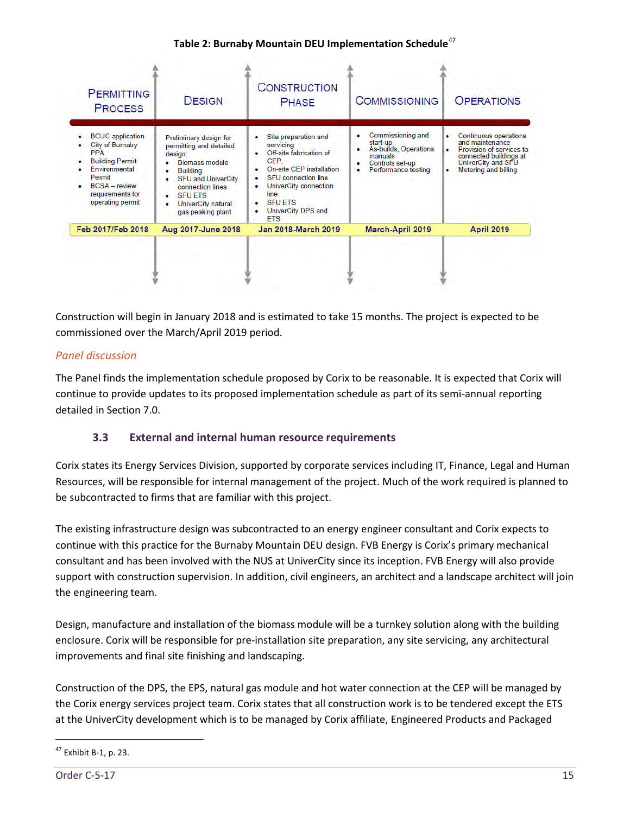## **Table 2: Burnaby Mountain DEU Implementation Schedule**[47](#page-20-1)

| <b>PERMITTING</b><br><b>PROCESS</b>                                                                                                                                      | <b>DESIGN</b>                                                                                                                                                                                                              | <b>CONSTRUCTION</b><br><b>PHASE</b>                                                                                                                                                                                   | <b>COMMISSIONING</b>                                                                                                  | <b>OPERATIONS</b>                                                                                                                                        |
|--------------------------------------------------------------------------------------------------------------------------------------------------------------------------|----------------------------------------------------------------------------------------------------------------------------------------------------------------------------------------------------------------------------|-----------------------------------------------------------------------------------------------------------------------------------------------------------------------------------------------------------------------|-----------------------------------------------------------------------------------------------------------------------|----------------------------------------------------------------------------------------------------------------------------------------------------------|
| <b>BCUC</b> application<br>City of Burnaby<br><b>PPA</b><br><b>Building Permit</b><br>Environmental<br>Permit<br>$BCSA$ – review<br>requirements for<br>operating permit | Preliminary design for<br>permitting and detailed<br>design:<br><b>Biomass module</b><br><b>Building</b><br><b>SFU and UniverCity</b><br>connection lines<br><b>SFUETS</b><br>UniverCity natural<br>٠<br>gas peaking plant | Site preparation and<br>servicing<br>Off-site fabrication of<br>CEP.<br>On-site CEP installation<br><b>SFU</b> connection line<br>UniverCity connection<br>line<br><b>SFU ETS</b><br>UniverCity DPS and<br><b>FTS</b> | Commissioning and<br>٠<br>start-up<br>As-builds, Operations<br>manuals<br>Controls set-up<br>Performance testing<br>٠ | <b>Continuous operations</b><br>٠<br>and maintenance<br>Provision of services to<br>connected buildings at<br>UniverCity and SFU<br>Metering and billing |
| Feb 2017/Feb 2018                                                                                                                                                        | Aug 2017-June 2018                                                                                                                                                                                                         | Jan 2018-March 2019                                                                                                                                                                                                   | <b>March-April 2019</b>                                                                                               | <b>April 2019</b>                                                                                                                                        |

Construction will begin in January 2018 and is estimated to take 15 months. The project is expected to be commissioned over the March/April 2019 period.

# *Panel discussion*

The Panel finds the implementation schedule proposed by Corix to be reasonable. It is expected that Corix will continue to provide updates to its proposed implementation schedule as part of its semi-annual reporting detailed in Section 7.0.

# <span id="page-20-0"></span>**3.3 External and internal human resource requirements**

Corix states its Energy Services Division, supported by corporate services including IT, Finance, Legal and Human Resources, will be responsible for internal management of the project. Much of the work required is planned to be subcontracted to firms that are familiar with this project.

The existing infrastructure design was subcontracted to an energy engineer consultant and Corix expects to continue with this practice for the Burnaby Mountain DEU design. FVB Energy is Corix's primary mechanical consultant and has been involved with the NUS at UniverCity since its inception. FVB Energy will also provide support with construction supervision. In addition, civil engineers, an architect and a landscape architect will join the engineering team.

Design, manufacture and installation of the biomass module will be a turnkey solution along with the building enclosure. Corix will be responsible for pre-installation site preparation, any site servicing, any architectural improvements and final site finishing and landscaping.

Construction of the DPS, the EPS, natural gas module and hot water connection at the CEP will be managed by the Corix energy services project team. Corix states that all construction work is to be tendered except the ETS at the UniverCity development which is to be managed by Corix affiliate, Engineered Products and Packaged

<span id="page-20-1"></span><sup>47</sup> Exhibit B-1, p. 23.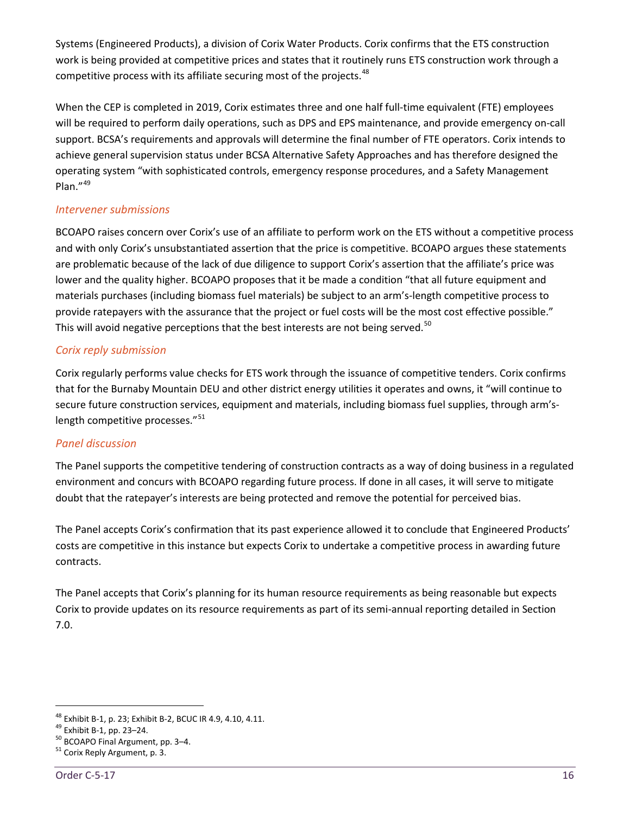Systems (Engineered Products), a division of Corix Water Products. Corix confirms that the ETS construction work is being provided at competitive prices and states that it routinely runs ETS construction work through a competitive process with its affiliate securing most of the projects.<sup>[48](#page-21-0)</sup>

When the CEP is completed in 2019, Corix estimates three and one half full-time equivalent (FTE) employees will be required to perform daily operations, such as DPS and EPS maintenance, and provide emergency on-call support. BCSA's requirements and approvals will determine the final number of FTE operators. Corix intends to achieve general supervision status under BCSA Alternative Safety Approaches and has therefore designed the operating system "with sophisticated controls, emergency response procedures, and a Safety Management Plan."[49](#page-21-1)

# *Intervener submissions*

BCOAPO raises concern over Corix's use of an affiliate to perform work on the ETS without a competitive process and with only Corix's unsubstantiated assertion that the price is competitive. BCOAPO argues these statements are problematic because of the lack of due diligence to support Corix's assertion that the affiliate's price was lower and the quality higher. BCOAPO proposes that it be made a condition "that all future equipment and materials purchases (including biomass fuel materials) be subject to an arm's-length competitive process to provide ratepayers with the assurance that the project or fuel costs will be the most cost effective possible." This will avoid negative perceptions that the best interests are not being served. $50$ 

# *Corix reply submission*

Corix regularly performs value checks for ETS work through the issuance of competitive tenders. Corix confirms that for the Burnaby Mountain DEU and other district energy utilities it operates and owns, it "will continue to secure future construction services, equipment and materials, including biomass fuel supplies, through arm's-length competitive processes."<sup>[51](#page-21-3)</sup>

#### *Panel discussion*

The Panel supports the competitive tendering of construction contracts as a way of doing business in a regulated environment and concurs with BCOAPO regarding future process. If done in all cases, it will serve to mitigate doubt that the ratepayer's interests are being protected and remove the potential for perceived bias.

The Panel accepts Corix's confirmation that its past experience allowed it to conclude that Engineered Products' costs are competitive in this instance but expects Corix to undertake a competitive process in awarding future contracts.

The Panel accepts that Corix's planning for its human resource requirements as being reasonable but expects Corix to provide updates on its resource requirements as part of its semi-annual reporting detailed in Section 7.0.

<span id="page-21-1"></span><span id="page-21-0"></span><sup>&</sup>lt;sup>48</sup> Exhibit B-1, p. 23; Exhibit B-2, BCUC IR 4.9, 4.10, 4.11.<br><sup>49</sup> Exhibit B-1, pp. 23–24.<br><sup>50</sup> BCOAPO Final Argument, pp. 3–4.<br><sup>51</sup> Corix Reply Argument, p. 3.

<span id="page-21-2"></span>

<span id="page-21-3"></span>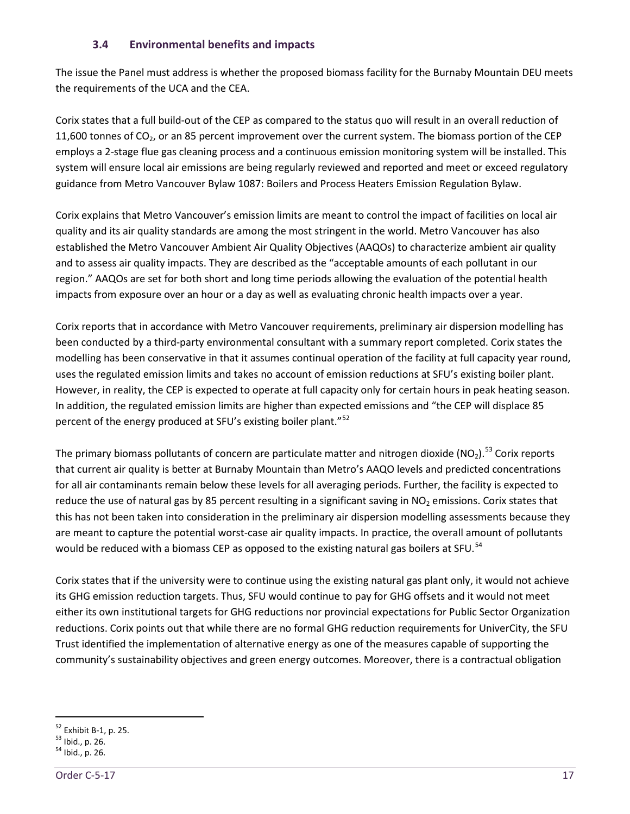#### **3.4 Environmental benefits and impacts**

<span id="page-22-0"></span>The issue the Panel must address is whether the proposed biomass facility for the Burnaby Mountain DEU meets the requirements of the UCA and the CEA.

Corix states that a full build-out of the CEP as compared to the status quo will result in an overall reduction of 11,600 tonnes of  $CO<sub>2</sub>$ , or an 85 percent improvement over the current system. The biomass portion of the CEP employs a 2-stage flue gas cleaning process and a continuous emission monitoring system will be installed. This system will ensure local air emissions are being regularly reviewed and reported and meet or exceed regulatory guidance from Metro Vancouver Bylaw 1087: Boilers and Process Heaters Emission Regulation Bylaw.

Corix explains that Metro Vancouver's emission limits are meant to control the impact of facilities on local air quality and its air quality standards are among the most stringent in the world. Metro Vancouver has also established the Metro Vancouver Ambient Air Quality Objectives (AAQOs) to characterize ambient air quality and to assess air quality impacts. They are described as the "acceptable amounts of each pollutant in our region." AAQOs are set for both short and long time periods allowing the evaluation of the potential health impacts from exposure over an hour or a day as well as evaluating chronic health impacts over a year.

Corix reports that in accordance with Metro Vancouver requirements, preliminary air dispersion modelling has been conducted by a third-party environmental consultant with a summary report completed. Corix states the modelling has been conservative in that it assumes continual operation of the facility at full capacity year round, uses the regulated emission limits and takes no account of emission reductions at SFU's existing boiler plant. However, in reality, the CEP is expected to operate at full capacity only for certain hours in peak heating season. In addition, the regulated emission limits are higher than expected emissions and "the CEP will displace 85 percent of the energy produced at SFU's existing boiler plant."<sup>[52](#page-22-1)</sup>

The primary biomass pollutants of concern are particulate matter and nitrogen dioxide (NO<sub>2</sub>).<sup>[53](#page-22-2)</sup> Corix reports that current air quality is better at Burnaby Mountain than Metro's AAQO levels and predicted concentrations for all air contaminants remain below these levels for all averaging periods. Further, the facility is expected to reduce the use of natural gas by 85 percent resulting in a significant saving in  $NO<sub>2</sub>$  emissions. Corix states that this has not been taken into consideration in the preliminary air dispersion modelling assessments because they are meant to capture the potential worst-case air quality impacts. In practice, the overall amount of pollutants would be reduced with a biomass CEP as opposed to the existing natural gas boilers at SFU.<sup>[54](#page-22-3)</sup>

Corix states that if the university were to continue using the existing natural gas plant only, it would not achieve its GHG emission reduction targets. Thus, SFU would continue to pay for GHG offsets and it would not meet either its own institutional targets for GHG reductions nor provincial expectations for Public Sector Organization reductions. Corix points out that while there are no formal GHG reduction requirements for UniverCity, the SFU Trust identified the implementation of alternative energy as one of the measures capable of supporting the community's sustainability objectives and green energy outcomes. Moreover, there is a contractual obligation

<span id="page-22-1"></span><sup>&</sup>lt;sup>52</sup> Exhibit B-1, p. 25.<br><sup>53</sup> Ibid., p. 26.<br><sup>54</sup> Ibid., p. 26.

<span id="page-22-2"></span>

<span id="page-22-3"></span>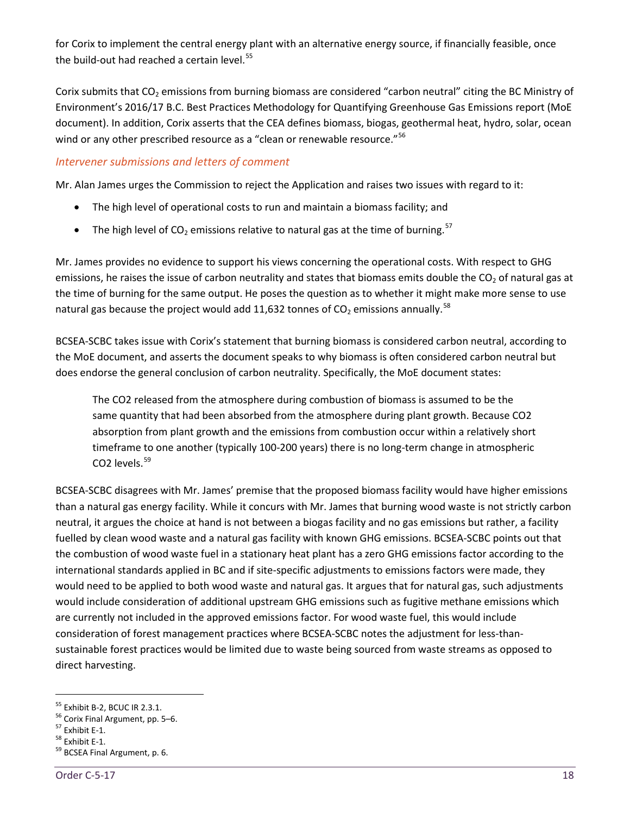for Corix to implement the central energy plant with an alternative energy source, if financially feasible, once the build-out had reached a certain level. $55$ 

Corix submits that  $CO<sub>2</sub>$  emissions from burning biomass are considered "carbon neutral" citing the BC Ministry of Environment's 2016/17 B.C. Best Practices Methodology for Quantifying Greenhouse Gas Emissions report (MoE document). In addition, Corix asserts that the CEA defines biomass, biogas, geothermal heat, hydro, solar, ocean wind or any other prescribed resource as a "clean or renewable resource."<sup>[56](#page-23-1)</sup>

# *Intervener submissions and letters of comment*

Mr. Alan James urges the Commission to reject the Application and raises two issues with regard to it:

- The high level of operational costs to run and maintain a biomass facility; and
- The high level of  $CO_2$  emissions relative to natural gas at the time of burning.<sup>[57](#page-23-2)</sup>

Mr. James provides no evidence to support his views concerning the operational costs. With respect to GHG emissions, he raises the issue of carbon neutrality and states that biomass emits double the  $CO<sub>2</sub>$  of natural gas at the time of burning for the same output. He poses the question as to whether it might make more sense to use natural gas because the project would add 11,632 tonnes of  $CO<sub>2</sub>$  emissions annually.<sup>[58](#page-23-3)</sup>

BCSEA-SCBC takes issue with Corix's statement that burning biomass is considered carbon neutral, according to the MoE document, and asserts the document speaks to why biomass is often considered carbon neutral but does endorse the general conclusion of carbon neutrality. Specifically, the MoE document states:

The CO2 released from the atmosphere during combustion of biomass is assumed to be the same quantity that had been absorbed from the atmosphere during plant growth. Because CO2 absorption from plant growth and the emissions from combustion occur within a relatively short timeframe to one another (typically 100-200 years) there is no long-term change in atmospheric CO<sub>2</sub> levels.<sup>[59](#page-23-4)</sup>

BCSEA-SCBC disagrees with Mr. James' premise that the proposed biomass facility would have higher emissions than a natural gas energy facility. While it concurs with Mr. James that burning wood waste is not strictly carbon neutral, it argues the choice at hand is not between a biogas facility and no gas emissions but rather, a facility fuelled by clean wood waste and a natural gas facility with known GHG emissions. BCSEA-SCBC points out that the combustion of wood waste fuel in a stationary heat plant has a zero GHG emissions factor according to the international standards applied in BC and if site-specific adjustments to emissions factors were made, they would need to be applied to both wood waste and natural gas. It argues that for natural gas, such adjustments would include consideration of additional upstream GHG emissions such as fugitive methane emissions which are currently not included in the approved emissions factor. For wood waste fuel, this would include consideration of forest management practices where BCSEA-SCBC notes the adjustment for less-thansustainable forest practices would be limited due to waste being sourced from waste streams as opposed to direct harvesting.

<span id="page-23-1"></span><span id="page-23-0"></span><sup>&</sup>lt;sup>55</sup> Exhibit B-2, BCUC IR 2.3.1.<br><sup>56</sup> Corix Final Argument, pp. 5–6.<br><sup>57</sup> Exhibit E-1.<br><sup>58</sup> BCSEA Final Argument, p. 6.

<span id="page-23-2"></span>

<span id="page-23-3"></span>

<span id="page-23-4"></span>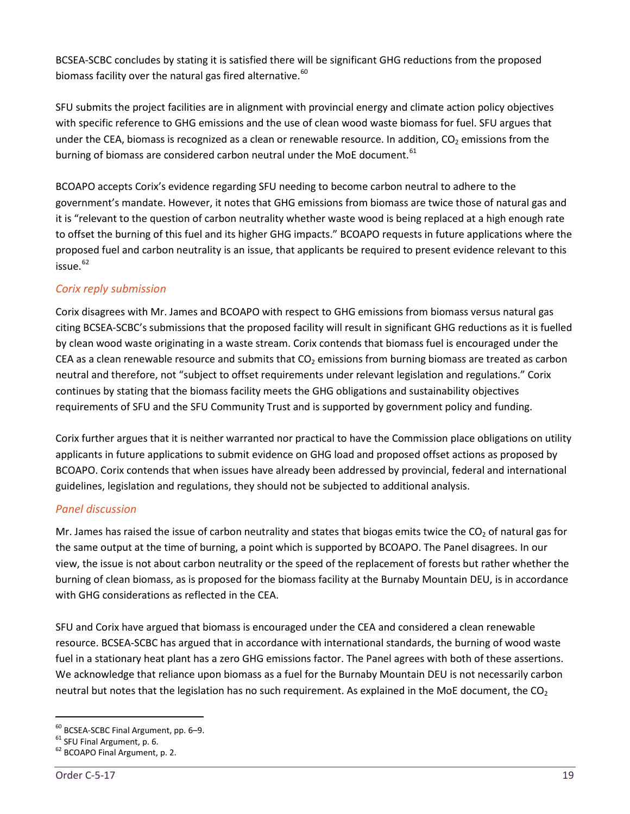BCSEA-SCBC concludes by stating it is satisfied there will be significant GHG reductions from the proposed biomass facility over the natural gas fired alternative.  $60$ 

SFU submits the project facilities are in alignment with provincial energy and climate action policy objectives with specific reference to GHG emissions and the use of clean wood waste biomass for fuel. SFU argues that under the CEA, biomass is recognized as a clean or renewable resource. In addition,  $CO<sub>2</sub>$  emissions from the burning of biomass are considered carbon neutral under the MoE document.<sup>[61](#page-24-1)</sup>

BCOAPO accepts Corix's evidence regarding SFU needing to become carbon neutral to adhere to the government's mandate. However, it notes that GHG emissions from biomass are twice those of natural gas and it is "relevant to the question of carbon neutrality whether waste wood is being replaced at a high enough rate to offset the burning of this fuel and its higher GHG impacts." BCOAPO requests in future applications where the proposed fuel and carbon neutrality is an issue, that applicants be required to present evidence relevant to this  $i$ ssue. $62$ 

# *Corix reply submission*

Corix disagrees with Mr. James and BCOAPO with respect to GHG emissions from biomass versus natural gas citing BCSEA-SCBC's submissions that the proposed facility will result in significant GHG reductions as it is fuelled by clean wood waste originating in a waste stream. Corix contends that biomass fuel is encouraged under the CEA as a clean renewable resource and submits that  $CO<sub>2</sub>$  emissions from burning biomass are treated as carbon neutral and therefore, not "subject to offset requirements under relevant legislation and regulations." Corix continues by stating that the biomass facility meets the GHG obligations and sustainability objectives requirements of SFU and the SFU Community Trust and is supported by government policy and funding.

Corix further argues that it is neither warranted nor practical to have the Commission place obligations on utility applicants in future applications to submit evidence on GHG load and proposed offset actions as proposed by BCOAPO. Corix contends that when issues have already been addressed by provincial, federal and international guidelines, legislation and regulations, they should not be subjected to additional analysis.

# *Panel discussion*

Mr. James has raised the issue of carbon neutrality and states that biogas emits twice the  $CO<sub>2</sub>$  of natural gas for the same output at the time of burning, a point which is supported by BCOAPO. The Panel disagrees. In our view, the issue is not about carbon neutrality or the speed of the replacement of forests but rather whether the burning of clean biomass, as is proposed for the biomass facility at the Burnaby Mountain DEU, is in accordance with GHG considerations as reflected in the CEA.

SFU and Corix have argued that biomass is encouraged under the CEA and considered a clean renewable resource. BCSEA-SCBC has argued that in accordance with international standards, the burning of wood waste fuel in a stationary heat plant has a zero GHG emissions factor. The Panel agrees with both of these assertions. We acknowledge that reliance upon biomass as a fuel for the Burnaby Mountain DEU is not necessarily carbon neutral but notes that the legislation has no such requirement. As explained in the MoE document, the  $CO<sub>2</sub>$ 

<span id="page-24-0"></span><sup>&</sup>lt;sup>60</sup> BCSEA-SCBC Final Argument, pp. 6–9.<br><sup>61</sup> SFU Final Argument, p. 6.<br><sup>62</sup> BCOAPO Final Argument, p. 2.

<span id="page-24-1"></span>

<span id="page-24-2"></span>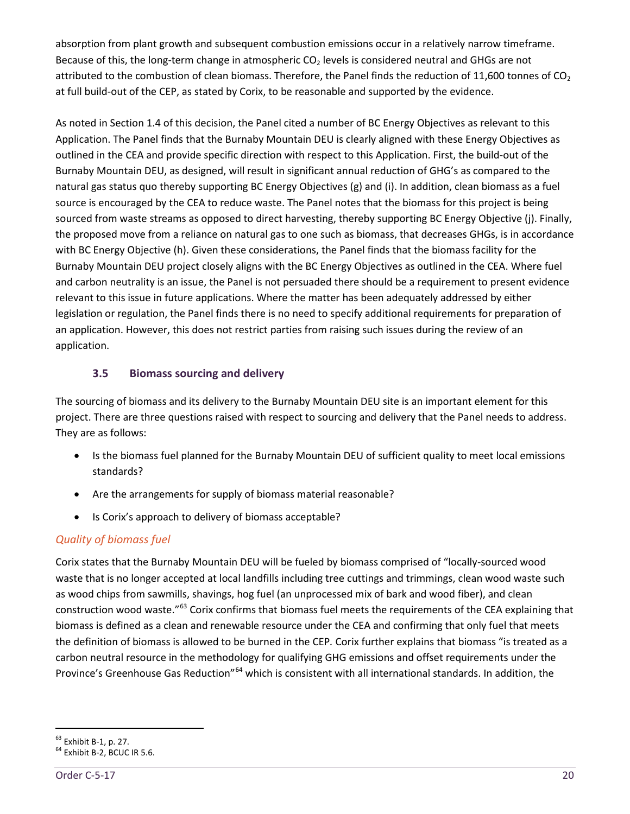absorption from plant growth and subsequent combustion emissions occur in a relatively narrow timeframe. Because of this, the long-term change in atmospheric  $CO<sub>2</sub>$  levels is considered neutral and GHGs are not attributed to the combustion of clean biomass. Therefore, the Panel finds the reduction of 11,600 tonnes of  $CO<sub>2</sub>$ at full build-out of the CEP, as stated by Corix, to be reasonable and supported by the evidence.

As noted in Section 1.4 of this decision, the Panel cited a number of BC Energy Objectives as relevant to this Application. The Panel finds that the Burnaby Mountain DEU is clearly aligned with these Energy Objectives as outlined in the CEA and provide specific direction with respect to this Application. First, the build-out of the Burnaby Mountain DEU, as designed, will result in significant annual reduction of GHG's as compared to the natural gas status quo thereby supporting BC Energy Objectives (g) and (i). In addition, clean biomass as a fuel source is encouraged by the CEA to reduce waste. The Panel notes that the biomass for this project is being sourced from waste streams as opposed to direct harvesting, thereby supporting BC Energy Objective (j). Finally, the proposed move from a reliance on natural gas to one such as biomass, that decreases GHGs, is in accordance with BC Energy Objective (h). Given these considerations, the Panel finds that the biomass facility for the Burnaby Mountain DEU project closely aligns with the BC Energy Objectives as outlined in the CEA. Where fuel and carbon neutrality is an issue, the Panel is not persuaded there should be a requirement to present evidence relevant to this issue in future applications. Where the matter has been adequately addressed by either legislation or regulation, the Panel finds there is no need to specify additional requirements for preparation of an application. However, this does not restrict parties from raising such issues during the review of an application.

# **3.5 Biomass sourcing and delivery**

<span id="page-25-0"></span>The sourcing of biomass and its delivery to the Burnaby Mountain DEU site is an important element for this project. There are three questions raised with respect to sourcing and delivery that the Panel needs to address. They are as follows:

- Is the biomass fuel planned for the Burnaby Mountain DEU of sufficient quality to meet local emissions standards?
- Are the arrangements for supply of biomass material reasonable?
- Is Corix's approach to delivery of biomass acceptable?

# *Quality of biomass fuel*

Corix states that the Burnaby Mountain DEU will be fueled by biomass comprised of "locally-sourced wood waste that is no longer accepted at local landfills including tree cuttings and trimmings, clean wood waste such as wood chips from sawmills, shavings, hog fuel (an unprocessed mix of bark and wood fiber), and clean construction wood waste."[63](#page-25-1) Corix confirms that biomass fuel meets the requirements of the CEA explaining that biomass is defined as a clean and renewable resource under the CEA and confirming that only fuel that meets the definition of biomass is allowed to be burned in the CEP*.* Corix further explains that biomass "is treated as a carbon neutral resource in the methodology for qualifying GHG emissions and offset requirements under the Province's Greenhouse Gas Reduction"<sup>[64](#page-25-2)</sup> which is consistent with all international standards. In addition, the

<span id="page-25-1"></span> $^{63}$  Exhibit B-1, p. 27.<br> $^{64}$  Exhibit B-2, BCUC IR 5.6.

<span id="page-25-2"></span>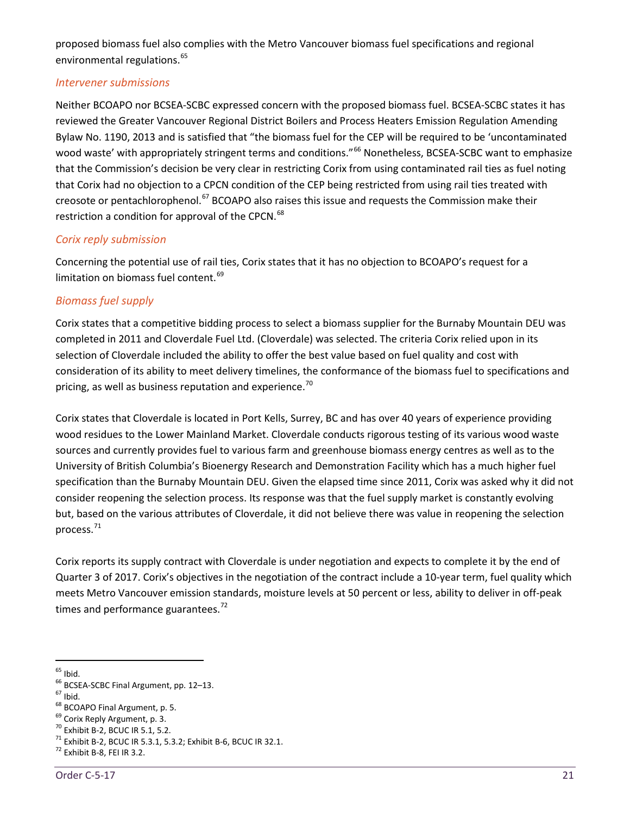proposed biomass fuel also complies with the Metro Vancouver biomass fuel specifications and regional environmental regulations.<sup>[65](#page-26-0)</sup>

#### *Intervener submissions*

Neither BCOAPO nor BCSEA-SCBC expressed concern with the proposed biomass fuel. BCSEA-SCBC states it has reviewed the Greater Vancouver Regional District Boilers and Process Heaters Emission Regulation Amending Bylaw No. 1190, 2013 and is satisfied that "the biomass fuel for the CEP will be required to be 'uncontaminated wood waste' with appropriately stringent terms and conditions."<sup>[66](#page-26-1)</sup> Nonetheless, BCSEA-SCBC want to emphasize that the Commission's decision be very clear in restricting Corix from using contaminated rail ties as fuel noting that Corix had no objection to a CPCN condition of the CEP being restricted from using rail ties treated with creosote or pentachlorophenol.<sup>[67](#page-26-2)</sup> BCOAPO also raises this issue and requests the Commission make their restriction a condition for approval of the CPCN.<sup>[68](#page-26-3)</sup>

# *Corix reply submission*

Concerning the potential use of rail ties, Corix states that it has no objection to BCOAPO's request for a limitation on biomass fuel content.<sup>[69](#page-26-4)</sup>

# *Biomass fuel supply*

Corix states that a competitive bidding process to select a biomass supplier for the Burnaby Mountain DEU was completed in 2011 and Cloverdale Fuel Ltd. (Cloverdale) was selected. The criteria Corix relied upon in its selection of Cloverdale included the ability to offer the best value based on fuel quality and cost with consideration of its ability to meet delivery timelines, the conformance of the biomass fuel to specifications and pricing, as well as business reputation and experience. $70$ 

Corix states that Cloverdale is located in Port Kells, Surrey, BC and has over 40 years of experience providing wood residues to the Lower Mainland Market. Cloverdale conducts rigorous testing of its various wood waste sources and currently provides fuel to various farm and greenhouse biomass energy centres as well as to the University of British Columbia's Bioenergy Research and Demonstration Facility which has a much higher fuel specification than the Burnaby Mountain DEU. Given the elapsed time since 2011, Corix was asked why it did not consider reopening the selection process. Its response was that the fuel supply market is constantly evolving but, based on the various attributes of Cloverdale, it did not believe there was value in reopening the selection process.[71](#page-26-6)

Corix reports its supply contract with Cloverdale is under negotiation and expects to complete it by the end of Quarter 3 of 2017. Corix's objectives in the negotiation of the contract include a 10-year term, fuel quality which meets Metro Vancouver emission standards, moisture levels at 50 percent or less, ability to deliver in off-peak times and performance guarantees. $^{72}$  $^{72}$  $^{72}$ 

<span id="page-26-2"></span>

<span id="page-26-3"></span>

<span id="page-26-4"></span>

<span id="page-26-6"></span><span id="page-26-5"></span>

<span id="page-26-1"></span><span id="page-26-0"></span><sup>&</sup>lt;sup>65</sup> Ibid.<br>
<sup>66</sup> BCSEA-SCBC Final Argument, pp. 12–13.<br>
<sup>67</sup> Ibid.<br>
<sup>68</sup> BCOAPO Final Argument, p. 5.<br>
<sup>69</sup> Corix Reply Argument, p. 3.<br>
<sup>70</sup> Exhibit B-2, BCUC IR 5.1, 5.2.<br>
<sup>71</sup> Exhibit B-2, BCUC IR 5.3.1, 5.3.2; Exhibit

<span id="page-26-7"></span>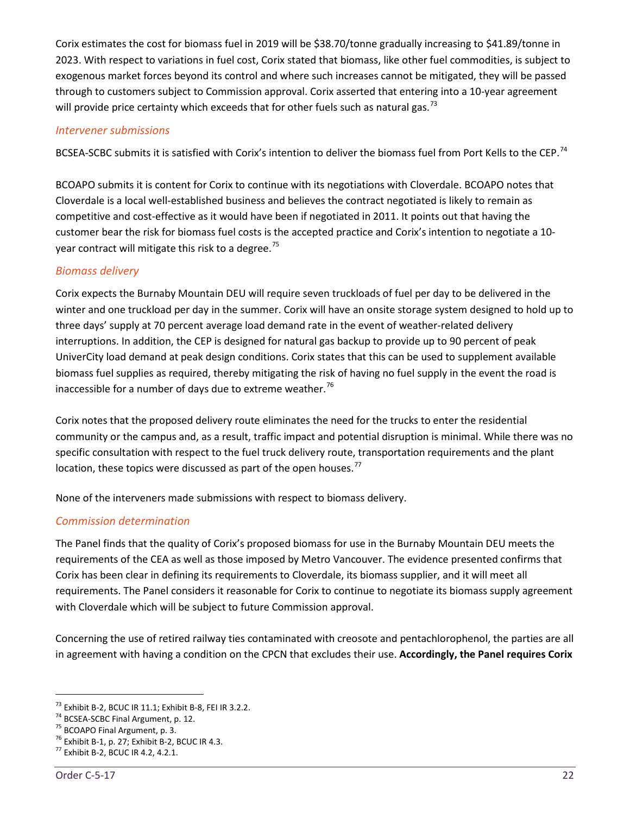Corix estimates the cost for biomass fuel in 2019 will be \$38.70/tonne gradually increasing to \$41.89/tonne in 2023. With respect to variations in fuel cost, Corix stated that biomass, like other fuel commodities, is subject to exogenous market forces beyond its control and where such increases cannot be mitigated, they will be passed through to customers subject to Commission approval. Corix asserted that entering into a 10-year agreement will provide price certainty which exceeds that for other fuels such as natural gas.<sup>[73](#page-27-0)</sup>

#### *Intervener submissions*

BCSEA-SCBC submits it is satisfied with Corix's intention to deliver the biomass fuel from Port Kells to the CEP.<sup>[74](#page-27-1)</sup>

BCOAPO submits it is content for Corix to continue with its negotiations with Cloverdale. BCOAPO notes that Cloverdale is a local well-established business and believes the contract negotiated is likely to remain as competitive and cost-effective as it would have been if negotiated in 2011. It points out that having the customer bear the risk for biomass fuel costs is the accepted practice and Corix's intention to negotiate a 10- year contract will mitigate this risk to a degree.<sup>[75](#page-27-2)</sup>

# *Biomass delivery*

Corix expects the Burnaby Mountain DEU will require seven truckloads of fuel per day to be delivered in the winter and one truckload per day in the summer. Corix will have an onsite storage system designed to hold up to three days' supply at 70 percent average load demand rate in the event of weather-related delivery interruptions. In addition, the CEP is designed for natural gas backup to provide up to 90 percent of peak UniverCity load demand at peak design conditions. Corix states that this can be used to supplement available biomass fuel supplies as required, thereby mitigating the risk of having no fuel supply in the event the road is inaccessible for a number of days due to extreme weather.<sup>[76](#page-27-3)</sup>

Corix notes that the proposed delivery route eliminates the need for the trucks to enter the residential community or the campus and, as a result, traffic impact and potential disruption is minimal. While there was no specific consultation with respect to the fuel truck delivery route, transportation requirements and the plant location, these topics were discussed as part of the open houses. $<sup>77</sup>$  $<sup>77</sup>$  $<sup>77</sup>$ </sup>

None of the interveners made submissions with respect to biomass delivery.

#### *Commission determination*

The Panel finds that the quality of Corix's proposed biomass for use in the Burnaby Mountain DEU meets the requirements of the CEA as well as those imposed by Metro Vancouver. The evidence presented confirms that Corix has been clear in defining its requirements to Cloverdale, its biomass supplier, and it will meet all requirements. The Panel considers it reasonable for Corix to continue to negotiate its biomass supply agreement with Cloverdale which will be subject to future Commission approval.

Concerning the use of retired railway ties contaminated with creosote and pentachlorophenol, the parties are all in agreement with having a condition on the CPCN that excludes their use. **Accordingly, the Panel requires Corix** 

<span id="page-27-1"></span><span id="page-27-0"></span><sup>&</sup>lt;sup>73</sup> Exhibit B-2, BCUC IR 11.1; Exhibit B-8, FEI IR 3.2.2.<br><sup>74</sup> BCSEA-SCBC Final Argument, p. 12.<br><sup>75</sup> BCOAPO Final Argument, p. 3.<br><sup>76</sup> Exhibit B-1, p. 27; Exhibit B-2, BCUC IR 4.3.<br><sup>77</sup> Exhibit B-2, BCUC IR 4.2, 4.2.1.

<span id="page-27-2"></span>

<span id="page-27-4"></span><span id="page-27-3"></span>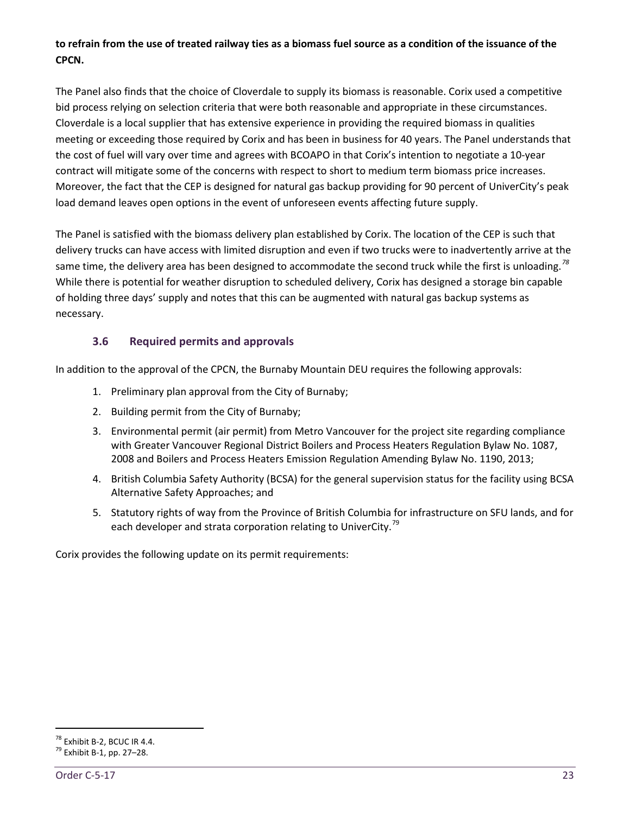# **to refrain from the use of treated railway ties as a biomass fuel source as a condition of the issuance of the CPCN.**

The Panel also finds that the choice of Cloverdale to supply its biomass is reasonable. Corix used a competitive bid process relying on selection criteria that were both reasonable and appropriate in these circumstances. Cloverdale is a local supplier that has extensive experience in providing the required biomass in qualities meeting or exceeding those required by Corix and has been in business for 40 years. The Panel understands that the cost of fuel will vary over time and agrees with BCOAPO in that Corix's intention to negotiate a 10-year contract will mitigate some of the concerns with respect to short to medium term biomass price increases. Moreover, the fact that the CEP is designed for natural gas backup providing for 90 percent of UniverCity's peak load demand leaves open options in the event of unforeseen events affecting future supply.

The Panel is satisfied with the biomass delivery plan established by Corix. The location of the CEP is such that delivery trucks can have access with limited disruption and even if two trucks were to inadvertently arrive at the same time, the delivery area has been designed to accommodate the second truck while the first is unloading.*[78](#page-28-1)* While there is potential for weather disruption to scheduled delivery, Corix has designed a storage bin capable of holding three days' supply and notes that this can be augmented with natural gas backup systems as necessary.

# **3.6 Required permits and approvals**

<span id="page-28-0"></span>In addition to the approval of the CPCN, the Burnaby Mountain DEU requires the following approvals:

- 1. Preliminary plan approval from the City of Burnaby;
- 2. Building permit from the City of Burnaby;
- 3. Environmental permit (air permit) from Metro Vancouver for the project site regarding compliance with Greater Vancouver Regional District Boilers and Process Heaters Regulation Bylaw No. 1087, 2008 and Boilers and Process Heaters Emission Regulation Amending Bylaw No. 1190, 2013;
- 4. British Columbia Safety Authority (BCSA) for the general supervision status for the facility using BCSA Alternative Safety Approaches; and
- 5. Statutory rights of way from the Province of British Columbia for infrastructure on SFU lands, and for each developer and strata corporation relating to UniverCity.<sup>[79](#page-28-2)</sup>

Corix provides the following update on its permit requirements:

<span id="page-28-1"></span><sup>&</sup>lt;sup>78</sup> Exhibit B-2, BCUC IR 4.4.<br><sup>79</sup> Exhibit B-1, pp. 27–28.

<span id="page-28-2"></span>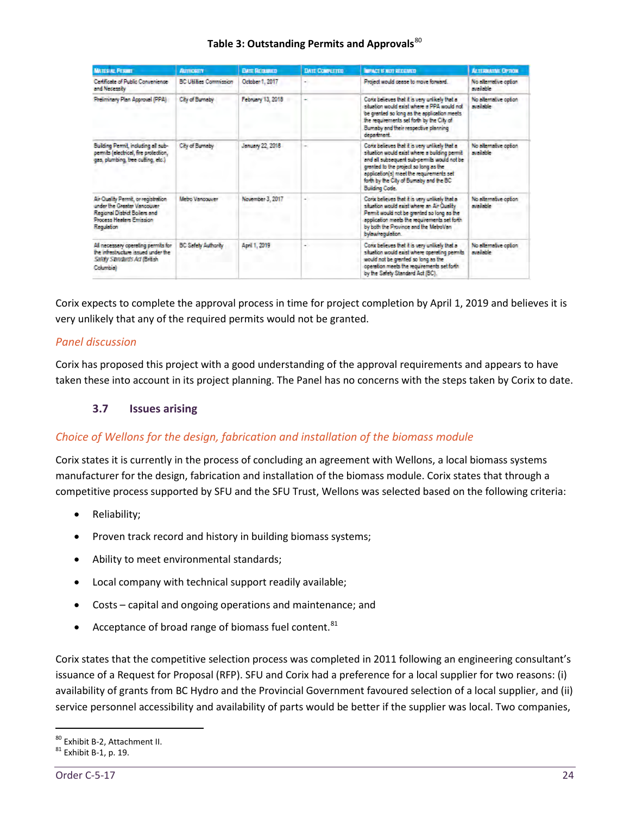| <b>MATERIAL PERMIT</b>                                                                                                                        | <b>AUTHORITY</b>              | <b>DATE REQUIRED</b> | <b>DATE CONFLETED</b> | <b>INFACT IF NOT RECEIVED</b>                                                                                                                                                                                                                                                                         | <b>ALTERNATIVE CETION</b>             |
|-----------------------------------------------------------------------------------------------------------------------------------------------|-------------------------------|----------------------|-----------------------|-------------------------------------------------------------------------------------------------------------------------------------------------------------------------------------------------------------------------------------------------------------------------------------------------------|---------------------------------------|
| Certificate of Public Convenience<br>and Necessary                                                                                            | <b>BC Utilizes Commission</b> | October 1, 2017      | ۰                     | Project would cease to move forward.                                                                                                                                                                                                                                                                  | No alternative option.<br>model-le-   |
| Preiminary Plan Approval (PPA)                                                                                                                | City of Burneby               | February 13, 2018    |                       | Conx believes that it is very unlikely that a<br>situation would exist where a PPA would not<br>be granted so long as the application meets.<br>the requirements set forth by the City of<br>Bumaby and their respective planning<br>department.                                                      | No alternative option<br>svalable.    |
| Building Permit, including all sub-<br>permits (electrical, fire protection,<br>gas, plumbing, tree cutting, etc.)                            | City of Burnetry              | January 22, 2018     | ÷                     | Conx believes that it is very unlikely that a<br>stuation would exist where a building permit<br>and all subsequent sub-permits would not be<br>granted to the project so long as the<br>application(s) meet the requirements set<br>forth by the City of Burnaby and the BC<br><b>Building Code.</b> | No alternative option<br>available.   |
| Air Quality Pennit, or registration<br>under the Greeke Vancouver<br>Regional District Boilers and<br>Process Heaters Envission<br>Regulation | Metro Vancouver               | November 3, 2017     |                       | Corix believes that it is very unlikely that a<br>situation would exist where an Air Quality<br>Permit would not be grented so long as the<br>application meets the requirements set forth<br>by both the Province and the MeboVan<br>bylowireguiction.                                               | No alternative option<br>care in big- |
| All necessary operating permits for<br>he interbucket issued under the<br>Safety Standard's Act (British<br>Columbial                         | <b>BC Safety Authority</b>    | April 1, 2019        |                       | Conx believes that it is very unlikely that a<br>situation would exist where operating permits<br>would not be grented so long as the<br>operation meets the requirements set forth<br>by the Safety Standard Act (BC).                                                                               | No efternative option<br>available.   |

#### **Table 3: Outstanding Permits and Approvals**[80](#page-29-1)

Corix expects to complete the approval process in time for project completion by April 1, 2019 and believes it is very unlikely that any of the required permits would not be granted.

# *Panel discussion*

<span id="page-29-0"></span>Corix has proposed this project with a good understanding of the approval requirements and appears to have taken these into account in its project planning. The Panel has no concerns with the steps taken by Corix to date.

# **3.7 Issues arising**

# *Choice of Wellons for the design, fabrication and installation of the biomass module*

Corix states it is currently in the process of concluding an agreement with Wellons, a local biomass systems manufacturer for the design, fabrication and installation of the biomass module. Corix states that through a competitive process supported by SFU and the SFU Trust, Wellons was selected based on the following criteria:

- Reliability;
- Proven track record and history in building biomass systems;
- Ability to meet environmental standards;
- Local company with technical support readily available;
- Costs capital and ongoing operations and maintenance; and
- Acceptance of broad range of biomass fuel content.<sup>[81](#page-29-2)</sup>

Corix states that the competitive selection process was completed in 2011 following an engineering consultant's issuance of a Request for Proposal (RFP). SFU and Corix had a preference for a local supplier for two reasons: (i) availability of grants from BC Hydro and the Provincial Government favoured selection of a local supplier, and (ii) service personnel accessibility and availability of parts would be better if the supplier was local. Two companies,

<span id="page-29-1"></span> $80$  Exhibit B-2, Attachment II.<br> $81$  Exhibit B-1, p. 19.

<span id="page-29-2"></span>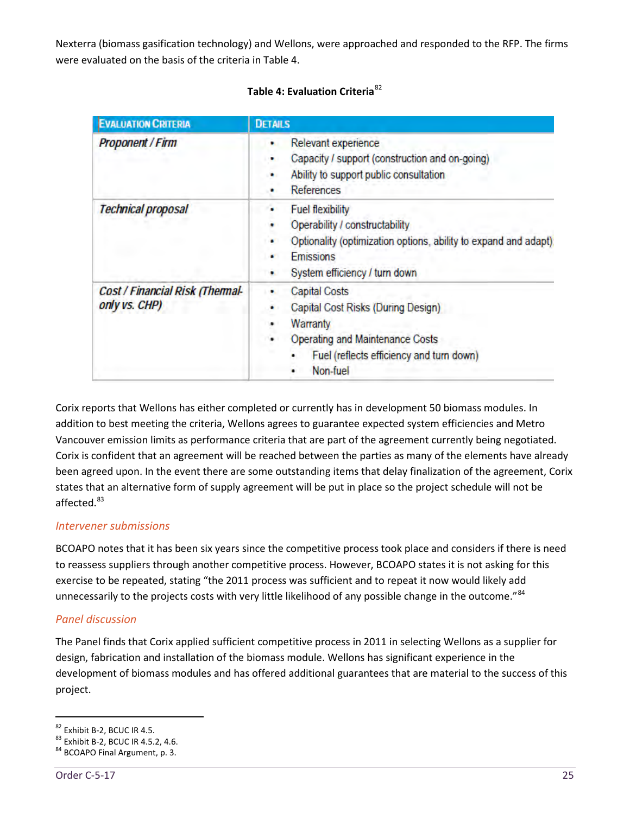Nexterra (biomass gasification technology) and Wellons, were approached and responded to the RFP. The firms were evaluated on the basis of the criteria in Table 4.

| <b>EVALUATION CRITERIA</b>                       | <b>DETAILS</b>                                                                                                                                                                         |
|--------------------------------------------------|----------------------------------------------------------------------------------------------------------------------------------------------------------------------------------------|
| <b>Proponent / Firm</b>                          | Relevant experience<br>Capacity / support (construction and on-going)<br>Ability to support public consultation<br>٠<br><b>References</b><br>٠                                         |
| <b>Technical proposal</b>                        | <b>Fuel flexibility</b><br>Operability / constructability<br>Optionality (optimization options, ability to expand and adapt)<br>٠<br><b>Emissions</b><br>System efficiency / turn down |
| Cost / Financial Risk (Thermal-<br>only vs. CHP) | <b>Capital Costs</b><br>Capital Cost Risks (During Design)<br>Warranty<br>۰<br><b>Operating and Maintenance Costs</b><br>Fuel (reflects efficiency and turn down)<br>Non-fuel          |

#### **Table 4: Evaluation Criteria**[82](#page-30-0)

Corix reports that Wellons has either completed or currently has in development 50 biomass modules. In addition to best meeting the criteria, Wellons agrees to guarantee expected system efficiencies and Metro Vancouver emission limits as performance criteria that are part of the agreement currently being negotiated. Corix is confident that an agreement will be reached between the parties as many of the elements have already been agreed upon. In the event there are some outstanding items that delay finalization of the agreement, Corix states that an alternative form of supply agreement will be put in place so the project schedule will not be affected.<sup>[83](#page-30-1)</sup>

#### *Intervener submissions*

BCOAPO notes that it has been six years since the competitive process took place and considers if there is need to reassess suppliers through another competitive process. However, BCOAPO states it is not asking for this exercise to be repeated, stating "the 2011 process was sufficient and to repeat it now would likely add unnecessarily to the projects costs with very little likelihood of any possible change in the outcome."<sup>[84](#page-30-2)</sup>

# *Panel discussion*

The Panel finds that Corix applied sufficient competitive process in 2011 in selecting Wellons as a supplier for design, fabrication and installation of the biomass module. Wellons has significant experience in the development of biomass modules and has offered additional guarantees that are material to the success of this project.

<span id="page-30-1"></span><span id="page-30-0"></span><sup>&</sup>lt;sup>82</sup> Exhibit B-2, BCUC IR 4.5.<br><sup>83</sup> Exhibit B-2, BCUC IR 4.5.2, 4.6.<br><sup>84</sup> BCOAPO Final Argument, p. 3.

<span id="page-30-2"></span>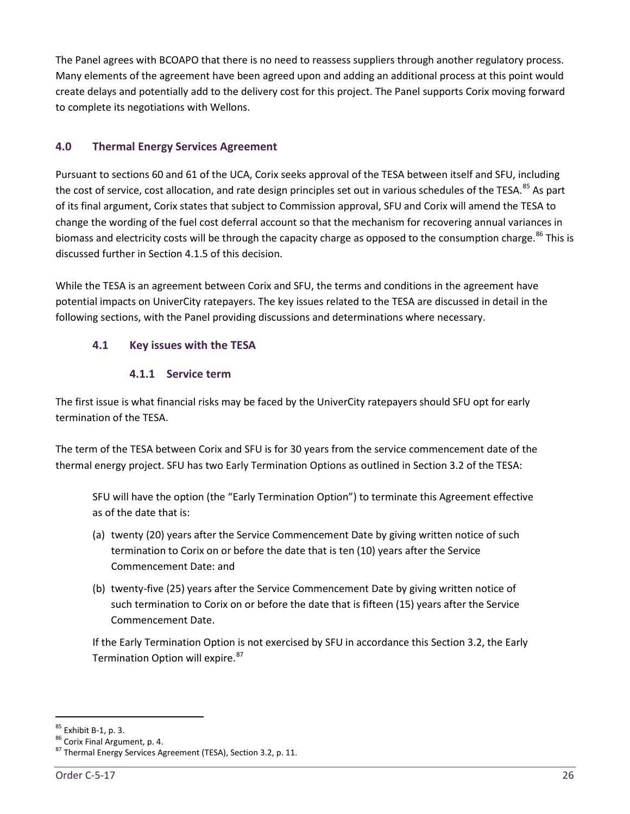The Panel agrees with BCOAPO that there is no need to reassess suppliers through another regulatory process. Many elements of the agreement have been agreed upon and adding an additional process at this point would create delays and potentially add to the delivery cost for this project. The Panel supports Corix moving forward to complete its negotiations with Wellons.

# <span id="page-31-0"></span>**4.0 Thermal Energy Services Agreement**

Pursuant to sections 60 and 61 of the UCA, Corix seeks approval of the TESA between itself and SFU, including the cost of service, cost allocation, and rate design principles set out in various schedules of the TESA.<sup>[85](#page-31-3)</sup> As part of its final argument, Corix states that subject to Commission approval, SFU and Corix will amend the TESA to change the wording of the fuel cost deferral account so that the mechanism for recovering annual variances in biomass and electricity costs will be through the capacity charge as opposed to the consumption charge.<sup>[86](#page-31-4)</sup> This is discussed further in Section 4.1.5 of this decision.

While the TESA is an agreement between Corix and SFU, the terms and conditions in the agreement have potential impacts on UniverCity ratepayers. The key issues related to the TESA are discussed in detail in the following sections, with the Panel providing discussions and determinations where necessary.

# <span id="page-31-1"></span>**4.1 Key issues with the TESA**

# **4.1.1 Service term**

<span id="page-31-2"></span>The first issue is what financial risks may be faced by the UniverCity ratepayers should SFU opt for early termination of the TESA.

The term of the TESA between Corix and SFU is for 30 years from the service commencement date of the thermal energy project. SFU has two Early Termination Options as outlined in Section 3.2 of the TESA:

SFU will have the option (the "Early Termination Option") to terminate this Agreement effective as of the date that is:

- (a) twenty (20) years after the Service Commencement Date by giving written notice of such termination to Corix on or before the date that is ten (10) years after the Service Commencement Date: and
- (b) twenty-five (25) years after the Service Commencement Date by giving written notice of such termination to Corix on or before the date that is fifteen (15) years after the Service Commencement Date.

If the Early Termination Option is not exercised by SFU in accordance this Section 3.2, the Early Termination Option will expire.<sup>[87](#page-31-5)</sup>

<span id="page-31-5"></span><span id="page-31-4"></span>

<span id="page-31-3"></span><sup>&</sup>lt;sup>85</sup> Exhibit B-1, p. 3.<br><sup>86</sup> Corix Final Argument, p. 4.<br><sup>87</sup> Thermal Energy Services Agreement (TESA), Section 3.2, p. 11.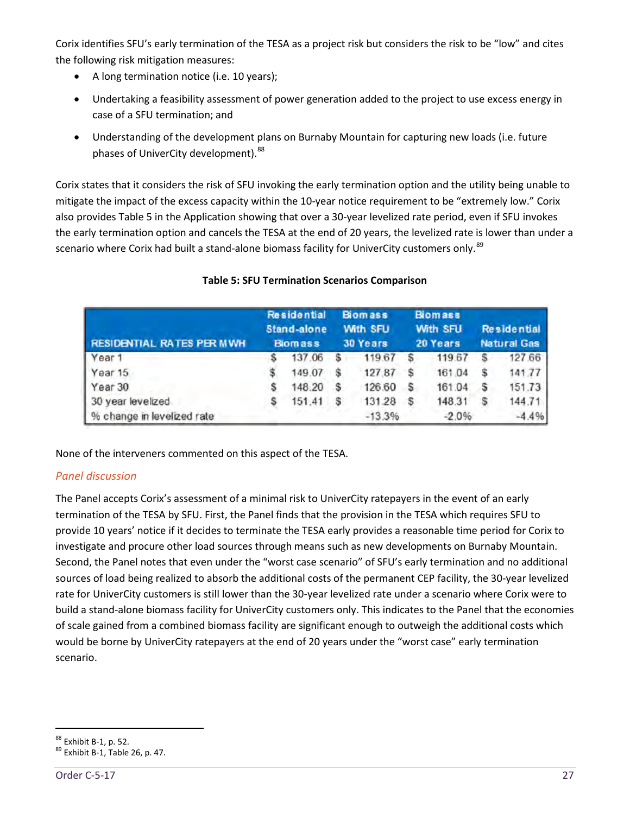Corix identifies SFU's early termination of the TESA as a project risk but considers the risk to be "low" and cites the following risk mitigation measures:

- A long termination notice (i.e. 10 years);
- Undertaking a feasibility assessment of power generation added to the project to use excess energy in case of a SFU termination; and
- Understanding of the development plans on Burnaby Mountain for capturing new loads (i.e. future phases of UniverCity development). [88](#page-32-0)

Corix states that it considers the risk of SFU invoking the early termination option and the utility being unable to mitigate the impact of the excess capacity within the 10-year notice requirement to be "extremely low." Corix also provides Table 5 in the Application showing that over a 30-year levelized rate period, even if SFU invokes the early termination option and cancels the TESA at the end of 20 years, the levelized rate is lower than under a scenario where Corix had built a stand-alone biomass facility for UniverCity customers only.<sup>[89](#page-32-1)</sup>

| <b>RESIDENTIAL RATES PER MWH</b> |  | <b>Residential</b><br>Stand-alone<br><b>Biomass</b> |  | <b>Biomass</b><br><b>With SFU</b><br><b>30 Years</b> |   | <b>Biomass</b><br><b>With SFU</b><br>20 Years |  | <b>Residential</b><br><b>Natural Gas</b> |  |
|----------------------------------|--|-----------------------------------------------------|--|------------------------------------------------------|---|-----------------------------------------------|--|------------------------------------------|--|
| Year 1                           |  | 137.06                                              |  | 119.67                                               |   | 119.67                                        |  | 127.66                                   |  |
| Year 15                          |  | 149.07                                              |  | 12787                                                |   | 161.04                                        |  | 141,77                                   |  |
| Year 30                          |  | 148.20                                              |  | 126.60                                               | s | 161.04                                        |  | 151.73                                   |  |
| 30 year levelized                |  | 151.41                                              |  | 131.28                                               | s | 148.31                                        |  | 144.71                                   |  |
| % change in levelized rate       |  |                                                     |  | $-13.3%$                                             |   | $-2.0%$                                       |  | $-4.4%$                                  |  |

# **Table 5: SFU Termination Scenarios Comparison**

None of the interveners commented on this aspect of the TESA.

# *Panel discussion*

The Panel accepts Corix's assessment of a minimal risk to UniverCity ratepayers in the event of an early termination of the TESA by SFU. First, the Panel finds that the provision in the TESA which requires SFU to provide 10 years' notice if it decides to terminate the TESA early provides a reasonable time period for Corix to investigate and procure other load sources through means such as new developments on Burnaby Mountain. Second, the Panel notes that even under the "worst case scenario" of SFU's early termination and no additional sources of load being realized to absorb the additional costs of the permanent CEP facility, the 30-year levelized rate for UniverCity customers is still lower than the 30-year levelized rate under a scenario where Corix were to build a stand-alone biomass facility for UniverCity customers only. This indicates to the Panel that the economies of scale gained from a combined biomass facility are significant enough to outweigh the additional costs which would be borne by UniverCity ratepayers at the end of 20 years under the "worst case" early termination scenario.

<span id="page-32-1"></span><span id="page-32-0"></span> $88 \text{ Exhibit B-1, p. 52.}$ <br> $89 \text{ Exhibit B-1, Table 26, p. 47.}$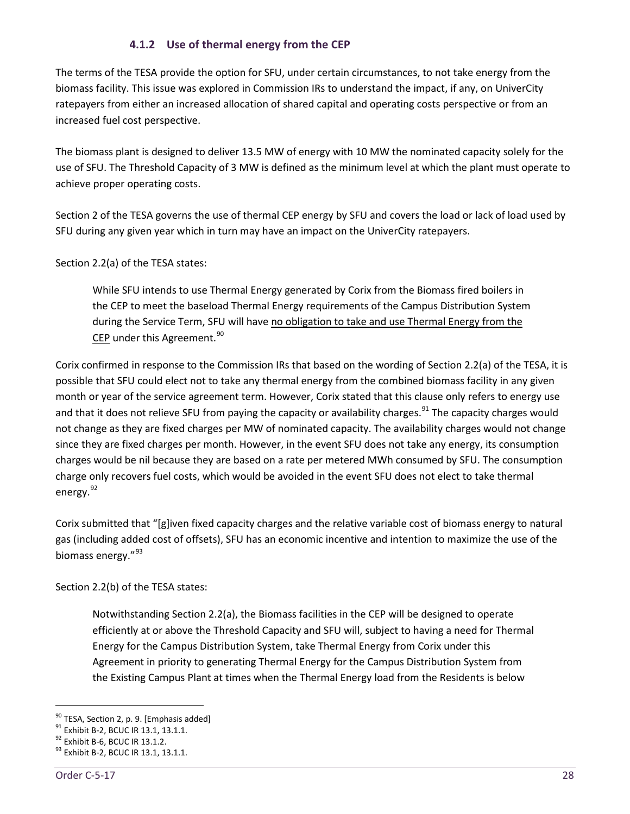# **4.1.2 Use of thermal energy from the CEP**

<span id="page-33-0"></span>The terms of the TESA provide the option for SFU, under certain circumstances, to not take energy from the biomass facility. This issue was explored in Commission IRs to understand the impact, if any, on UniverCity ratepayers from either an increased allocation of shared capital and operating costs perspective or from an increased fuel cost perspective.

The biomass plant is designed to deliver 13.5 MW of energy with 10 MW the nominated capacity solely for the use of SFU. The Threshold Capacity of 3 MW is defined as the minimum level at which the plant must operate to achieve proper operating costs.

Section 2 of the TESA governs the use of thermal CEP energy by SFU and covers the load or lack of load used by SFU during any given year which in turn may have an impact on the UniverCity ratepayers.

Section 2.2(a) of the TESA states:

While SFU intends to use Thermal Energy generated by Corix from the Biomass fired boilers in the CEP to meet the baseload Thermal Energy requirements of the Campus Distribution System during the Service Term, SFU will have no obligation to take and use Thermal Energy from the CEP under this Agreement. [90](#page-33-1)

Corix confirmed in response to the Commission IRs that based on the wording of Section 2.2(a) of the TESA, it is possible that SFU could elect not to take any thermal energy from the combined biomass facility in any given month or year of the service agreement term. However, Corix stated that this clause only refers to energy use and that it does not relieve SFU from paying the capacity or availability charges.<sup>[91](#page-33-2)</sup> The capacity charges would not change as they are fixed charges per MW of nominated capacity. The availability charges would not change since they are fixed charges per month. However, in the event SFU does not take any energy, its consumption charges would be nil because they are based on a rate per metered MWh consumed by SFU. The consumption charge only recovers fuel costs, which would be avoided in the event SFU does not elect to take thermal energy.<sup>[92](#page-33-3)</sup>

Corix submitted that "[g]iven fixed capacity charges and the relative variable cost of biomass energy to natural gas (including added cost of offsets), SFU has an economic incentive and intention to maximize the use of the biomass energy."<sup>[93](#page-33-4)</sup>

Section 2.2(b) of the TESA states:

Notwithstanding Section 2.2(a), the Biomass facilities in the CEP will be designed to operate efficiently at or above the Threshold Capacity and SFU will, subject to having a need for Thermal Energy for the Campus Distribution System, take Thermal Energy from Corix under this Agreement in priority to generating Thermal Energy for the Campus Distribution System from the Existing Campus Plant at times when the Thermal Energy load from the Residents is below

<span id="page-33-2"></span><span id="page-33-1"></span><sup>&</sup>lt;sup>90</sup> TESA, Section 2, p. 9. [Emphasis added]<br><sup>91</sup> Exhibit B-2, BCUC IR 13.1, 13.1.1.<br><sup>92</sup> Exhibit B-6, BCUC IR 13.1.2.<br><sup>93</sup> Exhibit B-2, BCUC IR 13.1, 13.1.1.

<span id="page-33-3"></span>

<span id="page-33-4"></span>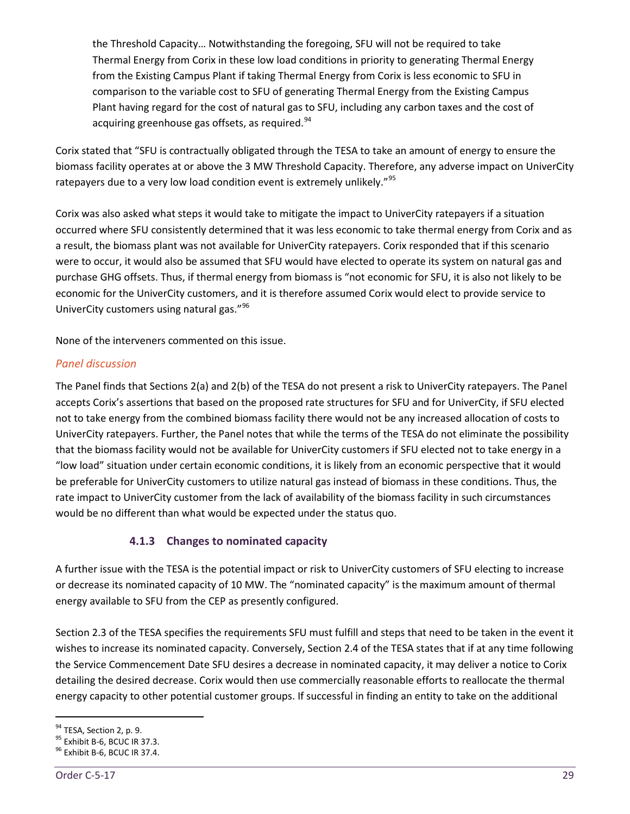the Threshold Capacity… Notwithstanding the foregoing, SFU will not be required to take Thermal Energy from Corix in these low load conditions in priority to generating Thermal Energy from the Existing Campus Plant if taking Thermal Energy from Corix is less economic to SFU in comparison to the variable cost to SFU of generating Thermal Energy from the Existing Campus Plant having regard for the cost of natural gas to SFU, including any carbon taxes and the cost of acquiring greenhouse gas offsets, as required.<sup>[94](#page-34-1)</sup>

Corix stated that "SFU is contractually obligated through the TESA to take an amount of energy to ensure the biomass facility operates at or above the 3 MW Threshold Capacity. Therefore, any adverse impact on UniverCity ratepayers due to a very low load condition event is extremely unlikely."<sup>[95](#page-34-2)</sup>

Corix was also asked what steps it would take to mitigate the impact to UniverCity ratepayers if a situation occurred where SFU consistently determined that it was less economic to take thermal energy from Corix and as a result, the biomass plant was not available for UniverCity ratepayers. Corix responded that if this scenario were to occur, it would also be assumed that SFU would have elected to operate its system on natural gas and purchase GHG offsets. Thus, if thermal energy from biomass is "not economic for SFU, it is also not likely to be economic for the UniverCity customers, and it is therefore assumed Corix would elect to provide service to UniverCity customers using natural gas."[96](#page-34-3)

None of the interveners commented on this issue.

# *Panel discussion*

The Panel finds that Sections 2(a) and 2(b) of the TESA do not present a risk to UniverCity ratepayers. The Panel accepts Corix's assertions that based on the proposed rate structures for SFU and for UniverCity, if SFU elected not to take energy from the combined biomass facility there would not be any increased allocation of costs to UniverCity ratepayers. Further, the Panel notes that while the terms of the TESA do not eliminate the possibility that the biomass facility would not be available for UniverCity customers if SFU elected not to take energy in a "low load" situation under certain economic conditions, it is likely from an economic perspective that it would be preferable for UniverCity customers to utilize natural gas instead of biomass in these conditions. Thus, the rate impact to UniverCity customer from the lack of availability of the biomass facility in such circumstances would be no different than what would be expected under the status quo.

# **4.1.3 Changes to nominated capacity**

<span id="page-34-0"></span>A further issue with the TESA is the potential impact or risk to UniverCity customers of SFU electing to increase or decrease its nominated capacity of 10 MW. The "nominated capacity" is the maximum amount of thermal energy available to SFU from the CEP as presently configured.

Section 2.3 of the TESA specifies the requirements SFU must fulfill and steps that need to be taken in the event it wishes to increase its nominated capacity. Conversely, Section 2.4 of the TESA states that if at any time following the Service Commencement Date SFU desires a decrease in nominated capacity, it may deliver a notice to Corix detailing the desired decrease. Corix would then use commercially reasonable efforts to reallocate the thermal energy capacity to other potential customer groups. If successful in finding an entity to take on the additional

<span id="page-34-2"></span><span id="page-34-1"></span><sup>&</sup>lt;sup>94</sup> TESA, Section 2, p. 9.<br><sup>95</sup> Exhibit B-6, BCUC IR 37.3.<br><sup>96</sup> Exhibit B-6, BCUC IR 37.4.

<span id="page-34-3"></span>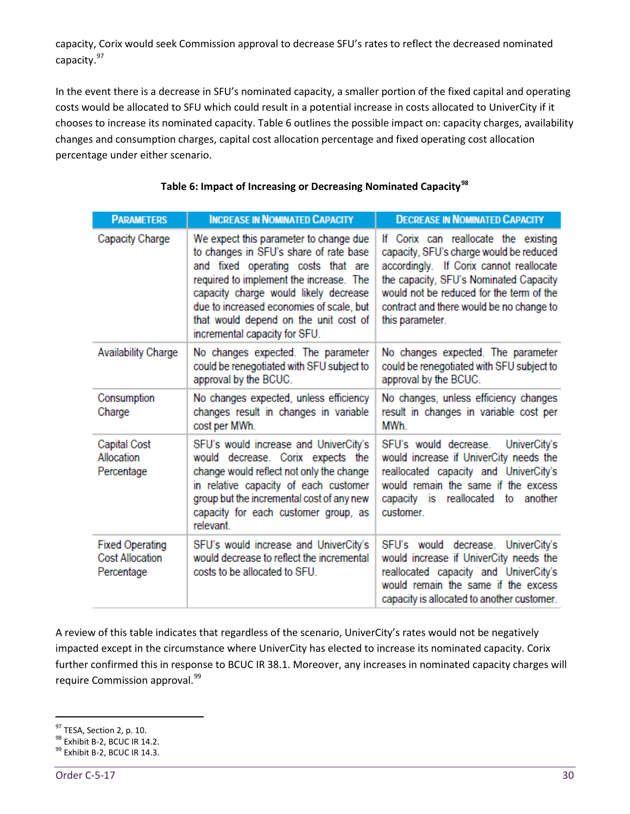capacity, Corix would seek Commission approval to decrease SFU's rates to reflect the decreased nominated capacity.<sup>[97](#page-35-0)</sup>

In the event there is a decrease in SFU's nominated capacity, a smaller portion of the fixed capital and operating costs would be allocated to SFU which could result in a potential increase in costs allocated to UniverCity if it chooses to increase its nominated capacity. Table 6 outlines the possible impact on: capacity charges, availability changes and consumption charges, capital cost allocation percentage and fixed operating cost allocation percentage under either scenario.

| <b>PARAMETERS</b>                                              | <b>INCREASE IN NOMINATED CAPACITY</b>                                                                                                                                                                                                                                                                                            | <b>DECREASE IN NOMINATED CAPACITY</b>                                                                                                                                                                                                                                           |
|----------------------------------------------------------------|----------------------------------------------------------------------------------------------------------------------------------------------------------------------------------------------------------------------------------------------------------------------------------------------------------------------------------|---------------------------------------------------------------------------------------------------------------------------------------------------------------------------------------------------------------------------------------------------------------------------------|
| Capacity Charge                                                | We expect this parameter to change due<br>to changes in SFU's share of rate base<br>and fixed operating costs that are<br>required to implement the increase. The<br>capacity charge would likely decrease<br>due to increased economies of scale, but<br>that would depend on the unit cost of<br>incremental capacity for SFU. | If Corix can reallocate the existing<br>capacity, SFU's charge would be reduced<br>accordingly. If Corix cannot reallocate<br>the capacity, SFU's Nominated Capacity<br>would not be reduced for the term of the<br>contract and there would be no change to<br>this parameter. |
| <b>Availability Charge</b>                                     | No changes expected. The parameter<br>could be renegotiated with SFU subject to<br>approval by the BCUC.                                                                                                                                                                                                                         | No changes expected. The parameter<br>could be renegotiated with SFU subject to<br>approval by the BCUC.                                                                                                                                                                        |
| Consumption<br>Charge                                          | No changes expected, unless efficiency<br>changes result in changes in variable<br>cost per MWh.                                                                                                                                                                                                                                 | No changes, unless efficiency changes<br>result in changes in variable cost per<br>MWh                                                                                                                                                                                          |
| <b>Capital Cost</b><br>Allocation<br>Percentage                | SFU's would increase and UniverCity's<br>would decrease. Corix expects the<br>change would reflect not only the change<br>in relative capacity of each customer<br>group but the incremental cost of any new<br>capacity for each customer group, as<br><b>relevant</b>                                                          | SFU's would decrease.<br>UniverCity's<br>would increase if UniverCity needs the<br>reallocated capacity and UniverCity's<br>would remain the same if the excess<br>capacity is reallocated to another<br>customer.                                                              |
| <b>Fixed Operating</b><br><b>Cost Allocation</b><br>Percentage | SFU's would increase and UniverCity's<br>would decrease to reflect the incremental<br>costs to be allocated to SFU.                                                                                                                                                                                                              | SFU's would decrease. UniverCity's<br>would increase if UniverCity needs the<br>reallocated capacity and UniverCity's<br>would remain the same if the excess<br>capacity is allocated to another customer.                                                                      |

# **Table 6: Impact of Increasing or Decreasing Nominated Capacity[98](#page-35-1)**

A review of this table indicates that regardless of the scenario, UniverCity's rates would not be negatively impacted except in the circumstance where UniverCity has elected to increase its nominated capacity. Corix further confirmed this in response to BCUC IR 38.1. Moreover, any increases in nominated capacity charges will require Commission approval.<sup>[99](#page-35-2)</sup>

<span id="page-35-1"></span><span id="page-35-0"></span><sup>&</sup>lt;sup>97</sup> TESA, Section 2, p. 10.<br><sup>98</sup> Exhibit B-2, BCUC IR 14.2.<br><sup>99</sup> Exhibit B-2, BCUC IR 14.3.

<span id="page-35-2"></span>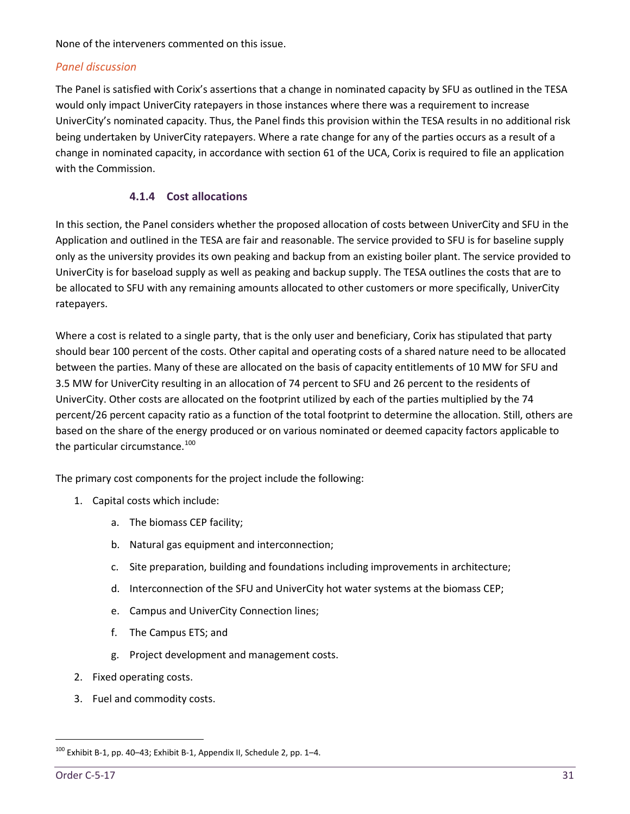None of the interveners commented on this issue.

#### *Panel discussion*

The Panel is satisfied with Corix's assertions that a change in nominated capacity by SFU as outlined in the TESA would only impact UniverCity ratepayers in those instances where there was a requirement to increase UniverCity's nominated capacity. Thus, the Panel finds this provision within the TESA results in no additional risk being undertaken by UniverCity ratepayers. Where a rate change for any of the parties occurs as a result of a change in nominated capacity, in accordance with section 61 of the UCA, Corix is required to file an application with the Commission.

#### **4.1.4 Cost allocations**

<span id="page-36-0"></span>In this section, the Panel considers whether the proposed allocation of costs between UniverCity and SFU in the Application and outlined in the TESA are fair and reasonable. The service provided to SFU is for baseline supply only as the university provides its own peaking and backup from an existing boiler plant. The service provided to UniverCity is for baseload supply as well as peaking and backup supply. The TESA outlines the costs that are to be allocated to SFU with any remaining amounts allocated to other customers or more specifically, UniverCity ratepayers.

Where a cost is related to a single party, that is the only user and beneficiary, Corix has stipulated that party should bear 100 percent of the costs. Other capital and operating costs of a shared nature need to be allocated between the parties. Many of these are allocated on the basis of capacity entitlements of 10 MW for SFU and 3.5 MW for UniverCity resulting in an allocation of 74 percent to SFU and 26 percent to the residents of UniverCity. Other costs are allocated on the footprint utilized by each of the parties multiplied by the 74 percent/26 percent capacity ratio as a function of the total footprint to determine the allocation. Still, others are based on the share of the energy produced or on various nominated or deemed capacity factors applicable to the particular circumstance.<sup>[100](#page-36-1)</sup>

The primary cost components for the project include the following:

- 1. Capital costs which include:
	- a. The biomass CEP facility;
	- b. Natural gas equipment and interconnection;
	- c. Site preparation, building and foundations including improvements in architecture;
	- d. Interconnection of the SFU and UniverCity hot water systems at the biomass CEP;
	- e. Campus and UniverCity Connection lines;
	- f. The Campus ETS; and
	- g. Project development and management costs.
- 2. Fixed operating costs.
- 3. Fuel and commodity costs.

<span id="page-36-1"></span> $100$  Exhibit B-1, pp. 40-43; Exhibit B-1, Appendix II, Schedule 2, pp. 1-4.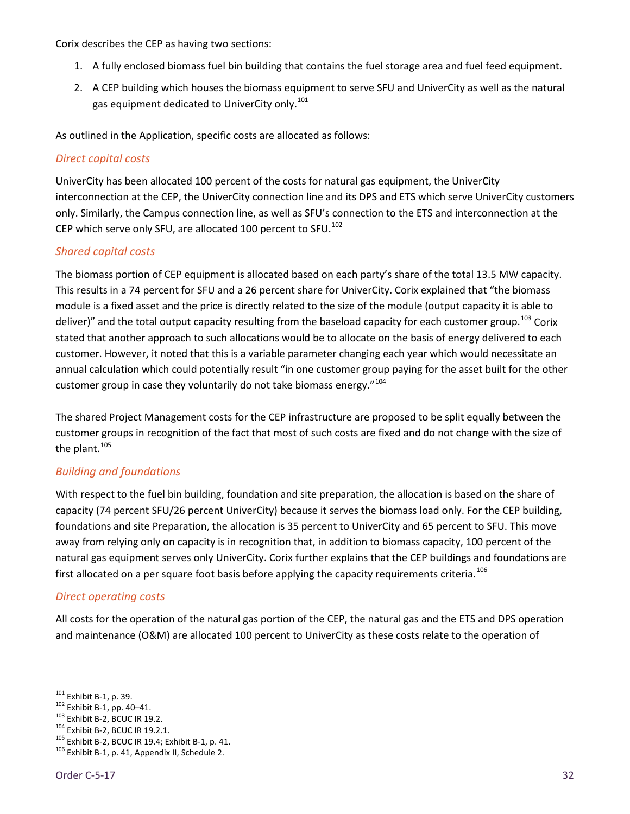Corix describes the CEP as having two sections:

- 1. A fully enclosed biomass fuel bin building that contains the fuel storage area and fuel feed equipment.
- 2. A CEP building which houses the biomass equipment to serve SFU and UniverCity as well as the natural gas equipment dedicated to UniverCity only.<sup>[101](#page-37-0)</sup>

As outlined in the Application, specific costs are allocated as follows:

#### *Direct capital costs*

UniverCity has been allocated 100 percent of the costs for natural gas equipment, the UniverCity interconnection at the CEP, the UniverCity connection line and its DPS and ETS which serve UniverCity customers only. Similarly, the Campus connection line, as well as SFU's connection to the ETS and interconnection at the CEP which serve only SFU, are allocated 100 percent to SFU.<sup>[102](#page-37-1)</sup>

#### *Shared capital costs*

The biomass portion of CEP equipment is allocated based on each party's share of the total 13.5 MW capacity. This results in a 74 percent for SFU and a 26 percent share for UniverCity. Corix explained that "the biomass module is a fixed asset and the price is directly related to the size of the module (output capacity it is able to deliver)" and the total output capacity resulting from the baseload capacity for each customer group.<sup>[103](#page-37-2)</sup> Corix stated that another approach to such allocations would be to allocate on the basis of energy delivered to each customer. However, it noted that this is a variable parameter changing each year which would necessitate an annual calculation which could potentially result "in one customer group paying for the asset built for the other customer group in case they voluntarily do not take biomass energy."<sup>[104](#page-37-3)</sup>

The shared Project Management costs for the CEP infrastructure are proposed to be split equally between the customer groups in recognition of the fact that most of such costs are fixed and do not change with the size of the plant. $105$ 

# *Building and foundations*

With respect to the fuel bin building, foundation and site preparation, the allocation is based on the share of capacity (74 percent SFU/26 percent UniverCity) because it serves the biomass load only. For the CEP building, foundations and site Preparation, the allocation is 35 percent to UniverCity and 65 percent to SFU. This move away from relying only on capacity is in recognition that, in addition to biomass capacity, 100 percent of the natural gas equipment serves only UniverCity. Corix further explains that the CEP buildings and foundations are first allocated on a per square foot basis before applying the capacity requirements criteria.<sup>[106](#page-37-5)</sup>

#### *Direct operating costs*

All costs for the operation of the natural gas portion of the CEP, the natural gas and the ETS and DPS operation and maintenance (O&M) are allocated 100 percent to UniverCity as these costs relate to the operation of

<span id="page-37-1"></span>

<span id="page-37-2"></span>

<span id="page-37-4"></span><span id="page-37-3"></span>

<span id="page-37-0"></span><sup>&</sup>lt;sup>101</sup> Exhibit B-1, p. 39.<br><sup>102</sup> Exhibit B-1, pp. 40–41.<br><sup>103</sup> Exhibit B-2, BCUC IR 19.2.1.<br><sup>104</sup> Exhibit B-2, BCUC IR 19.4; Exhibit B-1, p. 41.<br><sup>106</sup> Exhibit B-1, p. 41, Appendix II, Schedule 2.

<span id="page-37-5"></span>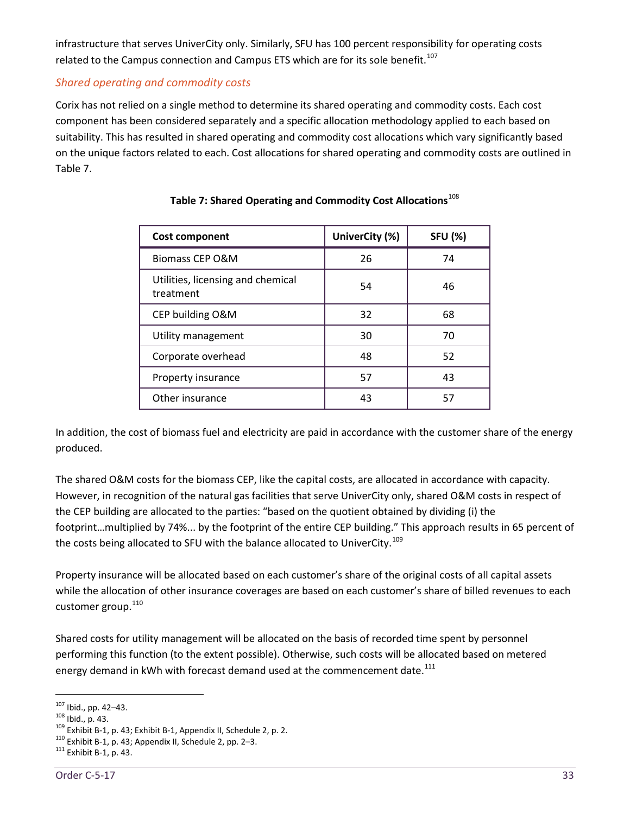infrastructure that serves UniverCity only. Similarly, SFU has 100 percent responsibility for operating costs related to the Campus connection and Campus ETS which are for its sole benefit.<sup>[107](#page-38-0)</sup>

# *Shared operating and commodity costs*

Corix has not relied on a single method to determine its shared operating and commodity costs. Each cost component has been considered separately and a specific allocation methodology applied to each based on suitability. This has resulted in shared operating and commodity cost allocations which vary significantly based on the unique factors related to each. Cost allocations for shared operating and commodity costs are outlined in Table 7.

| <b>Cost component</b>                          | UniverCity (%) | <b>SFU (%)</b> |
|------------------------------------------------|----------------|----------------|
| <b>Biomass CEP O&amp;M</b>                     | 26             | 74             |
| Utilities, licensing and chemical<br>treatment | 54             | 46             |
| CEP building O&M                               | 32             | 68             |
| Utility management                             | 30             | 70             |
| Corporate overhead                             | 48             | 52             |
| Property insurance                             | 57             | 43             |
| Other insurance                                | 43             | 57             |

# **Table 7: Shared Operating and Commodity Cost Allocations**[108](#page-38-1)

In addition, the cost of biomass fuel and electricity are paid in accordance with the customer share of the energy produced.

The shared O&M costs for the biomass CEP, like the capital costs, are allocated in accordance with capacity. However, in recognition of the natural gas facilities that serve UniverCity only, shared O&M costs in respect of the CEP building are allocated to the parties: "based on the quotient obtained by dividing (i) the footprint…multiplied by 74%... by the footprint of the entire CEP building." This approach results in 65 percent of the costs being allocated to SFU with the balance allocated to UniverCity.<sup>[109](#page-38-2)</sup>

Property insurance will be allocated based on each customer's share of the original costs of all capital assets while the allocation of other insurance coverages are based on each customer's share of billed revenues to each customer group.<sup>[110](#page-38-3)</sup>

Shared costs for utility management will be allocated on the basis of recorded time spent by personnel performing this function (to the extent possible). Otherwise, such costs will be allocated based on metered energy demand in kWh with forecast demand used at the commencement date. $^{111}$  $^{111}$  $^{111}$ 

<span id="page-38-2"></span>

<span id="page-38-1"></span><span id="page-38-0"></span><sup>&</sup>lt;sup>107</sup> Ibid., pp. 42–43.<br><sup>108</sup> Ibid., p. 43.<br><sup>109</sup> Exhibit B-1, p. 43; Exhibit B-1, Appendix II, Schedule 2, p. 2.<br><sup>110</sup> Exhibit B-1, p. 43; Appendix II, Schedule 2, pp. 2–3.<br><sup>111</sup> Exhibit B-1, p. 43.

<span id="page-38-3"></span>

<span id="page-38-4"></span>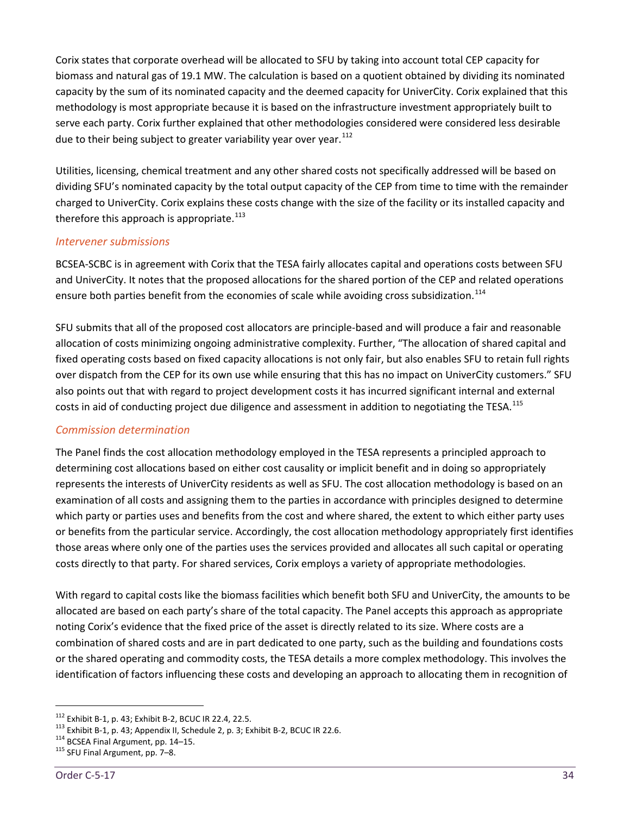Corix states that corporate overhead will be allocated to SFU by taking into account total CEP capacity for biomass and natural gas of 19.1 MW. The calculation is based on a quotient obtained by dividing its nominated capacity by the sum of its nominated capacity and the deemed capacity for UniverCity. Corix explained that this methodology is most appropriate because it is based on the infrastructure investment appropriately built to serve each party. Corix further explained that other methodologies considered were considered less desirable due to their being subject to greater variability year over year.  $112$ 

Utilities, licensing, chemical treatment and any other shared costs not specifically addressed will be based on dividing SFU's nominated capacity by the total output capacity of the CEP from time to time with the remainder charged to UniverCity. Corix explains these costs change with the size of the facility or its installed capacity and therefore this approach is appropriate. $113$ 

#### *Intervener submissions*

BCSEA-SCBC is in agreement with Corix that the TESA fairly allocates capital and operations costs between SFU and UniverCity. It notes that the proposed allocations for the shared portion of the CEP and related operations ensure both parties benefit from the economies of scale while avoiding cross subsidization.<sup>[114](#page-39-2)</sup>

SFU submits that all of the proposed cost allocators are principle-based and will produce a fair and reasonable allocation of costs minimizing ongoing administrative complexity. Further, "The allocation of shared capital and fixed operating costs based on fixed capacity allocations is not only fair, but also enables SFU to retain full rights over dispatch from the CEP for its own use while ensuring that this has no impact on UniverCity customers." SFU also points out that with regard to project development costs it has incurred significant internal and external costs in aid of conducting project due diligence and assessment in addition to negotiating the TESA.<sup>[115](#page-39-3)</sup>

#### *Commission determination*

The Panel finds the cost allocation methodology employed in the TESA represents a principled approach to determining cost allocations based on either cost causality or implicit benefit and in doing so appropriately represents the interests of UniverCity residents as well as SFU. The cost allocation methodology is based on an examination of all costs and assigning them to the parties in accordance with principles designed to determine which party or parties uses and benefits from the cost and where shared, the extent to which either party uses or benefits from the particular service. Accordingly, the cost allocation methodology appropriately first identifies those areas where only one of the parties uses the services provided and allocates all such capital or operating costs directly to that party. For shared services, Corix employs a variety of appropriate methodologies.

With regard to capital costs like the biomass facilities which benefit both SFU and UniverCity, the amounts to be allocated are based on each party's share of the total capacity. The Panel accepts this approach as appropriate noting Corix's evidence that the fixed price of the asset is directly related to its size. Where costs are a combination of shared costs and are in part dedicated to one party, such as the building and foundations costs or the shared operating and commodity costs, the TESA details a more complex methodology. This involves the identification of factors influencing these costs and developing an approach to allocating them in recognition of

<span id="page-39-1"></span><span id="page-39-0"></span><sup>&</sup>lt;sup>112</sup> Exhibit B-1, p. 43; Exhibit B-2, BCUC IR 22.4, 22.5.<br><sup>113</sup> Exhibit B-1, p. 43; Appendix II, Schedule 2, p. 3; Exhibit B-2, BCUC IR 22.6.<br><sup>114</sup> BCSEA Final Argument, pp. 14–15.<br><sup>115</sup> SFU Final Argument, pp. 7–8.

<span id="page-39-2"></span>

<span id="page-39-3"></span>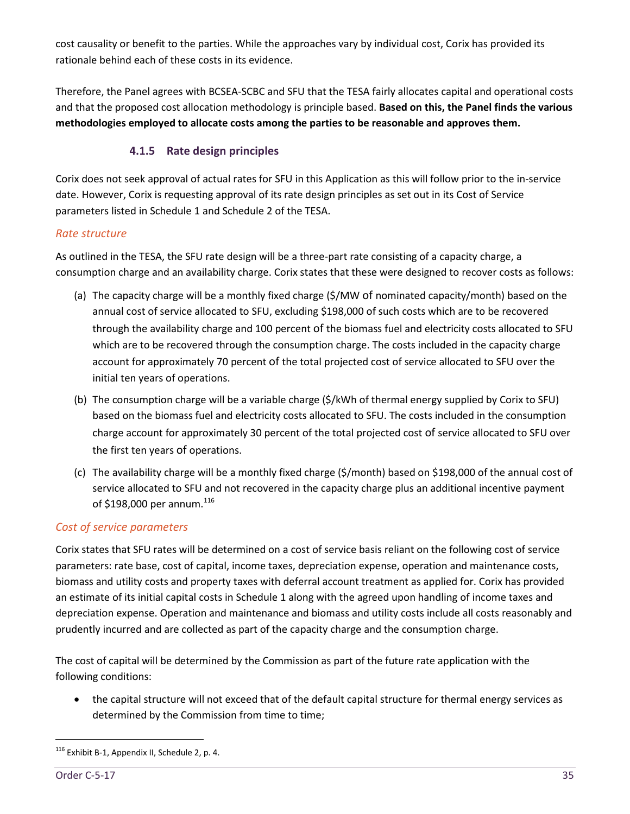cost causality or benefit to the parties. While the approaches vary by individual cost, Corix has provided its rationale behind each of these costs in its evidence.

Therefore, the Panel agrees with BCSEA-SCBC and SFU that the TESA fairly allocates capital and operational costs and that the proposed cost allocation methodology is principle based. **Based on this, the Panel finds the various methodologies employed to allocate costs among the parties to be reasonable and approves them.** 

# **4.1.5 Rate design principles**

<span id="page-40-0"></span>Corix does not seek approval of actual rates for SFU in this Application as this will follow prior to the in-service date. However, Corix is requesting approval of its rate design principles as set out in its Cost of Service parameters listed in Schedule 1 and Schedule 2 of the TESA.

#### *Rate structure*

As outlined in the TESA, the SFU rate design will be a three-part rate consisting of a capacity charge, a consumption charge and an availability charge. Corix states that these were designed to recover costs as follows:

- (a) The capacity charge will be a monthly fixed charge (\$/MW of nominated capacity/month) based on the annual cost of service allocated to SFU, excluding \$198,000 of such costs which are to be recovered through the availability charge and 100 percent of the biomass fuel and electricity costs allocated to SFU which are to be recovered through the consumption charge. The costs included in the capacity charge account for approximately 70 percent of the total projected cost of service allocated to SFU over the initial ten years of operations.
- (b) The consumption charge will be a variable charge (\$/kWh of thermal energy supplied by Corix to SFU) based on the biomass fuel and electricity costs allocated to SFU. The costs included in the consumption charge account for approximately 30 percent of the total projected cost of service allocated to SFU over the first ten years of operations.
- (c) The availability charge will be a monthly fixed charge (\$/month) based on \$198,000 of the annual cost of service allocated to SFU and not recovered in the capacity charge plus an additional incentive payment of \$198,000 per annum.<sup>[116](#page-40-1)</sup>

# *Cost of service parameters*

Corix states that SFU rates will be determined on a cost of service basis reliant on the following cost of service parameters: rate base, cost of capital, income taxes, depreciation expense, operation and maintenance costs, biomass and utility costs and property taxes with deferral account treatment as applied for. Corix has provided an estimate of its initial capital costs in Schedule 1 along with the agreed upon handling of income taxes and depreciation expense. Operation and maintenance and biomass and utility costs include all costs reasonably and prudently incurred and are collected as part of the capacity charge and the consumption charge.

The cost of capital will be determined by the Commission as part of the future rate application with the following conditions:

• the capital structure will not exceed that of the default capital structure for thermal energy services as determined by the Commission from time to time;

<span id="page-40-1"></span><sup>116</sup> Exhibit B-1, Appendix II, Schedule 2, p. 4.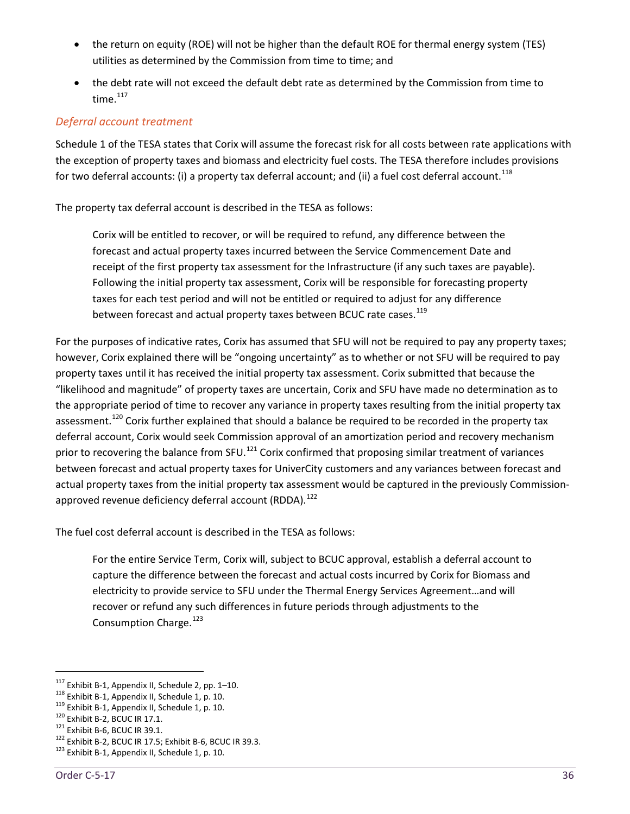- the return on equity (ROE) will not be higher than the default ROE for thermal energy system (TES) utilities as determined by the Commission from time to time; and
- the debt rate will not exceed the default debt rate as determined by the Commission from time to time. $117$

# *Deferral account treatment*

Schedule 1 of the TESA states that Corix will assume the forecast risk for all costs between rate applications with the exception of property taxes and biomass and electricity fuel costs. The TESA therefore includes provisions for two deferral accounts: (i) a property tax deferral account; and (ii) a fuel cost deferral account.<sup>[118](#page-41-1)</sup>

The property tax deferral account is described in the TESA as follows:

Corix will be entitled to recover, or will be required to refund, any difference between the forecast and actual property taxes incurred between the Service Commencement Date and receipt of the first property tax assessment for the Infrastructure (if any such taxes are payable). Following the initial property tax assessment, Corix will be responsible for forecasting property taxes for each test period and will not be entitled or required to adjust for any difference between forecast and actual property taxes between BCUC rate cases.<sup>[119](#page-41-2)</sup>

For the purposes of indicative rates, Corix has assumed that SFU will not be required to pay any property taxes; however, Corix explained there will be "ongoing uncertainty" as to whether or not SFU will be required to pay property taxes until it has received the initial property tax assessment. Corix submitted that because the "likelihood and magnitude" of property taxes are uncertain, Corix and SFU have made no determination as to the appropriate period of time to recover any variance in property taxes resulting from the initial property tax assessment.<sup>[120](#page-41-3)</sup> Corix further explained that should a balance be required to be recorded in the property tax deferral account, Corix would seek Commission approval of an amortization period and recovery mechanism prior to recovering the balance from SFU.<sup>[121](#page-41-4)</sup> Corix confirmed that proposing similar treatment of variances between forecast and actual property taxes for UniverCity customers and any variances between forecast and actual property taxes from the initial property tax assessment would be captured in the previously Commission-approved revenue deficiency deferral account (RDDA).<sup>[122](#page-41-5)</sup>

The fuel cost deferral account is described in the TESA as follows:

For the entire Service Term, Corix will, subject to BCUC approval, establish a deferral account to capture the difference between the forecast and actual costs incurred by Corix for Biomass and electricity to provide service to SFU under the Thermal Energy Services Agreement…and will recover or refund any such differences in future periods through adjustments to the Consumption Charge.<sup>[123](#page-41-6)</sup>

<span id="page-41-2"></span>

<span id="page-41-3"></span>

<span id="page-41-5"></span><span id="page-41-4"></span>

<span id="page-41-1"></span><span id="page-41-0"></span><sup>&</sup>lt;sup>117</sup> Exhibit B-1, Appendix II, Schedule 2, pp. 1–10.<br><sup>118</sup> Exhibit B-1, Appendix II, Schedule 1, p. 10.<br><sup>119</sup> Exhibit B-1, Appendix II, Schedule 1, p. 10.<br><sup>120</sup> Exhibit B-2, BCUC IR 17.1.<br><sup>121</sup> Exhibit B-6, BCUC IR 39.1.

<span id="page-41-6"></span>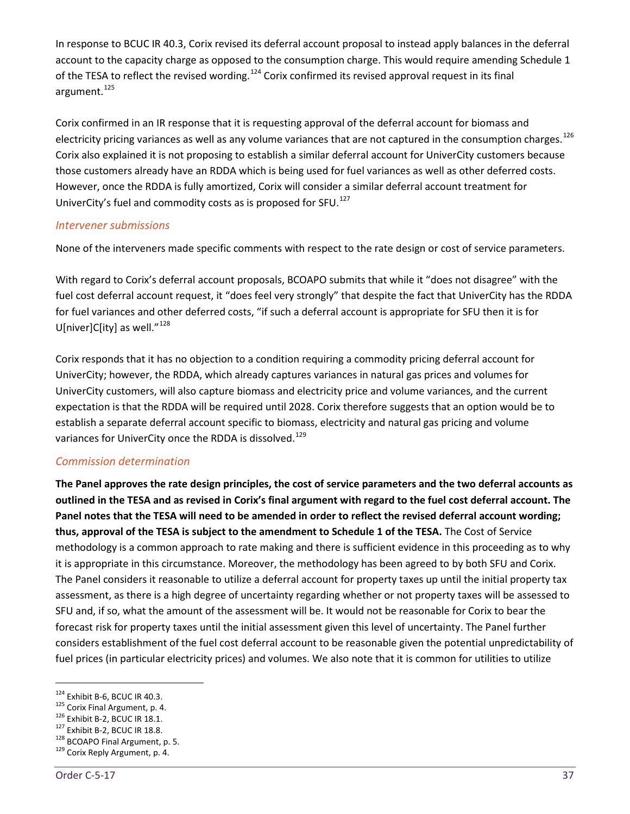In response to BCUC IR 40.3, Corix revised its deferral account proposal to instead apply balances in the deferral account to the capacity charge as opposed to the consumption charge. This would require amending Schedule 1 of the TESA to reflect the revised wording.<sup>[124](#page-42-0)</sup> Corix confirmed its revised approval request in its final argument.<sup>[125](#page-42-1)</sup>

Corix confirmed in an IR response that it is requesting approval of the deferral account for biomass and electricity pricing variances as well as any volume variances that are not captured in the consumption charges.<sup>[126](#page-42-2)</sup> Corix also explained it is not proposing to establish a similar deferral account for UniverCity customers because those customers already have an RDDA which is being used for fuel variances as well as other deferred costs. However, once the RDDA is fully amortized, Corix will consider a similar deferral account treatment for UniverCity's fuel and commodity costs as is proposed for SFU.<sup>[127](#page-42-3)</sup>

#### *Intervener submissions*

None of the interveners made specific comments with respect to the rate design or cost of service parameters.

With regard to Corix's deferral account proposals, BCOAPO submits that while it "does not disagree" with the fuel cost deferral account request, it "does feel very strongly" that despite the fact that UniverCity has the RDDA for fuel variances and other deferred costs, "if such a deferral account is appropriate for SFU then it is for U[niver]C[ity] as well." $^{128}$  $^{128}$  $^{128}$ 

Corix responds that it has no objection to a condition requiring a commodity pricing deferral account for UniverCity; however, the RDDA, which already captures variances in natural gas prices and volumes for UniverCity customers, will also capture biomass and electricity price and volume variances, and the current expectation is that the RDDA will be required until 2028. Corix therefore suggests that an option would be to establish a separate deferral account specific to biomass, electricity and natural gas pricing and volume variances for UniverCity once the RDDA is dissolved.<sup>[129](#page-42-5)</sup>

#### *Commission determination*

**The Panel approves the rate design principles, the cost of service parameters and the two deferral accounts as outlined in the TESA and as revised in Corix's final argument with regard to the fuel cost deferral account. The Panel notes that the TESA will need to be amended in order to reflect the revised deferral account wording; thus, approval of the TESA is subject to the amendment to Schedule 1 of the TESA.** The Cost of Service methodology is a common approach to rate making and there is sufficient evidence in this proceeding as to why it is appropriate in this circumstance. Moreover, the methodology has been agreed to by both SFU and Corix. The Panel considers it reasonable to utilize a deferral account for property taxes up until the initial property tax assessment, as there is a high degree of uncertainty regarding whether or not property taxes will be assessed to SFU and, if so, what the amount of the assessment will be. It would not be reasonable for Corix to bear the forecast risk for property taxes until the initial assessment given this level of uncertainty. The Panel further considers establishment of the fuel cost deferral account to be reasonable given the potential unpredictability of fuel prices (in particular electricity prices) and volumes. We also note that it is common for utilities to utilize

<span id="page-42-1"></span>

<span id="page-42-2"></span>

<span id="page-42-4"></span><span id="page-42-3"></span>

<span id="page-42-0"></span><sup>&</sup>lt;sup>124</sup> Exhibit B-6, BCUC IR 40.3.<br><sup>125</sup> Corix Final Argument, p. 4.<br><sup>126</sup> Exhibit B-2, BCUC IR 18.1.<br><sup>127</sup> Exhibit B-2, BCUC IR 18.8.<br><sup>128</sup> BCOAPO Final Argument, p. 5.<br><sup>129</sup> Corix Reply Argument, p. 4.

<span id="page-42-5"></span>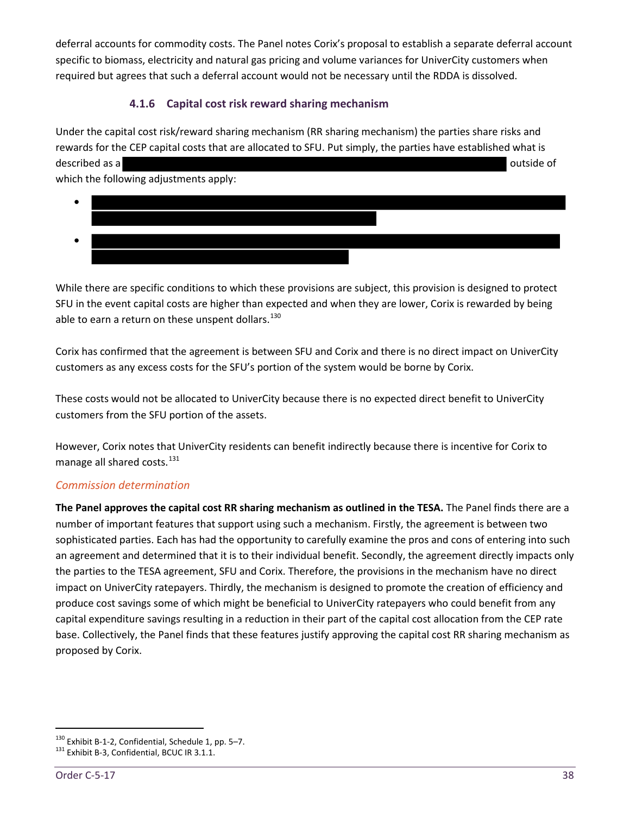deferral accounts for commodity costs. The Panel notes Corix's proposal to establish a separate deferral account specific to biomass, electricity and natural gas pricing and volume variances for UniverCity customers when required but agrees that such a deferral account would not be necessary until the RDDA is dissolved.

# **4.1.6 Capital cost risk reward sharing mechanism**

<span id="page-43-0"></span>Under the capital cost risk/reward sharing mechanism (RR sharing mechanism) the parties share risks and rewards for the CEP capital costs that are allocated to SFU. Put simply, the parties have established what is described as a **outside of**  $\alpha$  outside of  $\alpha$ 

which the following adjustments apply:



While there are specific conditions to which these provisions are subject, this provision is designed to protect SFU in the event capital costs are higher than expected and when they are lower, Corix is rewarded by being able to earn a return on these unspent dollars. $^{130}$  $^{130}$  $^{130}$ 

Corix has confirmed that the agreement is between SFU and Corix and there is no direct impact on UniverCity customers as any excess costs for the SFU's portion of the system would be borne by Corix.

These costs would not be allocated to UniverCity because there is no expected direct benefit to UniverCity customers from the SFU portion of the assets.

However, Corix notes that UniverCity residents can benefit indirectly because there is incentive for Corix to manage all shared costs.<sup>[131](#page-43-2)</sup>

#### *Commission determination*

**The Panel approves the capital cost RR sharing mechanism as outlined in the TESA.** The Panel finds there are a number of important features that support using such a mechanism. Firstly, the agreement is between two sophisticated parties. Each has had the opportunity to carefully examine the pros and cons of entering into such an agreement and determined that it is to their individual benefit. Secondly, the agreement directly impacts only the parties to the TESA agreement, SFU and Corix. Therefore, the provisions in the mechanism have no direct impact on UniverCity ratepayers. Thirdly, the mechanism is designed to promote the creation of efficiency and produce cost savings some of which might be beneficial to UniverCity ratepayers who could benefit from any capital expenditure savings resulting in a reduction in their part of the capital cost allocation from the CEP rate base. Collectively, the Panel finds that these features justify approving the capital cost RR sharing mechanism as proposed by Corix.

<span id="page-43-1"></span><sup>&</sup>lt;sup>130</sup> Exhibit B-1-2, Confidential, Schedule 1, pp. 5–7.<br><sup>131</sup> Exhibit B-3, Confidential, BCUC IR 3.1.1.

<span id="page-43-2"></span>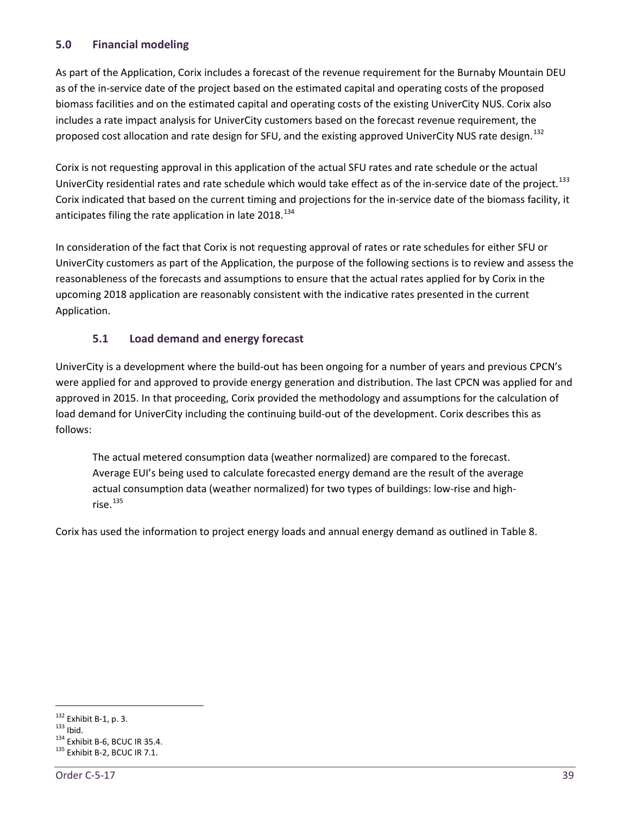# <span id="page-44-0"></span>**5.0 Financial modeling**

As part of the Application, Corix includes a forecast of the revenue requirement for the Burnaby Mountain DEU as of the in-service date of the project based on the estimated capital and operating costs of the proposed biomass facilities and on the estimated capital and operating costs of the existing UniverCity NUS. Corix also includes a rate impact analysis for UniverCity customers based on the forecast revenue requirement, the proposed cost allocation and rate design for SFU, and the existing approved UniverCity NUS rate design.<sup>[132](#page-44-2)</sup>

Corix is not requesting approval in this application of the actual SFU rates and rate schedule or the actual UniverCity residential rates and rate schedule which would take effect as of the in-service date of the project.<sup>[133](#page-44-3)</sup> Corix indicated that based on the current timing and projections for the in-service date of the biomass facility, it anticipates filing the rate application in late 2018.<sup>[134](#page-44-4)</sup>

In consideration of the fact that Corix is not requesting approval of rates or rate schedules for either SFU or UniverCity customers as part of the Application, the purpose of the following sections is to review and assess the reasonableness of the forecasts and assumptions to ensure that the actual rates applied for by Corix in the upcoming 2018 application are reasonably consistent with the indicative rates presented in the current Application.

# <span id="page-44-1"></span>**5.1 Load demand and energy forecast**

UniverCity is a development where the build-out has been ongoing for a number of years and previous CPCN's were applied for and approved to provide energy generation and distribution. The last CPCN was applied for and approved in 2015. In that proceeding, Corix provided the methodology and assumptions for the calculation of load demand for UniverCity including the continuing build-out of the development. Corix describes this as follows:

The actual metered consumption data (weather normalized) are compared to the forecast. Average EUI's being used to calculate forecasted energy demand are the result of the average actual consumption data (weather normalized) for two types of buildings: low-rise and high $rise.$ <sup>[135](#page-44-5)</sup>

Corix has used the information to project energy loads and annual energy demand as outlined in Table 8.

<span id="page-44-3"></span><span id="page-44-2"></span><sup>&</sup>lt;sup>132</sup> Exhibit B-1, p. 3.<br><sup>133</sup> Ibid. 134 Exhibit B-6, BCUC IR 35.4.<br><sup>135</sup> Exhibit B-2, BCUC IR 7.1.

<span id="page-44-5"></span><span id="page-44-4"></span>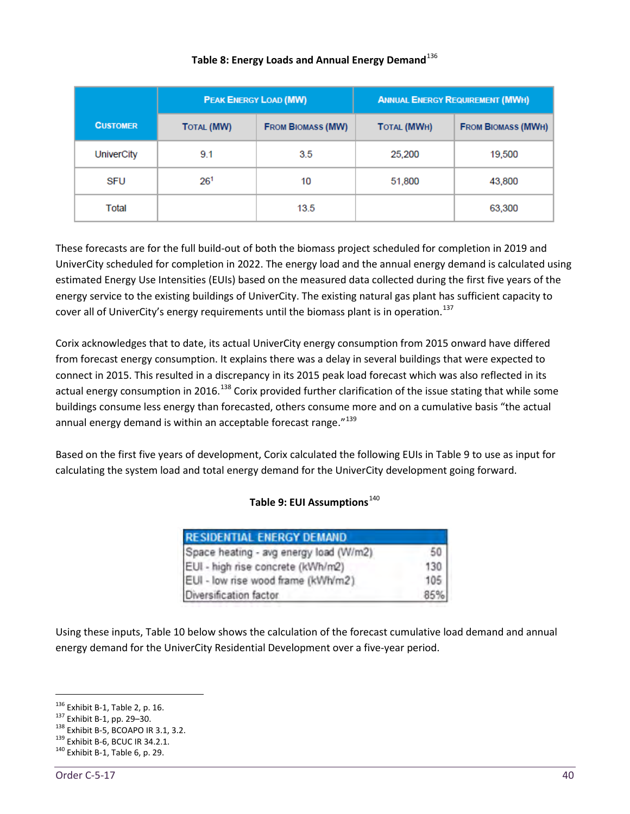|                 | <b>PEAK ENERGY LOAD (MW)</b>                  |      | <b>ANNUAL ENERGY REQUIREMENT (MWH)</b> |                           |  |  |
|-----------------|-----------------------------------------------|------|----------------------------------------|---------------------------|--|--|
| <b>CUSTOMER</b> | <b>FROM BIOMASS (MW)</b><br><b>TOTAL (MW)</b> |      | <b>TOTAL (MWH)</b>                     | <b>FROM BIOMASS (MWH)</b> |  |  |
| UniverCity      | 9.1                                           | 3.5  | 25,200                                 | 19,500                    |  |  |
| SFU             | 26 <sup>1</sup>                               | 10   | 51,800                                 | 43,800                    |  |  |
| Total           |                                               | 13.5 |                                        | 63,300                    |  |  |

#### Table 8: Energy Loads and Annual Energy Demand<sup>[136](#page-45-0)</sup>

These forecasts are for the full build-out of both the biomass project scheduled for completion in 2019 and UniverCity scheduled for completion in 2022. The energy load and the annual energy demand is calculated using estimated Energy Use Intensities (EUIs) based on the measured data collected during the first five years of the energy service to the existing buildings of UniverCity. The existing natural gas plant has sufficient capacity to cover all of UniverCity's energy requirements until the biomass plant is in operation.<sup>[137](#page-45-1)</sup>

Corix acknowledges that to date, its actual UniverCity energy consumption from 2015 onward have differed from forecast energy consumption. It explains there was a delay in several buildings that were expected to connect in 2015. This resulted in a discrepancy in its 2015 peak load forecast which was also reflected in its actual energy consumption in 2016.<sup>[138](#page-45-2)</sup> Corix provided further clarification of the issue stating that while some buildings consume less energy than forecasted, others consume more and on a cumulative basis "the actual annual energy demand is within an acceptable forecast range."<sup>[139](#page-45-3)</sup>

Based on the first five years of development, Corix calculated the following EUIs in Table 9 to use as input for calculating the system load and total energy demand for the UniverCity development going forward.

#### **Table 9: EUI Assumptions**[140](#page-45-4)

| <b>RESIDENTIAL ENERGY DEMAND</b>       |     |
|----------------------------------------|-----|
| Space heating - avg energy load (W/m2) | 50  |
| EUI - high rise concrete (kWh/m2)      | 130 |
| EUI - low rise wood frame (kWh/m2).    | 105 |
| Diversification factor                 | 85% |

Using these inputs, Table 10 below shows the calculation of the forecast cumulative load demand and annual energy demand for the UniverCity Residential Development over a five-year period.

<span id="page-45-2"></span><span id="page-45-1"></span>

<span id="page-45-0"></span><sup>&</sup>lt;sup>136</sup> Exhibit B-1, Table 2, p. 16.<br><sup>137</sup> Exhibit B-1, pp. 29–30.<br><sup>138</sup> Exhibit B-5, BCOAPO IR 3.1, 3.2.<br><sup>139</sup> Exhibit B-6, BCUC IR 34.2.1.<br><sup>140</sup> Exhibit B-1, Table 6, p. 29.

<span id="page-45-4"></span><span id="page-45-3"></span>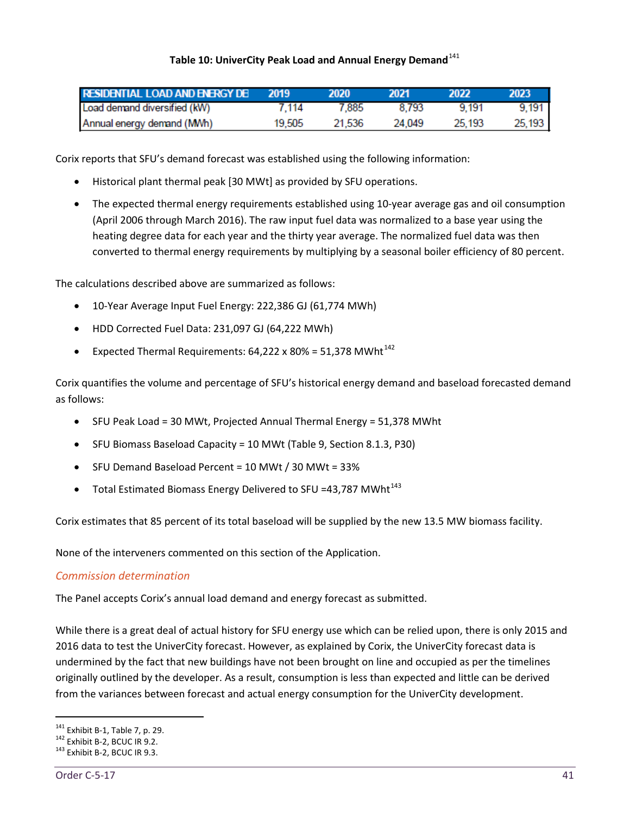#### Table 10: UniverCity Peak Load and Annual Energy Demand<sup>[141](#page-46-0)</sup>

| <b>RESIDENTIAL LOAD AND ENERGY DE 2019</b> |        | 2020   | -2021  | 2022   | 2023   |
|--------------------------------------------|--------|--------|--------|--------|--------|
| Load demand diversified (kW)               | 7.114  | 7.885  | 8.793  | 9.191  | 9.191  |
| Annual energy demand (MWh)                 | 19.505 | 21.536 | 24.049 | 25.193 | 25.193 |

Corix reports that SFU's demand forecast was established using the following information:

- Historical plant thermal peak [30 MWt] as provided by SFU operations.
- The expected thermal energy requirements established using 10-year average gas and oil consumption (April 2006 through March 2016). The raw input fuel data was normalized to a base year using the heating degree data for each year and the thirty year average. The normalized fuel data was then converted to thermal energy requirements by multiplying by a seasonal boiler efficiency of 80 percent.

The calculations described above are summarized as follows:

- 10-Year Average Input Fuel Energy: 222,386 GJ (61,774 MWh)
- HDD Corrected Fuel Data: 231,097 GJ (64,222 MWh)
- Expected Thermal Requirements:  $64,222 \times 80\% = 51,378$  MWht<sup>[142](#page-46-1)</sup>

Corix quantifies the volume and percentage of SFU's historical energy demand and baseload forecasted demand as follows:

- SFU Peak Load = 30 MWt, Projected Annual Thermal Energy = 51,378 MWht
- SFU Biomass Baseload Capacity = 10 MWt (Table 9, Section 8.1.3, P30)
- SFU Demand Baseload Percent = 10 MWt / 30 MWt = 33%
- Total Estimated Biomass Energy Delivered to SFU =43,787 MWht<sup>[143](#page-46-2)</sup>

Corix estimates that 85 percent of its total baseload will be supplied by the new 13.5 MW biomass facility.

None of the interveners commented on this section of the Application.

#### *Commission determination*

The Panel accepts Corix's annual load demand and energy forecast as submitted.

While there is a great deal of actual history for SFU energy use which can be relied upon, there is only 2015 and 2016 data to test the UniverCity forecast. However, as explained by Corix, the UniverCity forecast data is undermined by the fact that new buildings have not been brought on line and occupied as per the timelines originally outlined by the developer. As a result, consumption is less than expected and little can be derived from the variances between forecast and actual energy consumption for the UniverCity development.

<span id="page-46-0"></span><sup>&</sup>lt;sup>141</sup> Exhibit B-1, Table 7, p. 29.<br><sup>142</sup> Exhibit B-2, BCUC IR 9.2.<br><sup>143</sup> Exhibit B-2, BCUC IR 9.3.

<span id="page-46-2"></span><span id="page-46-1"></span>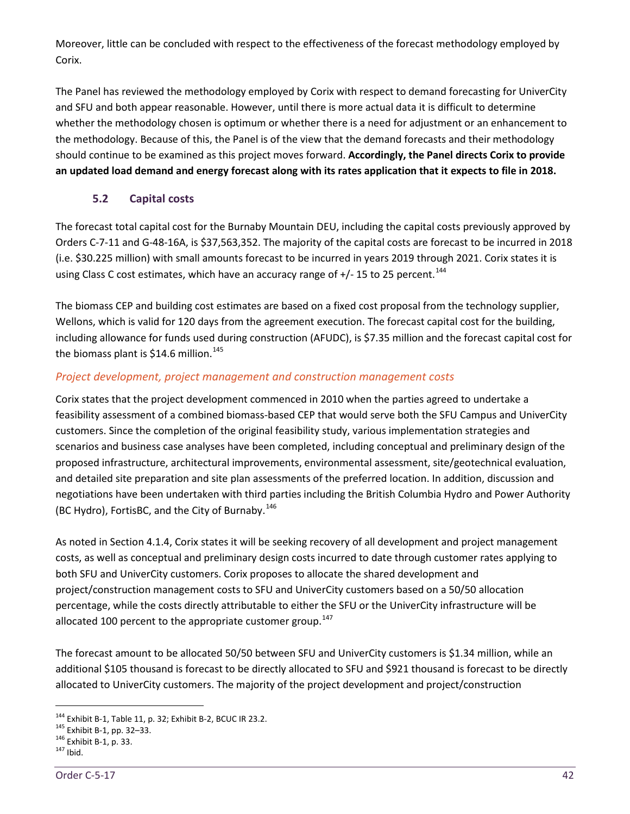Moreover, little can be concluded with respect to the effectiveness of the forecast methodology employed by Corix.

The Panel has reviewed the methodology employed by Corix with respect to demand forecasting for UniverCity and SFU and both appear reasonable. However, until there is more actual data it is difficult to determine whether the methodology chosen is optimum or whether there is a need for adjustment or an enhancement to the methodology. Because of this, the Panel is of the view that the demand forecasts and their methodology should continue to be examined as this project moves forward. **Accordingly, the Panel directs Corix to provide an updated load demand and energy forecast along with its rates application that it expects to file in 2018.** 

# **5.2 Capital costs**

<span id="page-47-0"></span>The forecast total capital cost for the Burnaby Mountain DEU, including the capital costs previously approved by Orders C-7-11 and G-48-16A, is \$37,563,352. The majority of the capital costs are forecast to be incurred in 2018 (i.e. \$30.225 million) with small amounts forecast to be incurred in years 2019 through 2021. Corix states it is using Class C cost estimates, which have an accuracy range of +/- 15 to 25 percent.<sup>[144](#page-47-1)</sup>

The biomass CEP and building cost estimates are based on a fixed cost proposal from the technology supplier, Wellons, which is valid for 120 days from the agreement execution. The forecast capital cost for the building, including allowance for funds used during construction (AFUDC), is \$7.35 million and the forecast capital cost for the biomass plant is \$14.6 million.<sup>[145](#page-47-2)</sup>

# *Project development, project management and construction management costs*

Corix states that the project development commenced in 2010 when the parties agreed to undertake a feasibility assessment of a combined biomass-based CEP that would serve both the SFU Campus and UniverCity customers. Since the completion of the original feasibility study, various implementation strategies and scenarios and business case analyses have been completed, including conceptual and preliminary design of the proposed infrastructure, architectural improvements, environmental assessment, site/geotechnical evaluation, and detailed site preparation and site plan assessments of the preferred location. In addition, discussion and negotiations have been undertaken with third parties including the British Columbia Hydro and Power Authority (BC Hydro), FortisBC, and the City of Burnaby.<sup>[146](#page-47-3)</sup>

As noted in Section 4.1.4, Corix states it will be seeking recovery of all development and project management costs, as well as conceptual and preliminary design costs incurred to date through customer rates applying to both SFU and UniverCity customers. Corix proposes to allocate the shared development and project/construction management costs to SFU and UniverCity customers based on a 50/50 allocation percentage, while the costs directly attributable to either the SFU or the UniverCity infrastructure will be allocated 100 percent to the appropriate customer group.<sup>[147](#page-47-4)</sup>

The forecast amount to be allocated 50/50 between SFU and UniverCity customers is \$1.34 million, while an additional \$105 thousand is forecast to be directly allocated to SFU and \$921 thousand is forecast to be directly allocated to UniverCity customers. The majority of the project development and project/construction

<span id="page-47-1"></span><sup>&</sup>lt;sup>144</sup> Exhibit B-1, Table 11, p. 32; Exhibit B-2, BCUC IR 23.2.<br><sup>145</sup> Exhibit B-1, pp. 32–33.<br><sup>146</sup> Exhibit B-1, p. 33.<br><sup>147</sup> Ibid.

<span id="page-47-2"></span>

<span id="page-47-3"></span>

<span id="page-47-4"></span>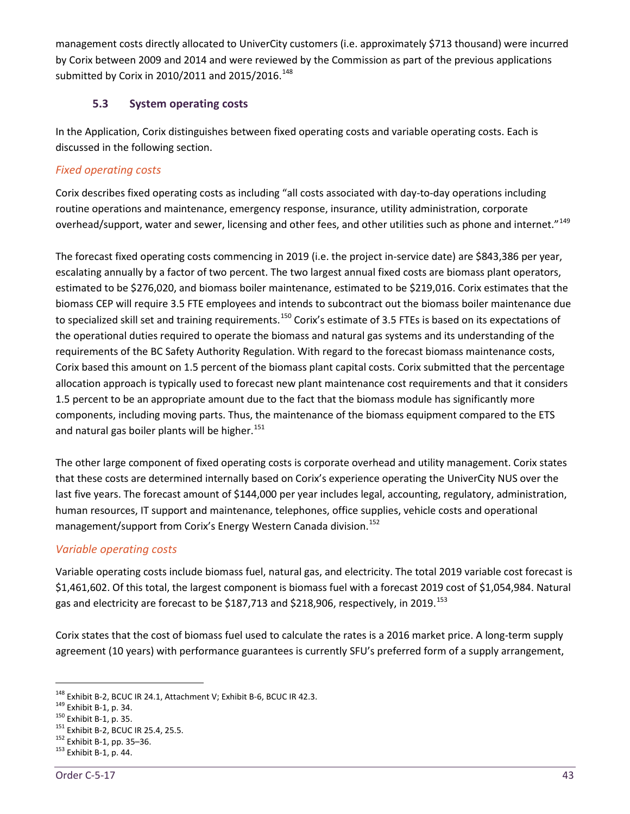management costs directly allocated to UniverCity customers (i.e. approximately \$713 thousand) were incurred by Corix between 2009 and 2014 and were reviewed by the Commission as part of the previous applications submitted by Corix in 2010/2011 and 2015/2016.<sup>[148](#page-48-1)</sup>

#### **5.3 System operating costs**

<span id="page-48-0"></span>In the Application, Corix distinguishes between fixed operating costs and variable operating costs. Each is discussed in the following section.

# *Fixed operating costs*

Corix describes fixed operating costs as including "all costs associated with day-to-day operations including routine operations and maintenance, emergency response, insurance, utility administration, corporate overhead/support, water and sewer, licensing and other fees, and other utilities such as phone and internet."<sup>[149](#page-48-2)</sup>

The forecast fixed operating costs commencing in 2019 (i.e. the project in-service date) are \$843,386 per year, escalating annually by a factor of two percent. The two largest annual fixed costs are biomass plant operators, estimated to be \$276,020, and biomass boiler maintenance, estimated to be \$219,016. Corix estimates that the biomass CEP will require 3.5 FTE employees and intends to subcontract out the biomass boiler maintenance due to specialized skill set and training requirements.<sup>[150](#page-48-3)</sup> Corix's estimate of 3.5 FTEs is based on its expectations of the operational duties required to operate the biomass and natural gas systems and its understanding of the requirements of the BC Safety Authority Regulation. With regard to the forecast biomass maintenance costs, Corix based this amount on 1.5 percent of the biomass plant capital costs. Corix submitted that the percentage allocation approach is typically used to forecast new plant maintenance cost requirements and that it considers 1.5 percent to be an appropriate amount due to the fact that the biomass module has significantly more components, including moving parts. Thus, the maintenance of the biomass equipment compared to the ETS and natural gas boiler plants will be higher.<sup>[151](#page-48-4)</sup>

The other large component of fixed operating costs is corporate overhead and utility management. Corix states that these costs are determined internally based on Corix's experience operating the UniverCity NUS over the last five years. The forecast amount of \$144,000 per year includes legal, accounting, regulatory, administration, human resources, IT support and maintenance, telephones, office supplies, vehicle costs and operational management/support from Corix's Energy Western Canada division.<sup>[152](#page-48-5)</sup>

# *Variable operating costs*

Variable operating costs include biomass fuel, natural gas, and electricity. The total 2019 variable cost forecast is \$1,461,602. Of this total, the largest component is biomass fuel with a forecast 2019 cost of \$1,054,984. Natural gas and electricity are forecast to be \$187,713 and \$218,906, respectively, in 2019.<sup>[153](#page-48-6)</sup>

Corix states that the cost of biomass fuel used to calculate the rates is a 2016 market price. A long-term supply agreement (10 years) with performance guarantees is currently SFU's preferred form of a supply arrangement,

<span id="page-48-2"></span><span id="page-48-1"></span><sup>&</sup>lt;sup>148</sup> Exhibit B-2, BCUC IR 24.1, Attachment V; Exhibit B-6, BCUC IR 42.3.<br><sup>149</sup> Exhibit B-1, p. 34.<br><sup>150</sup> Exhibit B-1, p. 35.<br><sup>151</sup> Exhibit B-2, BCUC IR 25.4, 25.5.<br><sup>152</sup> Exhibit B-1, pp. 35–36.<br><sup>153</sup> Exhibit B-1, p. 44.

<span id="page-48-3"></span>

<span id="page-48-5"></span><span id="page-48-4"></span>

<span id="page-48-6"></span>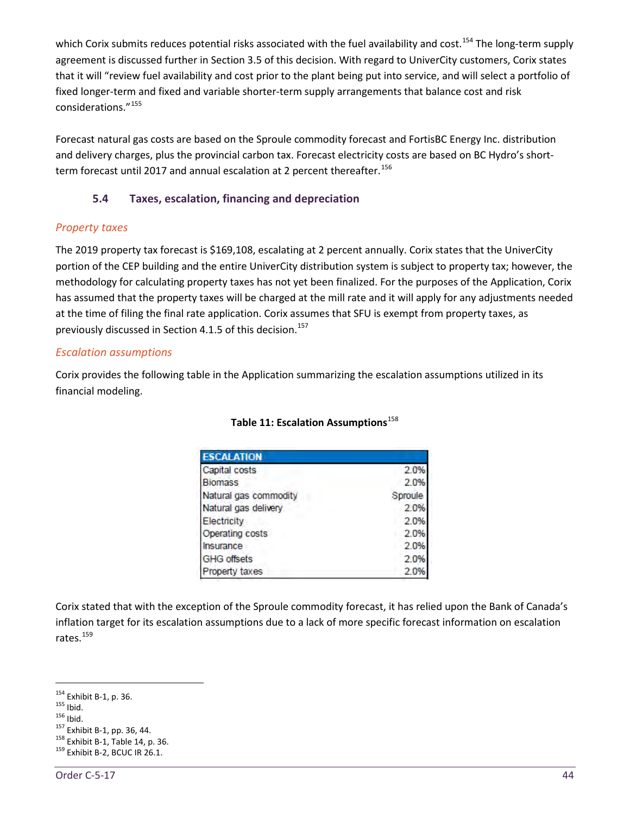which Corix submits reduces potential risks associated with the fuel availability and cost.<sup>[154](#page-49-1)</sup> The long-term supply agreement is discussed further in Section 3.5 of this decision. With regard to UniverCity customers, Corix states that it will "review fuel availability and cost prior to the plant being put into service, and will select a portfolio of fixed longer-term and fixed and variable shorter-term supply arrangements that balance cost and risk considerations."[155](#page-49-2)

Forecast natural gas costs are based on the Sproule commodity forecast and FortisBC Energy Inc. distribution and delivery charges, plus the provincial carbon tax. Forecast electricity costs are based on BC Hydro's short-term forecast until 2017 and annual escalation at 2 percent thereafter.<sup>[156](#page-49-3)</sup>

# <span id="page-49-0"></span>**5.4 Taxes, escalation, financing and depreciation**

#### *Property taxes*

The 2019 property tax forecast is \$169,108, escalating at 2 percent annually. Corix states that the UniverCity portion of the CEP building and the entire UniverCity distribution system is subject to property tax; however, the methodology for calculating property taxes has not yet been finalized. For the purposes of the Application, Corix has assumed that the property taxes will be charged at the mill rate and it will apply for any adjustments needed at the time of filing the final rate application. Corix assumes that SFU is exempt from property taxes, as previously discussed in Section 4.1.5 of this decision. [157](#page-49-4)

#### *Escalation assumptions*

Corix provides the following table in the Application summarizing the escalation assumptions utilized in its financial modeling.

| <b>ESCALATION</b>     |         |
|-----------------------|---------|
| Capital costs         | 2.0%    |
| <b>Biomass</b>        | 2.0%    |
| Natural gas commodity | Sproule |
| Natural gas delivery  | 2.0%    |
| Electricity           | 2.0%    |
| Operating costs       | 2.0%    |
| Insurance             | 2.0%    |
| <b>GHG offsets</b>    | 2.0%    |
| Property taxes        | 2.0%    |

#### **Table 11: Escalation Assumptions**<sup>[158](#page-49-5)</sup>

Corix stated that with the exception of the Sproule commodity forecast, it has relied upon the Bank of Canada's inflation target for its escalation assumptions due to a lack of more specific forecast information on escalation rates.<sup>[159](#page-49-6)</sup>

<span id="page-49-4"></span><span id="page-49-3"></span>

<span id="page-49-2"></span><span id="page-49-1"></span><sup>&</sup>lt;sup>154</sup> Exhibit B-1, p. 36.<br><sup>155</sup> Ibid.<br><sup>156</sup> Exhibit B-1, pp. 36, 44.<br><sup>158</sup> Exhibit B-1, Table 14, p. 36.<br><sup>159</sup> Exhibit B-2, BCUC IR 26.1.

<span id="page-49-5"></span>

<span id="page-49-6"></span>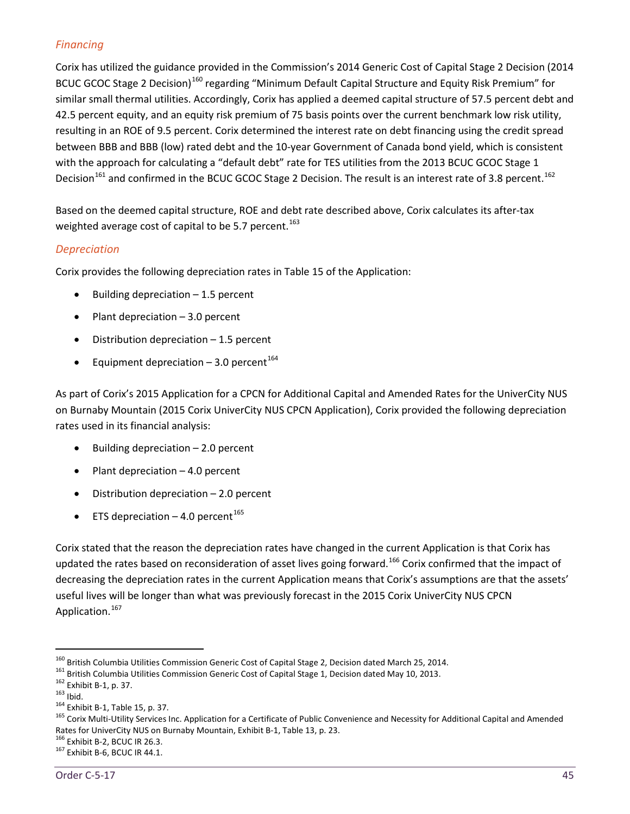# *Financing*

Corix has utilized the guidance provided in the Commission's 2014 Generic Cost of Capital Stage 2 Decision (2014 BCUC GCOC Stage 2 Decision)<sup>[160](#page-50-0)</sup> regarding "Minimum Default Capital Structure and Equity Risk Premium" for similar small thermal utilities. Accordingly, Corix has applied a deemed capital structure of 57.5 percent debt and 42.5 percent equity, and an equity risk premium of 75 basis points over the current benchmark low risk utility, resulting in an ROE of 9.5 percent. Corix determined the interest rate on debt financing using the credit spread between BBB and BBB (low) rated debt and the 10-year Government of Canada bond yield, which is consistent with the approach for calculating a "default debt" rate for TES utilities from the 2013 BCUC GCOC Stage 1 Decision<sup>[161](#page-50-1)</sup> and confirmed in the BCUC GCOC Stage 2 Decision. The result is an interest rate of 3.8 percent.<sup>[162](#page-50-2)</sup>

Based on the deemed capital structure, ROE and debt rate described above, Corix calculates its after-tax weighted average cost of capital to be 5.7 percent.<sup>[163](#page-50-3)</sup>

# *Depreciation*

Corix provides the following depreciation rates in Table 15 of the Application:

- Building depreciation 1.5 percent
- Plant depreciation 3.0 percent
- Distribution depreciation  $-1.5$  percent
- Equipment depreciation  $-3.0$  percent<sup>[164](#page-50-4)</sup>

As part of Corix's 2015 Application for a CPCN for Additional Capital and Amended Rates for the UniverCity NUS on Burnaby Mountain (2015 Corix UniverCity NUS CPCN Application), Corix provided the following depreciation rates used in its financial analysis:

- Building depreciation  $-2.0$  percent
- Plant depreciation  $-4.0$  percent
- Distribution depreciation  $-2.0$  percent
- ETS depreciation  $-4.0$  percent<sup>[165](#page-50-5)</sup>

Corix stated that the reason the depreciation rates have changed in the current Application is that Corix has updated the rates based on reconsideration of asset lives going forward.<sup>[166](#page-50-6)</sup> Corix confirmed that the impact of decreasing the depreciation rates in the current Application means that Corix's assumptions are that the assets' useful lives will be longer than what was previously forecast in the 2015 Corix UniverCity NUS CPCN Application.<sup>[167](#page-50-7)</sup>

<span id="page-50-2"></span>

<span id="page-50-3"></span>

<span id="page-50-5"></span><span id="page-50-4"></span>

<span id="page-50-1"></span><span id="page-50-0"></span><sup>&</sup>lt;sup>160</sup> British Columbia Utilities Commission Generic Cost of Capital Stage 2, Decision dated March 25, 2014.<br><sup>161</sup> British Columbia Utilities Commission Generic Cost of Capital Stage 1, Decision dated May 10, 2013.<br><sup>162</sup> Ex Rates for UniverCity NUS on Burnaby Mountain, Exhibit B-1, Table 13, p. 23. <sup>166</sup> Exhibit B-2, BCUC IR 26.3.<br><sup>166</sup> Exhibit B-6, BCUC IR 26.3.

<span id="page-50-6"></span>

<span id="page-50-7"></span>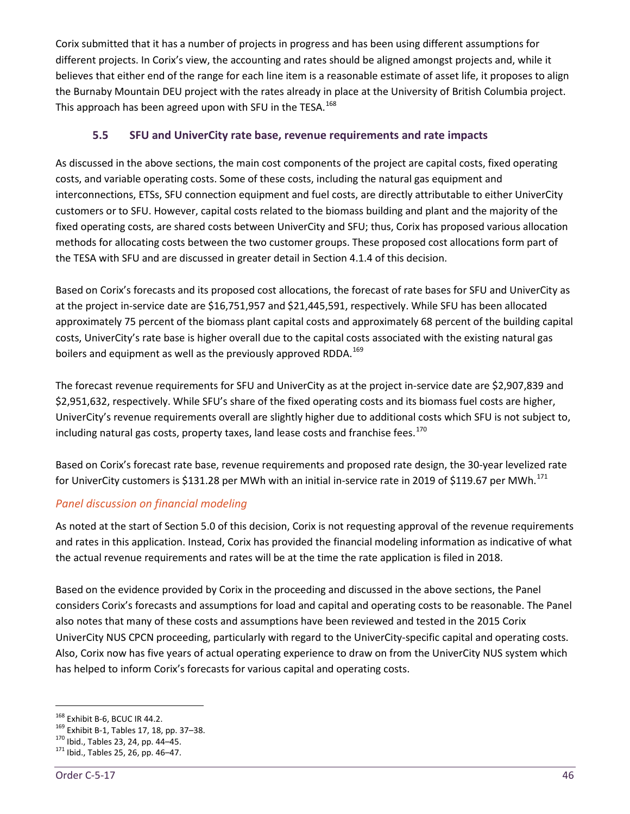Corix submitted that it has a number of projects in progress and has been using different assumptions for different projects. In Corix's view, the accounting and rates should be aligned amongst projects and, while it believes that either end of the range for each line item is a reasonable estimate of asset life, it proposes to align the Burnaby Mountain DEU project with the rates already in place at the University of British Columbia project. This approach has been agreed upon with SFU in the TESA.<sup>[168](#page-51-1)</sup>

# <span id="page-51-0"></span>**5.5 SFU and UniverCity rate base, revenue requirements and rate impacts**

As discussed in the above sections, the main cost components of the project are capital costs, fixed operating costs, and variable operating costs. Some of these costs, including the natural gas equipment and interconnections, ETSs, SFU connection equipment and fuel costs, are directly attributable to either UniverCity customers or to SFU. However, capital costs related to the biomass building and plant and the majority of the fixed operating costs, are shared costs between UniverCity and SFU; thus, Corix has proposed various allocation methods for allocating costs between the two customer groups. These proposed cost allocations form part of the TESA with SFU and are discussed in greater detail in Section 4.1.4 of this decision.

Based on Corix's forecasts and its proposed cost allocations, the forecast of rate bases for SFU and UniverCity as at the project in-service date are \$16,751,957 and \$21,445,591, respectively. While SFU has been allocated approximately 75 percent of the biomass plant capital costs and approximately 68 percent of the building capital costs, UniverCity's rate base is higher overall due to the capital costs associated with the existing natural gas boilers and equipment as well as the previously approved RDDA.<sup>[169](#page-51-2)</sup>

The forecast revenue requirements for SFU and UniverCity as at the project in-service date are \$2,907,839 and \$2,951,632, respectively. While SFU's share of the fixed operating costs and its biomass fuel costs are higher, UniverCity's revenue requirements overall are slightly higher due to additional costs which SFU is not subject to, including natural gas costs, property taxes, land lease costs and franchise fees.<sup>[170](#page-51-3)</sup>

Based on Corix's forecast rate base, revenue requirements and proposed rate design, the 30-year levelized rate for UniverCity customers is \$131.28 per MWh with an initial in-service rate in 2019 of \$119.67 per MWh.<sup>[171](#page-51-4)</sup>

# *Panel discussion on financial modeling*

As noted at the start of Section 5.0 of this decision, Corix is not requesting approval of the revenue requirements and rates in this application. Instead, Corix has provided the financial modeling information as indicative of what the actual revenue requirements and rates will be at the time the rate application is filed in 2018.

Based on the evidence provided by Corix in the proceeding and discussed in the above sections, the Panel considers Corix's forecasts and assumptions for load and capital and operating costs to be reasonable. The Panel also notes that many of these costs and assumptions have been reviewed and tested in the 2015 Corix UniverCity NUS CPCN proceeding, particularly with regard to the UniverCity-specific capital and operating costs. Also, Corix now has five years of actual operating experience to draw on from the UniverCity NUS system which has helped to inform Corix's forecasts for various capital and operating costs.

<span id="page-51-2"></span><span id="page-51-1"></span><sup>&</sup>lt;sup>168</sup> Exhibit B-6, BCUC IR 44.2.<br><sup>169</sup> Exhibit B-1, Tables 17, 18, pp. 37–38.<br><sup>170</sup> Ibid., Tables 23, 24, pp. 44–45.<br><sup>171</sup> Ibid., Tables 25, 26, pp. 46–47.

<span id="page-51-3"></span>

<span id="page-51-4"></span>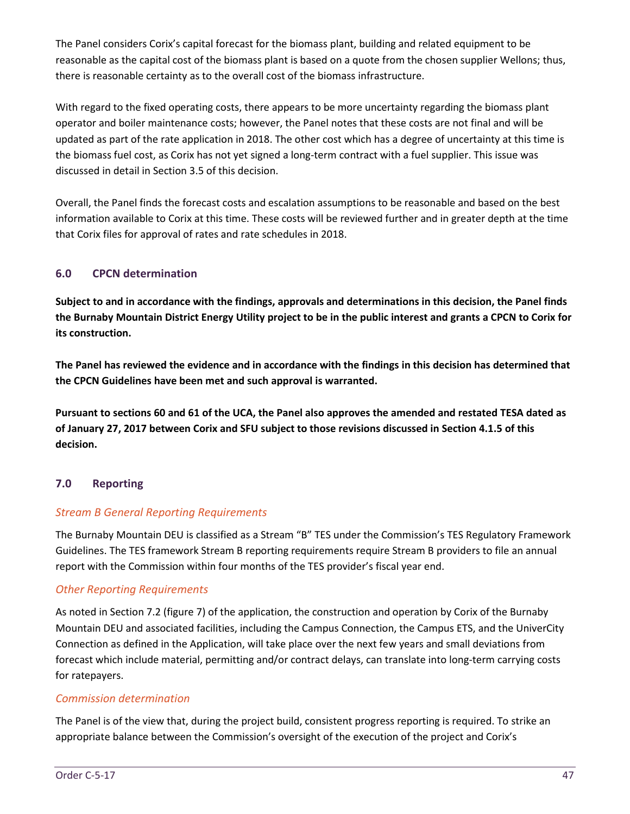The Panel considers Corix's capital forecast for the biomass plant, building and related equipment to be reasonable as the capital cost of the biomass plant is based on a quote from the chosen supplier Wellons; thus, there is reasonable certainty as to the overall cost of the biomass infrastructure.

With regard to the fixed operating costs, there appears to be more uncertainty regarding the biomass plant operator and boiler maintenance costs; however, the Panel notes that these costs are not final and will be updated as part of the rate application in 2018. The other cost which has a degree of uncertainty at this time is the biomass fuel cost, as Corix has not yet signed a long-term contract with a fuel supplier. This issue was discussed in detail in Section 3.5 of this decision.

Overall, the Panel finds the forecast costs and escalation assumptions to be reasonable and based on the best information available to Corix at this time. These costs will be reviewed further and in greater depth at the time that Corix files for approval of rates and rate schedules in 2018.

# <span id="page-52-0"></span>**6.0 CPCN determination**

**Subject to and in accordance with the findings, approvals and determinations in this decision, the Panel finds the Burnaby Mountain District Energy Utility project to be in the public interest and grants a CPCN to Corix for its construction.**

**The Panel has reviewed the evidence and in accordance with the findings in this decision has determined that the CPCN Guidelines have been met and such approval is warranted.**

**Pursuant to sections 60 and 61 of the UCA, the Panel also approves the amended and restated TESA dated as of January 27, 2017 between Corix and SFU subject to those revisions discussed in Section 4.1.5 of this decision.** 

# <span id="page-52-1"></span>**7.0 Reporting**

# *Stream B General Reporting Requirements*

The Burnaby Mountain DEU is classified as a Stream "B" TES under the Commission's TES Regulatory Framework Guidelines. The TES framework Stream B reporting requirements require Stream B providers to file an annual report with the Commission within four months of the TES provider's fiscal year end.

# *Other Reporting Requirements*

As noted in Section 7.2 (figure 7) of the application, the construction and operation by Corix of the Burnaby Mountain DEU and associated facilities, including the Campus Connection, the Campus ETS, and the UniverCity Connection as defined in the Application, will take place over the next few years and small deviations from forecast which include material, permitting and/or contract delays, can translate into long-term carrying costs for ratepayers.

#### *Commission determination*

The Panel is of the view that, during the project build, consistent progress reporting is required. To strike an appropriate balance between the Commission's oversight of the execution of the project and Corix's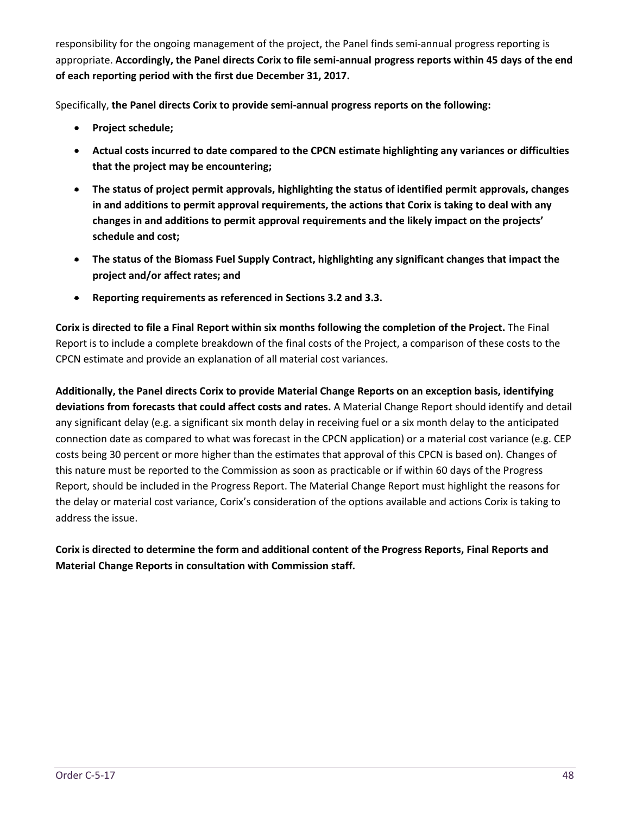responsibility for the ongoing management of the project, the Panel finds semi-annual progress reporting is appropriate. **Accordingly, the Panel directs Corix to file semi-annual progress reports within 45 days of the end of each reporting period with the first due December 31, 2017.** 

Specifically, **the Panel directs Corix to provide semi-annual progress reports on the following:**

- **Project schedule;**
- **Actual costs incurred to date compared to the CPCN estimate highlighting any variances or difficulties that the project may be encountering;**
- **The status of project permit approvals, highlighting the status of identified permit approvals, changes in and additions to permit approval requirements, the actions that Corix is taking to deal with any changes in and additions to permit approval requirements and the likely impact on the projects' schedule and cost;**
- **The status of the Biomass Fuel Supply Contract, highlighting any significant changes that impact the project and/or affect rates; and**
- **Reporting requirements as referenced in Sections 3.2 and 3.3.**

**Corix is directed to file a Final Report within six months following the completion of the Project.** The Final Report is to include a complete breakdown of the final costs of the Project, a comparison of these costs to the CPCN estimate and provide an explanation of all material cost variances.

**Additionally, the Panel directs Corix to provide Material Change Reports on an exception basis, identifying deviations from forecasts that could affect costs and rates.** A Material Change Report should identify and detail any significant delay (e.g. a significant six month delay in receiving fuel or a six month delay to the anticipated connection date as compared to what was forecast in the CPCN application) or a material cost variance (e.g. CEP costs being 30 percent or more higher than the estimates that approval of this CPCN is based on). Changes of this nature must be reported to the Commission as soon as practicable or if within 60 days of the Progress Report, should be included in the Progress Report. The Material Change Report must highlight the reasons for the delay or material cost variance, Corix's consideration of the options available and actions Corix is taking to address the issue.

**Corix is directed to determine the form and additional content of the Progress Reports, Final Reports and Material Change Reports in consultation with Commission staff.**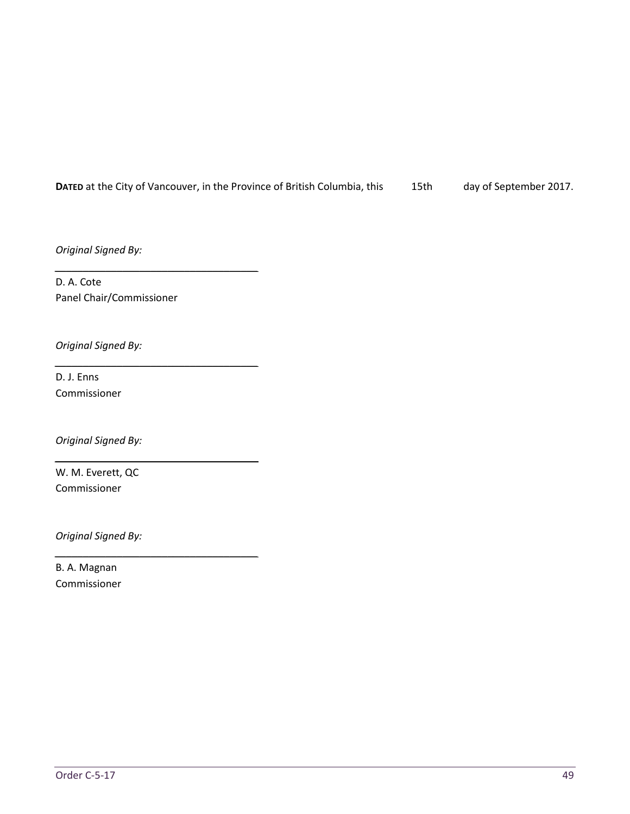#### DATED at the City of Vancouver, in the Province of British Columbia, this 15th day of September 2017.

*Original Signed By:*

D. A. Cote Panel Chair/Commissioner

*\_\_\_\_\_\_\_\_\_\_\_\_\_\_\_\_\_\_\_\_\_\_\_\_\_\_\_\_\_\_\_\_\_\_\_\_*

*\_\_\_\_\_\_\_\_\_\_\_\_\_\_\_\_\_\_\_\_\_\_\_\_\_\_\_\_\_\_\_\_\_\_\_\_*

*\_\_\_\_\_\_\_\_\_\_\_\_\_\_\_\_\_\_\_\_\_\_\_\_\_\_\_\_\_\_\_\_\_\_\_\_*

*\_\_\_\_\_\_\_\_\_\_\_\_\_\_\_\_\_\_\_\_\_\_\_\_\_\_\_\_\_\_\_\_\_\_\_\_*

*Original Signed By:*

D. J. Enns Commissioner

*Original Signed By:*

W. M. Everett, QC Commissioner

*Original Signed By:*

B. A. Magnan Commissioner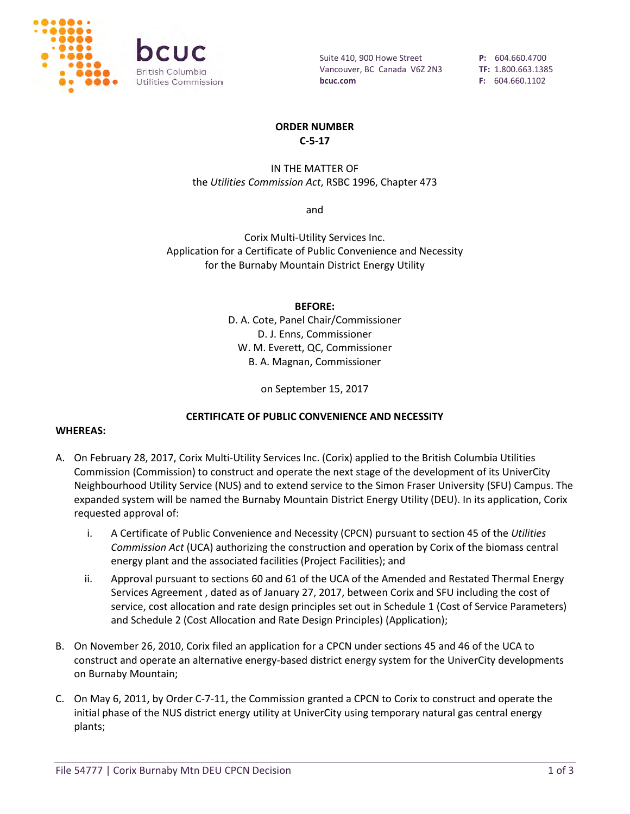

Suite 410, 900 Howe Street Vancouver, BC Canada V6Z 2N3 **bcuc.com**

**P:** 604.660.4700 **TF:** 1.800.663.1385 **F:** 604.660.1102

#### **ORDER NUMBER C-5-17**

IN THE MATTER OF the *Utilities Commission Act*, RSBC 1996, Chapter 473

and

Corix Multi-Utility Services Inc. Application for a Certificate of Public Convenience and Necessity for the Burnaby Mountain District Energy Utility

**BEFORE:**

D. A. Cote, Panel Chair/Commissioner D. J. Enns, Commissioner W. M. Everett, QC, Commissioner B. A. Magnan, Commissioner

on September 15, 2017

#### **CERTIFICATE OF PUBLIC CONVENIENCE AND NECESSITY**

#### **WHEREAS:**

- A. On February 28, 2017, Corix Multi-Utility Services Inc. (Corix) applied to the British Columbia Utilities Commission (Commission) to construct and operate the next stage of the development of its UniverCity Neighbourhood Utility Service (NUS) and to extend service to the Simon Fraser University (SFU) Campus. The expanded system will be named the Burnaby Mountain District Energy Utility (DEU). In its application, Corix requested approval of:
	- i. A Certificate of Public Convenience and Necessity (CPCN) pursuant to section 45 of the *Utilities Commission Act* (UCA) authorizing the construction and operation by Corix of the biomass central energy plant and the associated facilities (Project Facilities); and
	- ii. Approval pursuant to sections 60 and 61 of the UCA of the Amended and Restated Thermal Energy Services Agreement , dated as of January 27, 2017, between Corix and SFU including the cost of service, cost allocation and rate design principles set out in Schedule 1 (Cost of Service Parameters) and Schedule 2 (Cost Allocation and Rate Design Principles) (Application);
- B. On November 26, 2010, Corix filed an application for a CPCN under sections 45 and 46 of the UCA to construct and operate an alternative energy-based district energy system for the UniverCity developments on Burnaby Mountain;
- C. On May 6, 2011, by Order C-7-11, the Commission granted a CPCN to Corix to construct and operate the initial phase of the NUS district energy utility at UniverCity using temporary natural gas central energy plants;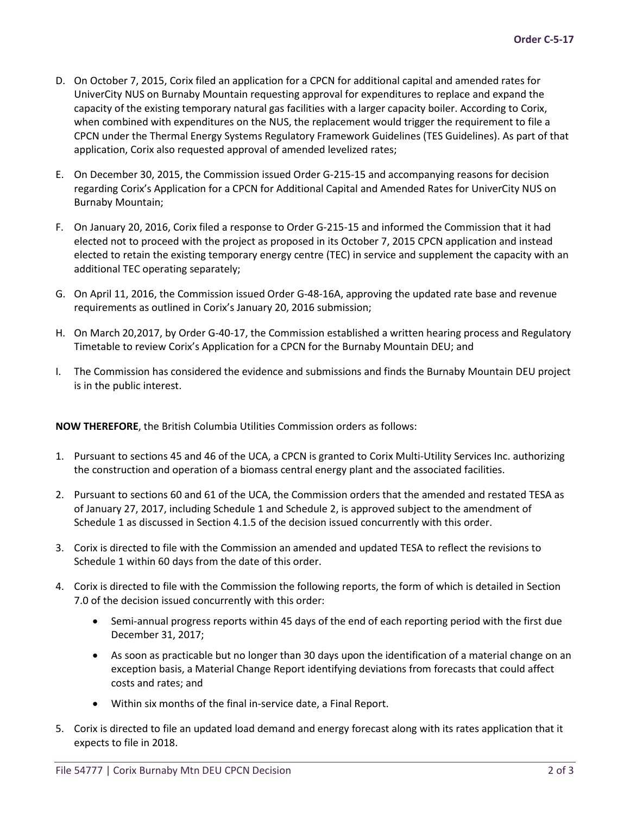- D. On October 7, 2015, Corix filed an application for a CPCN for additional capital and amended rates for UniverCity NUS on Burnaby Mountain requesting approval for expenditures to replace and expand the capacity of the existing temporary natural gas facilities with a larger capacity boiler. According to Corix, when combined with expenditures on the NUS, the replacement would trigger the requirement to file a CPCN under the Thermal Energy Systems Regulatory Framework Guidelines (TES Guidelines). As part of that application, Corix also requested approval of amended levelized rates;
- E. On December 30, 2015, the Commission issued Order G-215-15 and accompanying reasons for decision regarding Corix's Application for a CPCN for Additional Capital and Amended Rates for UniverCity NUS on Burnaby Mountain;
- F. On January 20, 2016, Corix filed a response to Order G-215-15 and informed the Commission that it had elected not to proceed with the project as proposed in its October 7, 2015 CPCN application and instead elected to retain the existing temporary energy centre (TEC) in service and supplement the capacity with an additional TEC operating separately;
- G. On April 11, 2016, the Commission issued Order G-48-16A, approving the updated rate base and revenue requirements as outlined in Corix's January 20, 2016 submission;
- H. On March 20,2017, by Order G-40-17, the Commission established a written hearing process and Regulatory Timetable to review Corix's Application for a CPCN for the Burnaby Mountain DEU; and
- I. The Commission has considered the evidence and submissions and finds the Burnaby Mountain DEU project is in the public interest.

**NOW THEREFORE**, the British Columbia Utilities Commission orders as follows:

- 1. Pursuant to sections 45 and 46 of the UCA, a CPCN is granted to Corix Multi-Utility Services Inc. authorizing the construction and operation of a biomass central energy plant and the associated facilities.
- 2. Pursuant to sections 60 and 61 of the UCA, the Commission orders that the amended and restated TESA as of January 27, 2017, including Schedule 1 and Schedule 2, is approved subject to the amendment of Schedule 1 as discussed in Section 4.1.5 of the decision issued concurrently with this order.
- 3. Corix is directed to file with the Commission an amended and updated TESA to reflect the revisions to Schedule 1 within 60 days from the date of this order.
- 4. Corix is directed to file with the Commission the following reports, the form of which is detailed in Section 7.0 of the decision issued concurrently with this order:
	- Semi-annual progress reports within 45 days of the end of each reporting period with the first due December 31, 2017;
	- As soon as practicable but no longer than 30 days upon the identification of a material change on an exception basis, a Material Change Report identifying deviations from forecasts that could affect costs and rates; and
	- Within six months of the final in-service date, a Final Report.
- 5. Corix is directed to file an updated load demand and energy forecast along with its rates application that it expects to file in 2018.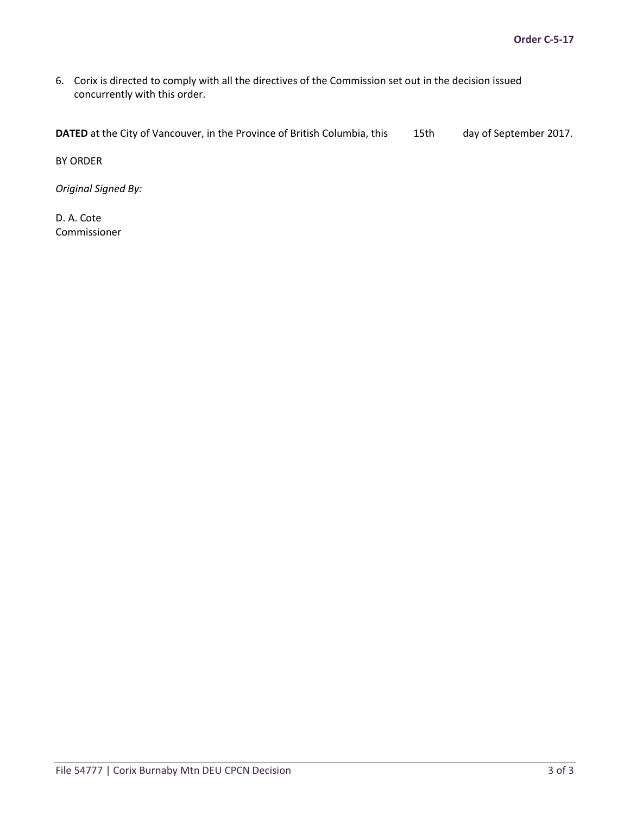6. Corix is directed to comply with all the directives of the Commission set out in the decision issued concurrently with this order.

**DATED** at the City of Vancouver, in the Province of British Columbia, this 15th day of September 2017.

BY ORDER

*Original Signed By:*

D. A. Cote Commissioner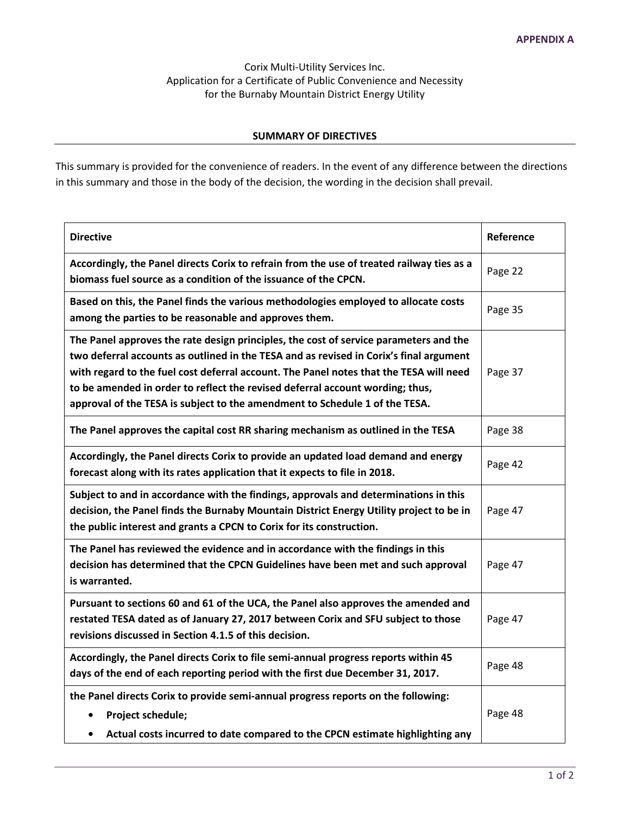Corix Multi-Utility Services Inc. Application for a Certificate of Public Convenience and Necessity for the Burnaby Mountain District Energy Utility

#### **SUMMARY OF DIRECTIVES**

This summary is provided for the convenience of readers. In the event of any difference between the directions in this summary and those in the body of the decision, the wording in the decision shall prevail.

| <b>Directive</b>                                                                                                                                                                                                                                                                                                                                                                                                                          | Reference |
|-------------------------------------------------------------------------------------------------------------------------------------------------------------------------------------------------------------------------------------------------------------------------------------------------------------------------------------------------------------------------------------------------------------------------------------------|-----------|
| Accordingly, the Panel directs Corix to refrain from the use of treated railway ties as a<br>biomass fuel source as a condition of the issuance of the CPCN.                                                                                                                                                                                                                                                                              | Page 22   |
| Based on this, the Panel finds the various methodologies employed to allocate costs<br>among the parties to be reasonable and approves them.                                                                                                                                                                                                                                                                                              | Page 35   |
| The Panel approves the rate design principles, the cost of service parameters and the<br>two deferral accounts as outlined in the TESA and as revised in Corix's final argument<br>with regard to the fuel cost deferral account. The Panel notes that the TESA will need<br>to be amended in order to reflect the revised deferral account wording; thus,<br>approval of the TESA is subject to the amendment to Schedule 1 of the TESA. | Page 37   |
| The Panel approves the capital cost RR sharing mechanism as outlined in the TESA                                                                                                                                                                                                                                                                                                                                                          | Page 38   |
| Accordingly, the Panel directs Corix to provide an updated load demand and energy<br>forecast along with its rates application that it expects to file in 2018.                                                                                                                                                                                                                                                                           | Page 42   |
| Subject to and in accordance with the findings, approvals and determinations in this<br>decision, the Panel finds the Burnaby Mountain District Energy Utility project to be in<br>the public interest and grants a CPCN to Corix for its construction.                                                                                                                                                                                   | Page 47   |
| The Panel has reviewed the evidence and in accordance with the findings in this<br>decision has determined that the CPCN Guidelines have been met and such approval<br>is warranted.                                                                                                                                                                                                                                                      | Page 47   |
| Pursuant to sections 60 and 61 of the UCA, the Panel also approves the amended and<br>restated TESA dated as of January 27, 2017 between Corix and SFU subject to those<br>revisions discussed in Section 4.1.5 of this decision.                                                                                                                                                                                                         | Page 47   |
| Accordingly, the Panel directs Corix to file semi-annual progress reports within 45<br>days of the end of each reporting period with the first due December 31, 2017.                                                                                                                                                                                                                                                                     | Page 48   |
| the Panel directs Corix to provide semi-annual progress reports on the following:<br>Project schedule;<br>Actual costs incurred to date compared to the CPCN estimate highlighting any                                                                                                                                                                                                                                                    | Page 48   |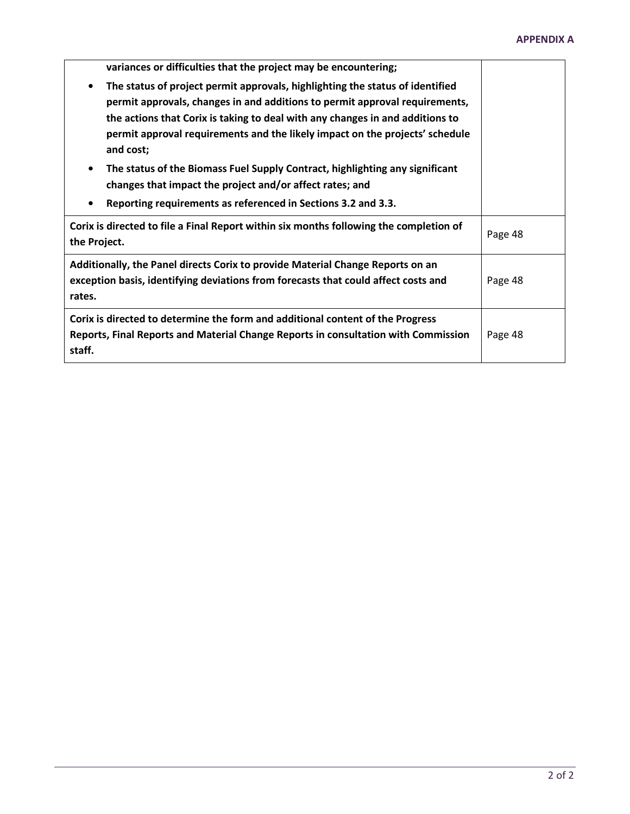| variances or difficulties that the project may be encountering;                                                                                                                                                                                                                                                                            |         |
|--------------------------------------------------------------------------------------------------------------------------------------------------------------------------------------------------------------------------------------------------------------------------------------------------------------------------------------------|---------|
| The status of project permit approvals, highlighting the status of identified<br>permit approvals, changes in and additions to permit approval requirements,<br>the actions that Corix is taking to deal with any changes in and additions to<br>permit approval requirements and the likely impact on the projects' schedule<br>and cost; |         |
| The status of the Biomass Fuel Supply Contract, highlighting any significant<br>changes that impact the project and/or affect rates; and                                                                                                                                                                                                   |         |
| Reporting requirements as referenced in Sections 3.2 and 3.3.                                                                                                                                                                                                                                                                              |         |
| Corix is directed to file a Final Report within six months following the completion of<br>the Project.                                                                                                                                                                                                                                     | Page 48 |
| Additionally, the Panel directs Corix to provide Material Change Reports on an<br>exception basis, identifying deviations from forecasts that could affect costs and<br>rates.                                                                                                                                                             | Page 48 |
| Corix is directed to determine the form and additional content of the Progress<br>Reports, Final Reports and Material Change Reports in consultation with Commission<br>staff.                                                                                                                                                             | Page 48 |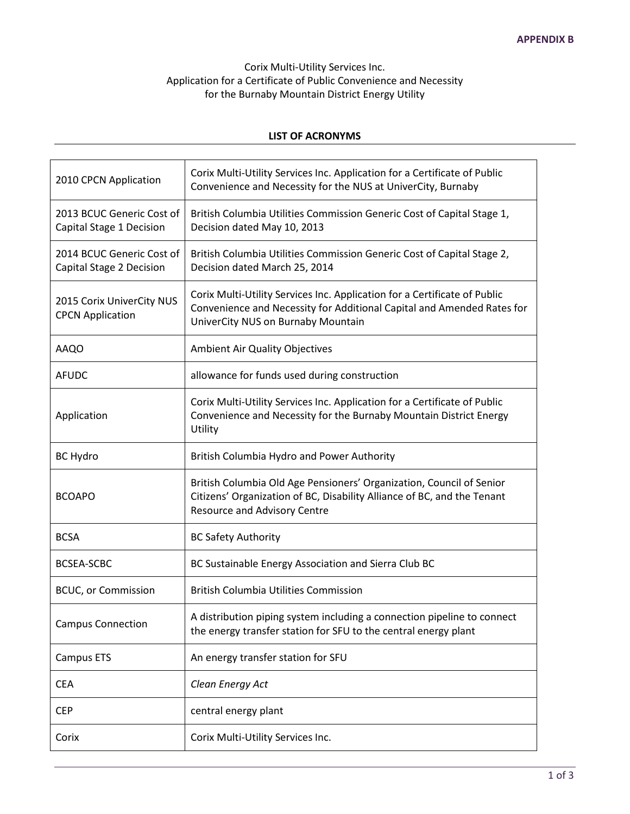# Corix Multi-Utility Services Inc. Application for a Certificate of Public Convenience and Necessity for the Burnaby Mountain District Energy Utility

#### **LIST OF ACRONYMS**

| 2010 CPCN Application                                 | Corix Multi-Utility Services Inc. Application for a Certificate of Public<br>Convenience and Necessity for the NUS at UniverCity, Burnaby                                                 |
|-------------------------------------------------------|-------------------------------------------------------------------------------------------------------------------------------------------------------------------------------------------|
| 2013 BCUC Generic Cost of<br>Capital Stage 1 Decision | British Columbia Utilities Commission Generic Cost of Capital Stage 1,<br>Decision dated May 10, 2013                                                                                     |
| 2014 BCUC Generic Cost of<br>Capital Stage 2 Decision | British Columbia Utilities Commission Generic Cost of Capital Stage 2,<br>Decision dated March 25, 2014                                                                                   |
| 2015 Corix UniverCity NUS<br><b>CPCN Application</b>  | Corix Multi-Utility Services Inc. Application for a Certificate of Public<br>Convenience and Necessity for Additional Capital and Amended Rates for<br>UniverCity NUS on Burnaby Mountain |
| <b>AAQO</b>                                           | Ambient Air Quality Objectives                                                                                                                                                            |
| <b>AFUDC</b>                                          | allowance for funds used during construction                                                                                                                                              |
| Application                                           | Corix Multi-Utility Services Inc. Application for a Certificate of Public<br>Convenience and Necessity for the Burnaby Mountain District Energy<br>Utility                                |
| <b>BC Hydro</b>                                       | British Columbia Hydro and Power Authority                                                                                                                                                |
| <b>BCOAPO</b>                                         | British Columbia Old Age Pensioners' Organization, Council of Senior<br>Citizens' Organization of BC, Disability Alliance of BC, and the Tenant<br><b>Resource and Advisory Centre</b>    |
| <b>BCSA</b>                                           | <b>BC Safety Authority</b>                                                                                                                                                                |
| <b>BCSEA-SCBC</b>                                     | BC Sustainable Energy Association and Sierra Club BC                                                                                                                                      |
| <b>BCUC, or Commission</b>                            | <b>British Columbia Utilities Commission</b>                                                                                                                                              |
| <b>Campus Connection</b>                              | A distribution piping system including a connection pipeline to connect<br>the energy transfer station for SFU to the central energy plant                                                |
| Campus ETS                                            | An energy transfer station for SFU                                                                                                                                                        |
| <b>CEA</b>                                            | Clean Energy Act                                                                                                                                                                          |
| <b>CEP</b>                                            | central energy plant                                                                                                                                                                      |
| Corix                                                 | Corix Multi-Utility Services Inc.                                                                                                                                                         |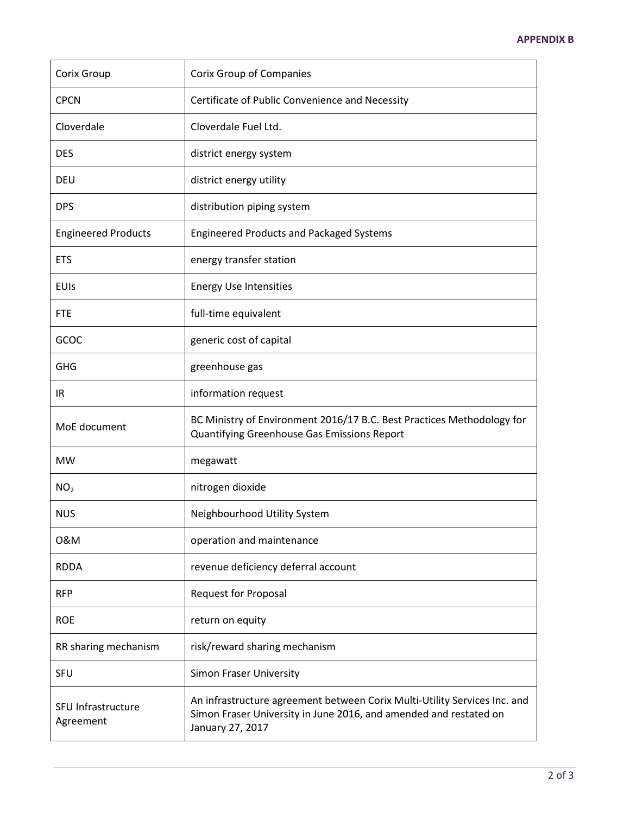| Corix Group                     | <b>Corix Group of Companies</b>                                                                                                                                    |
|---------------------------------|--------------------------------------------------------------------------------------------------------------------------------------------------------------------|
| <b>CPCN</b>                     | Certificate of Public Convenience and Necessity                                                                                                                    |
| Cloverdale                      | Cloverdale Fuel Ltd.                                                                                                                                               |
| <b>DES</b>                      | district energy system                                                                                                                                             |
| DEU                             | district energy utility                                                                                                                                            |
| <b>DPS</b>                      | distribution piping system                                                                                                                                         |
| <b>Engineered Products</b>      | <b>Engineered Products and Packaged Systems</b>                                                                                                                    |
| <b>ETS</b>                      | energy transfer station                                                                                                                                            |
| <b>EUIs</b>                     | <b>Energy Use Intensities</b>                                                                                                                                      |
| <b>FTE</b>                      | full-time equivalent                                                                                                                                               |
| GCOC                            | generic cost of capital                                                                                                                                            |
| <b>GHG</b>                      | greenhouse gas                                                                                                                                                     |
| IR                              | information request                                                                                                                                                |
| MoE document                    | BC Ministry of Environment 2016/17 B.C. Best Practices Methodology for<br>Quantifying Greenhouse Gas Emissions Report                                              |
| <b>MW</b>                       | megawatt                                                                                                                                                           |
| NO <sub>2</sub>                 | nitrogen dioxide                                                                                                                                                   |
| <b>NUS</b>                      | Neighbourhood Utility System                                                                                                                                       |
| 0&M                             | operation and maintenance                                                                                                                                          |
| <b>RDDA</b>                     | revenue deficiency deferral account                                                                                                                                |
| <b>RFP</b>                      | <b>Request for Proposal</b>                                                                                                                                        |
| <b>ROE</b>                      | return on equity                                                                                                                                                   |
| RR sharing mechanism            | risk/reward sharing mechanism                                                                                                                                      |
| SFU                             | Simon Fraser University                                                                                                                                            |
| SFU Infrastructure<br>Agreement | An infrastructure agreement between Corix Multi-Utility Services Inc. and<br>Simon Fraser University in June 2016, and amended and restated on<br>January 27, 2017 |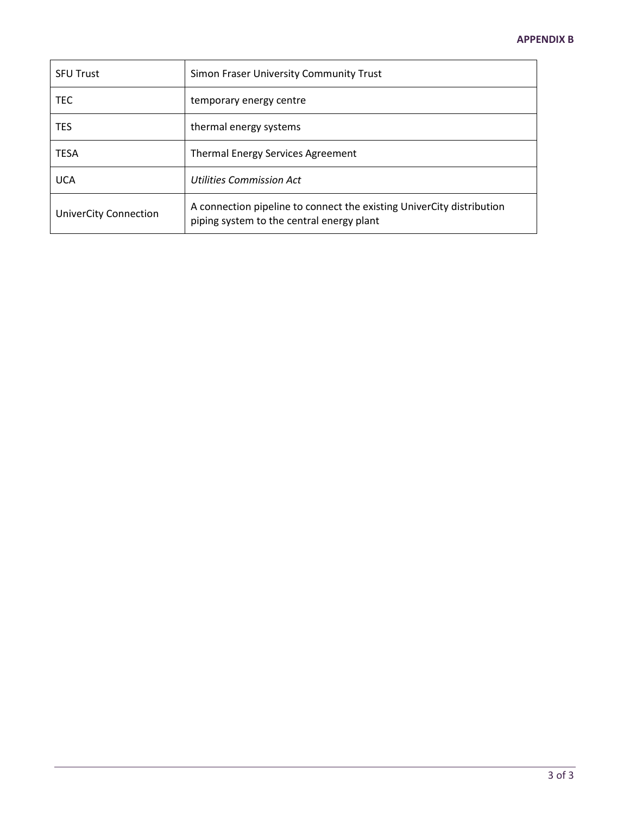| <b>SFU Trust</b>             | Simon Fraser University Community Trust                                                                            |
|------------------------------|--------------------------------------------------------------------------------------------------------------------|
| TEC                          | temporary energy centre                                                                                            |
| <b>TES</b>                   | thermal energy systems                                                                                             |
| <b>TESA</b>                  | Thermal Energy Services Agreement                                                                                  |
| <b>UCA</b>                   | Utilities Commission Act                                                                                           |
| <b>UniverCity Connection</b> | A connection pipeline to connect the existing UniverCity distribution<br>piping system to the central energy plant |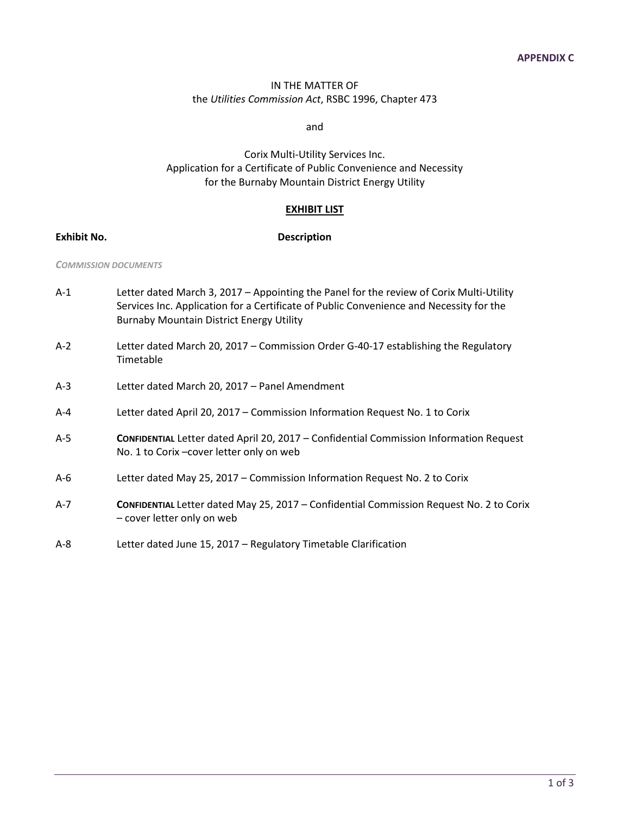#### IN THE MATTER OF the *Utilities Commission Act*, RSBC 1996, Chapter 473

and

Corix Multi-Utility Services Inc. Application for a Certificate of Public Convenience and Necessity for the Burnaby Mountain District Energy Utility

#### **EXHIBIT LIST**

#### **Exhibit No. Description**

#### *COMMISSION DOCUMENTS*

| $A-1$   | Letter dated March 3, 2017 - Appointing the Panel for the review of Corix Multi-Utility<br>Services Inc. Application for a Certificate of Public Convenience and Necessity for the<br><b>Burnaby Mountain District Energy Utility</b> |
|---------|---------------------------------------------------------------------------------------------------------------------------------------------------------------------------------------------------------------------------------------|
| $A-2$   | Letter dated March 20, 2017 - Commission Order G-40-17 establishing the Regulatory<br>Timetable                                                                                                                                       |
| $A-3$   | Letter dated March 20, 2017 - Panel Amendment                                                                                                                                                                                         |
| $A - 4$ | Letter dated April 20, 2017 - Commission Information Request No. 1 to Corix                                                                                                                                                           |
| $A-5$   | CONFIDENTIAL Letter dated April 20, 2017 - Confidential Commission Information Request<br>No. 1 to Corix-cover letter only on web                                                                                                     |
| $A-6$   | Letter dated May 25, 2017 - Commission Information Request No. 2 to Corix                                                                                                                                                             |
| $A-7$   | CONFIDENTIAL Letter dated May 25, 2017 - Confidential Commission Request No. 2 to Corix<br>- cover letter only on web                                                                                                                 |

A-8 Letter dated June 15, 2017 – Regulatory Timetable Clarification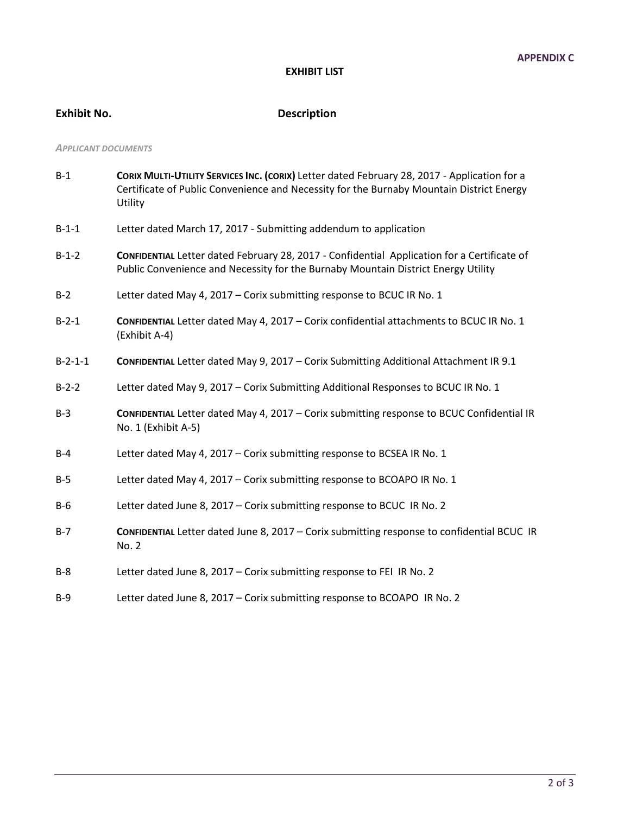#### **EXHIBIT LIST**

# **Exhibit No. Description**

#### *APPLICANT DOCUMENTS*

| $B-1$     | CORIX MULTI-UTILITY SERVICES INC. (CORIX) Letter dated February 28, 2017 - Application for a<br>Certificate of Public Convenience and Necessity for the Burnaby Mountain District Energy<br>Utility |
|-----------|-----------------------------------------------------------------------------------------------------------------------------------------------------------------------------------------------------|
| $B-1-1$   | Letter dated March 17, 2017 - Submitting addendum to application                                                                                                                                    |
| $B-1-2$   | CONFIDENTIAL Letter dated February 28, 2017 - Confidential Application for a Certificate of<br>Public Convenience and Necessity for the Burnaby Mountain District Energy Utility                    |
| $B-2$     | Letter dated May 4, 2017 - Corix submitting response to BCUC IR No. 1                                                                                                                               |
| $B-2-1$   | CONFIDENTIAL Letter dated May 4, 2017 - Corix confidential attachments to BCUC IR No. 1<br>(Exhibit A-4)                                                                                            |
| $B-2-1-1$ | CONFIDENTIAL Letter dated May 9, 2017 - Corix Submitting Additional Attachment IR 9.1                                                                                                               |
| $B-2-2$   | Letter dated May 9, 2017 - Corix Submitting Additional Responses to BCUC IR No. 1                                                                                                                   |
| $B-3$     | CONFIDENTIAL Letter dated May 4, 2017 - Corix submitting response to BCUC Confidential IR<br>No. 1 (Exhibit A-5)                                                                                    |
| $B-4$     | Letter dated May 4, 2017 - Corix submitting response to BCSEA IR No. 1                                                                                                                              |
| $B-5$     | Letter dated May 4, 2017 - Corix submitting response to BCOAPO IR No. 1                                                                                                                             |
| $B-6$     | Letter dated June 8, 2017 - Corix submitting response to BCUC IR No. 2                                                                                                                              |
| $B-7$     | CONFIDENTIAL Letter dated June 8, 2017 - Corix submitting response to confidential BCUC IR<br>No. 2                                                                                                 |
| $B-8$     | Letter dated June 8, 2017 - Corix submitting response to FEI IR No. 2                                                                                                                               |
|           |                                                                                                                                                                                                     |

B-9 Letter dated June 8, 2017 – Corix submitting response to BCOAPO IR No. 2